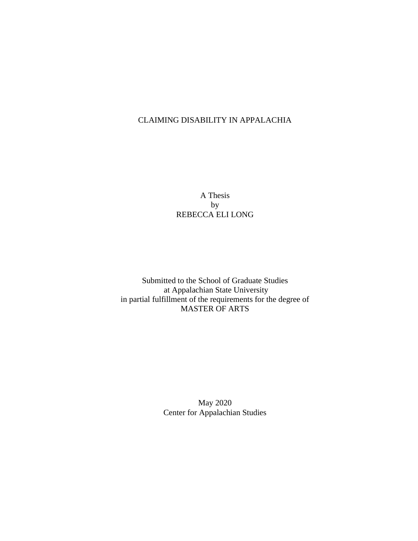## CLAIMING DISABILITY IN APPALACHIA

A Thesis by REBECCA ELI LONG

Submitted to the School of Graduate Studies at Appalachian State University in partial fulfillment of the requirements for the degree of MASTER OF ARTS

> May 2020 Center for Appalachian Studies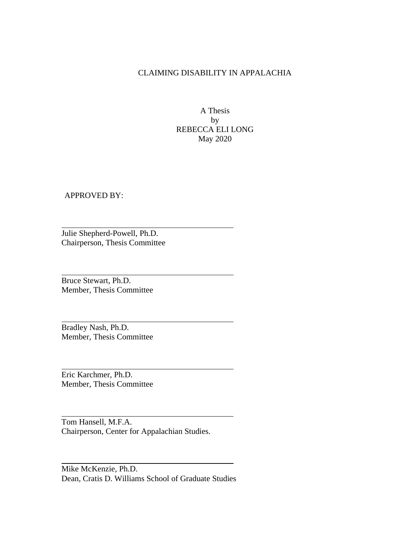## CLAIMING DISABILITY IN APPALACHIA

A Thesis by REBECCA ELI LONG May 2020

APPROVED BY:

Julie Shepherd-Powell, Ph.D. Chairperson, Thesis Committee

Bruce Stewart, Ph.D. Member, Thesis Committee

Bradley Nash, Ph.D. Member, Thesis Committee

Eric Karchmer, Ph.D. Member, Thesis Committee

Tom Hansell, M.F.A. Chairperson, Center for Appalachian Studies.

Mike McKenzie, Ph.D. Dean, Cratis D. Williams School of Graduate Studies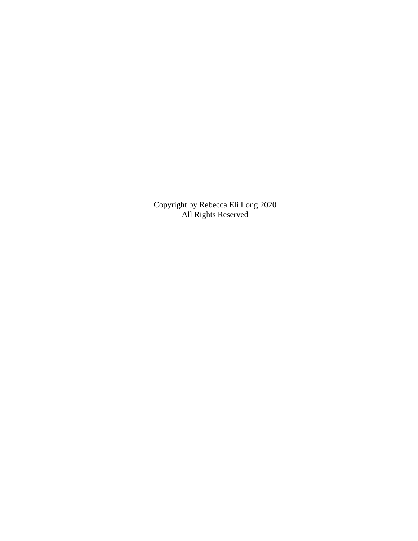Copyright by Rebecca Eli Long 2020 All Rights Reserved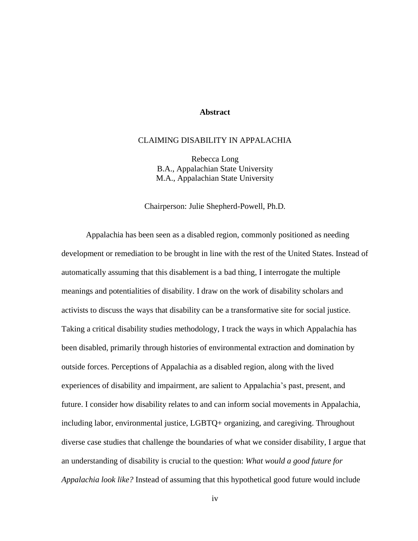#### **Abstract**

#### <span id="page-3-0"></span>CLAIMING DISABILITY IN APPALACHIA

Rebecca Long B.A., Appalachian State University M.A., Appalachian State University

#### Chairperson: Julie Shepherd-Powell, Ph.D.

Appalachia has been seen as a disabled region, commonly positioned as needing development or remediation to be brought in line with the rest of the United States. Instead of automatically assuming that this disablement is a bad thing, I interrogate the multiple meanings and potentialities of disability. I draw on the work of disability scholars and activists to discuss the ways that disability can be a transformative site for social justice. Taking a critical disability studies methodology, I track the ways in which Appalachia has been disabled, primarily through histories of environmental extraction and domination by outside forces. Perceptions of Appalachia as a disabled region, along with the lived experiences of disability and impairment, are salient to Appalachia's past, present, and future. I consider how disability relates to and can inform social movements in Appalachia, including labor, environmental justice, LGBTQ+ organizing, and caregiving. Throughout diverse case studies that challenge the boundaries of what we consider disability, I argue that an understanding of disability is crucial to the question: *What would a good future for Appalachia look like?* Instead of assuming that this hypothetical good future would include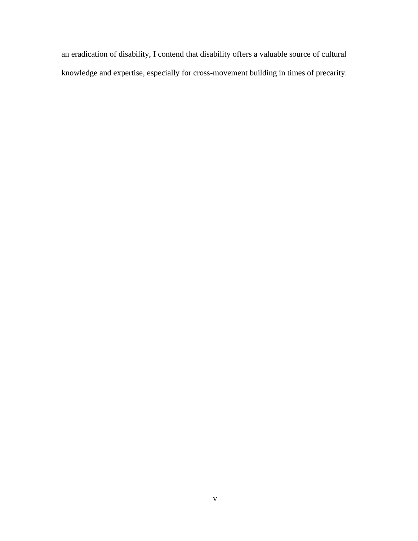an eradication of disability, I contend that disability offers a valuable source of cultural knowledge and expertise, especially for cross-movement building in times of precarity.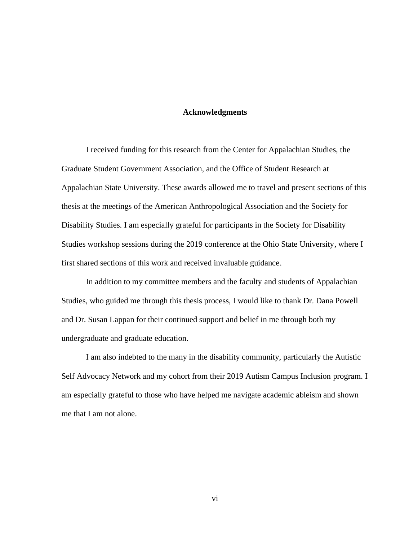#### **Acknowledgments**

<span id="page-5-0"></span>I received funding for this research from the Center for Appalachian Studies, the Graduate Student Government Association, and the Office of Student Research at Appalachian State University. These awards allowed me to travel and present sections of this thesis at the meetings of the American Anthropological Association and the Society for Disability Studies. I am especially grateful for participants in the Society for Disability Studies workshop sessions during the 2019 conference at the Ohio State University, where I first shared sections of this work and received invaluable guidance.

In addition to my committee members and the faculty and students of Appalachian Studies, who guided me through this thesis process, I would like to thank Dr. Dana Powell and Dr. Susan Lappan for their continued support and belief in me through both my undergraduate and graduate education.

I am also indebted to the many in the disability community, particularly the Autistic Self Advocacy Network and my cohort from their 2019 Autism Campus Inclusion program. I am especially grateful to those who have helped me navigate academic ableism and shown me that I am not alone.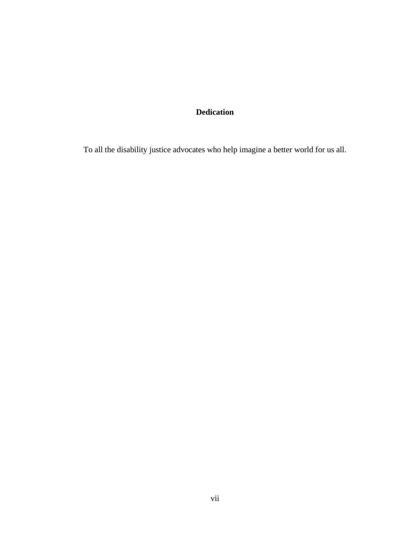# **Dedication**

<span id="page-6-0"></span>To all the disability justice advocates who help imagine a better world for us all.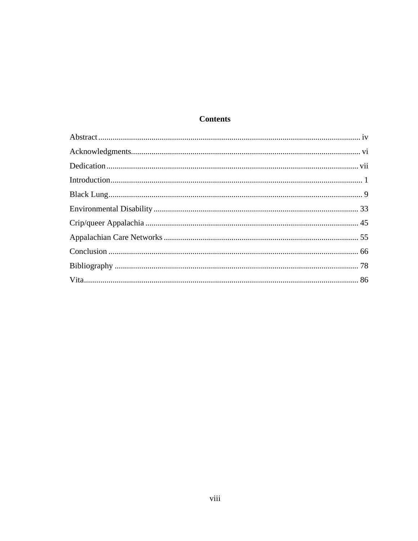## **Contents**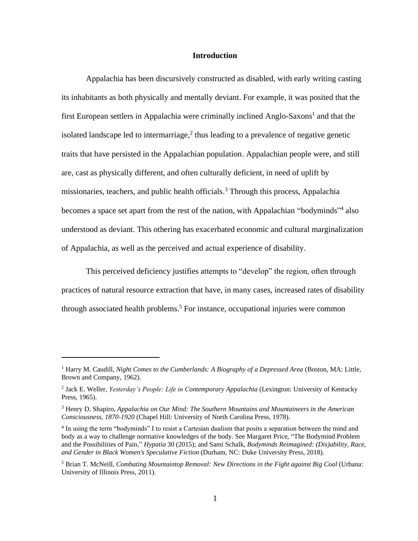#### **Introduction**

<span id="page-8-0"></span>Appalachia has been discursively constructed as disabled, with early writing casting its inhabitants as both physically and mentally deviant. For example, it was posited that the first European settlers in Appalachia were criminally inclined Anglo-Saxons<sup>1</sup> and that the isolated landscape led to intermarriage, $<sup>2</sup>$  thus leading to a prevalence of negative genetic</sup> traits that have persisted in the Appalachian population. Appalachian people were, and still are, cast as physically different, and often culturally deficient, in need of uplift by missionaries, teachers, and public health officials.<sup>3</sup> Through this process, Appalachia becomes a space set apart from the rest of the nation, with Appalachian "bodyminds"<sup>4</sup> also understood as deviant. This othering has exacerbated economic and cultural marginalization of Appalachia, as well as the perceived and actual experience of disability.

This perceived deficiency justifies attempts to "develop" the region, often through practices of natural resource extraction that have, in many cases, increased rates of disability through associated health problems. <sup>5</sup> For instance, occupational injuries were common

<sup>1</sup> Harry M. Caudill, *Night Comes to the Cumberlands: A Biography of a Depressed Area* (Boston, MA: Little, Brown and Company, 1962).

<sup>&</sup>lt;sup>2</sup> Jack E. Weller, *Yesterday's People: Life in Contemporary Appalachia* (Lexington: University of Kentucky Press, 1965).

<sup>3</sup> Henry D. Shapiro, *Appalachia on Our Mind: The Southern Mountains and Mountaineers in the American Consciousness, 1870-1920* (Chapel Hill: University of North Carolina Press, 1978).

<sup>&</sup>lt;sup>4</sup> In using the term "bodyminds" I to resist a Cartesian dualism that posits a separation between the mind and body as a way to challenge normative knowledges of the body. See Margaret Price, "The Bodymind Problem and the Possibilities of Pain," *Hypatia* 30 (2015); and Sami Schalk, *Bodyminds Reimagined: (Dis)ability, Race, and Gender in Black Women's Speculative Fiction* (Durham, NC: Duke University Press, 2018).

<sup>5</sup> Brian T. McNeill, *Combating Mountaintop Removal: New Directions in the Fight against Big Coal* (Urbana: University of Illinois Press, 2011).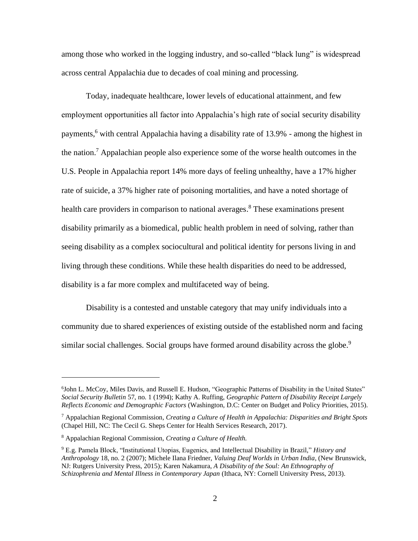among those who worked in the logging industry, and so-called "black lung" is widespread across central Appalachia due to decades of coal mining and processing.

Today, inadequate healthcare, lower levels of educational attainment, and few employment opportunities all factor into Appalachia's high rate of social security disability payments, <sup>6</sup> with central Appalachia having a disability rate of 13.9% - among the highest in the nation. <sup>7</sup> Appalachian people also experience some of the worse health outcomes in the U.S. People in Appalachia report 14% more days of feeling unhealthy, have a 17% higher rate of suicide, a 37% higher rate of poisoning mortalities, and have a noted shortage of health care providers in comparison to national averages.<sup>8</sup> These examinations present disability primarily as a biomedical, public health problem in need of solving, rather than seeing disability as a complex sociocultural and political identity for persons living in and living through these conditions. While these health disparities do need to be addressed, disability is a far more complex and multifaceted way of being.

Disability is a contested and unstable category that may unify individuals into a community due to shared experiences of existing outside of the established norm and facing similar social challenges. Social groups have formed around disability across the globe.<sup>9</sup>

<sup>&</sup>lt;sup>6</sup>John L. McCoy, Miles Davis, and Russell E. Hudson, "Geographic Patterns of Disability in the United States" *Social Security Bulletin* 57, no. 1 (1994); Kathy A. Ruffing, *Geographic Pattern of Disability Receipt Largely Reflects Economic and Demographic Factors* (Washington, D.C: Center on Budget and Policy Priorities, 2015).

<sup>7</sup> Appalachian Regional Commission, *Creating a Culture of Health in Appalachia: Disparities and Bright Spots* (Chapel Hill, NC: The Cecil G. Sheps Center for Health Services Research, 2017).

<sup>8</sup> Appalachian Regional Commission, *Creating a Culture of Health.* 

<sup>9</sup> E.g. Pamela Block, "Institutional Utopias, Eugenics, and Intellectual Disability in Brazil," *History and Anthropology* 18, no. 2 (2007); Michele Ilana Friedner, *Valuing Deaf Worlds in Urban India*, (New Brunswick, NJ: Rutgers University Press, 2015); Karen Nakamura, *A Disability of the Soul: An Ethnography of Schizophrenia and Mental Illness in Contemporary Japan* (Ithaca, NY: Cornell University Press, 2013).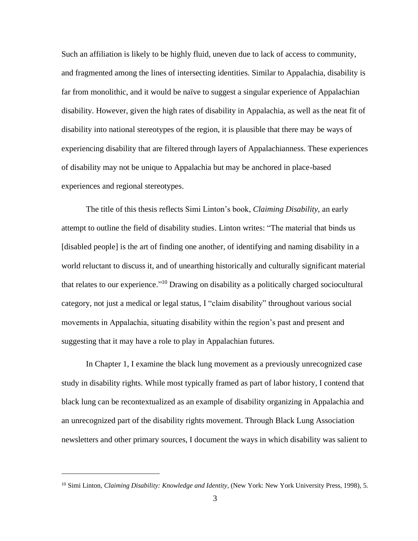Such an affiliation is likely to be highly fluid, uneven due to lack of access to community, and fragmented among the lines of intersecting identities. Similar to Appalachia, disability is far from monolithic, and it would be naïve to suggest a singular experience of Appalachian disability. However, given the high rates of disability in Appalachia, as well as the neat fit of disability into national stereotypes of the region, it is plausible that there may be ways of experiencing disability that are filtered through layers of Appalachianness. These experiences of disability may not be unique to Appalachia but may be anchored in place-based experiences and regional stereotypes.

The title of this thesis reflects Simi Linton's book, *Claiming Disability,* an early attempt to outline the field of disability studies. Linton writes: "The material that binds us [disabled people] is the art of finding one another, of identifying and naming disability in a world reluctant to discuss it, and of unearthing historically and culturally significant material that relates to our experience." <sup>10</sup> Drawing on disability as a politically charged sociocultural category, not just a medical or legal status, I "claim disability" throughout various social movements in Appalachia, situating disability within the region's past and present and suggesting that it may have a role to play in Appalachian futures.

In Chapter 1, I examine the black lung movement as a previously unrecognized case study in disability rights. While most typically framed as part of labor history, I contend that black lung can be recontextualized as an example of disability organizing in Appalachia and an unrecognized part of the disability rights movement. Through Black Lung Association newsletters and other primary sources, I document the ways in which disability was salient to

<sup>10</sup> Simi Linton, *Claiming Disability: Knowledge and Identity*, (New York: New York University Press, 1998), 5.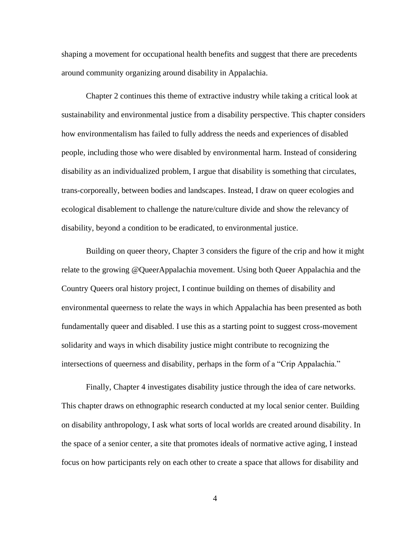shaping a movement for occupational health benefits and suggest that there are precedents around community organizing around disability in Appalachia.

Chapter 2 continues this theme of extractive industry while taking a critical look at sustainability and environmental justice from a disability perspective. This chapter considers how environmentalism has failed to fully address the needs and experiences of disabled people, including those who were disabled by environmental harm. Instead of considering disability as an individualized problem, I argue that disability is something that circulates, trans-corporeally, between bodies and landscapes. Instead, I draw on queer ecologies and ecological disablement to challenge the nature/culture divide and show the relevancy of disability, beyond a condition to be eradicated, to environmental justice.

Building on queer theory, Chapter 3 considers the figure of the crip and how it might relate to the growing @QueerAppalachia movement. Using both Queer Appalachia and the Country Queers oral history project, I continue building on themes of disability and environmental queerness to relate the ways in which Appalachia has been presented as both fundamentally queer and disabled. I use this as a starting point to suggest cross-movement solidarity and ways in which disability justice might contribute to recognizing the intersections of queerness and disability, perhaps in the form of a "Crip Appalachia."

Finally, Chapter 4 investigates disability justice through the idea of care networks. This chapter draws on ethnographic research conducted at my local senior center. Building on disability anthropology, I ask what sorts of local worlds are created around disability. In the space of a senior center, a site that promotes ideals of normative active aging, I instead focus on how participants rely on each other to create a space that allows for disability and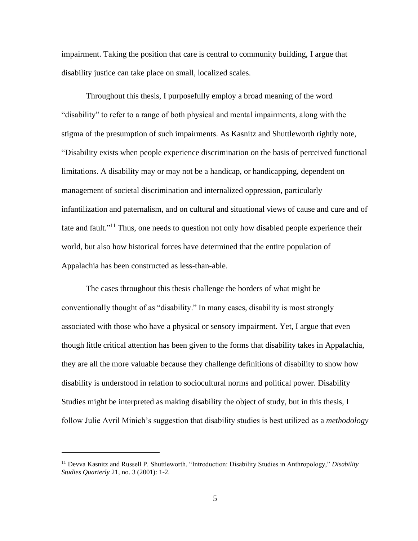impairment. Taking the position that care is central to community building, I argue that disability justice can take place on small, localized scales.

Throughout this thesis, I purposefully employ a broad meaning of the word "disability" to refer to a range of both physical and mental impairments, along with the stigma of the presumption of such impairments. As Kasnitz and Shuttleworth rightly note, "Disability exists when people experience discrimination on the basis of perceived functional limitations. A disability may or may not be a handicap, or handicapping, dependent on management of societal discrimination and internalized oppression, particularly infantilization and paternalism, and on cultural and situational views of cause and cure and of fate and fault."<sup>11</sup> Thus, one needs to question not only how disabled people experience their world, but also how historical forces have determined that the entire population of Appalachia has been constructed as less-than-able.

The cases throughout this thesis challenge the borders of what might be conventionally thought of as "disability." In many cases, disability is most strongly associated with those who have a physical or sensory impairment. Yet, I argue that even though little critical attention has been given to the forms that disability takes in Appalachia, they are all the more valuable because they challenge definitions of disability to show how disability is understood in relation to sociocultural norms and political power. Disability Studies might be interpreted as making disability the object of study, but in this thesis, I follow Julie Avril Minich's suggestion that disability studies is best utilized as a *methodology* 

<sup>11</sup> Devva Kasnitz and Russell P. Shuttleworth. "Introduction: Disability Studies in Anthropology," *Disability Studies Quarterly* 21, no. 3 (2001): 1-2.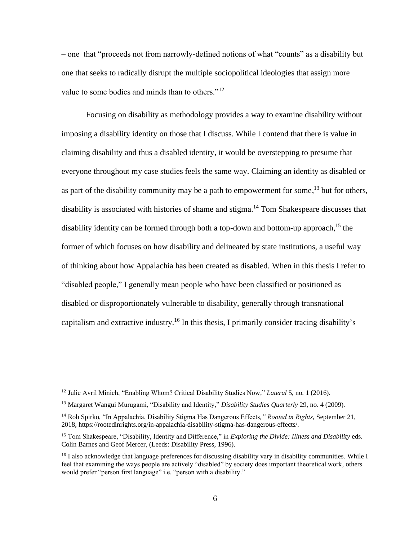*–* one that "proceeds not from narrowly-defined notions of what "counts" as a disability but one that seeks to radically disrupt the multiple sociopolitical ideologies that assign more value to some bodies and minds than to others."<sup>12</sup>

Focusing on disability as methodology provides a way to examine disability without imposing a disability identity on those that I discuss. While I contend that there is value in claiming disability and thus a disabled identity, it would be overstepping to presume that everyone throughout my case studies feels the same way. Claiming an identity as disabled or as part of the disability community may be a path to empowerment for some,<sup>13</sup> but for others, disability is associated with histories of shame and stigma.<sup>14</sup> Tom Shakespeare discusses that disability identity can be formed through both a top-down and bottom-up approach, <sup>15</sup> the former of which focuses on how disability and delineated by state institutions, a useful way of thinking about how Appalachia has been created as disabled. When in this thesis I refer to "disabled people," I generally mean people who have been classified or positioned as disabled or disproportionately vulnerable to disability, generally through transnational capitalism and extractive industry.<sup>16</sup> In this thesis, I primarily consider tracing disability's

<sup>12</sup> Julie Avril Minich, "Enabling Whom? Critical Disability Studies Now," *Lateral* 5, no. 1 (2016).

<sup>13</sup> Margaret Wangui Murugami, "Disability and Identity," *Disability Studies Quarterly* 29, no. 4 (2009).

<sup>14</sup> Rob Spirko, "In Appalachia, Disability Stigma Has Dangerous Effects*," Rooted in Rights,* September 21, 2018, [https://rootedinrights.org/in-appalachia-disability-stigma-has-dangerous-effects/.](https://rootedinrights.org/in-appalachia-disability-stigma-has-dangerous-effects/)

<sup>&</sup>lt;sup>15</sup> Tom Shakespeare, "Disability, Identity and Difference," in *Exploring the Divide: Illness and Disability* eds. Colin Barnes and Geof Mercer, (Leeds: Disability Press, 1996).

<sup>&</sup>lt;sup>16</sup> I also acknowledge that language preferences for discussing disability vary in disability communities. While I feel that examining the ways people are actively "disabled" by society does important theoretical work, others would prefer "person first language" i.e. "person with a disability."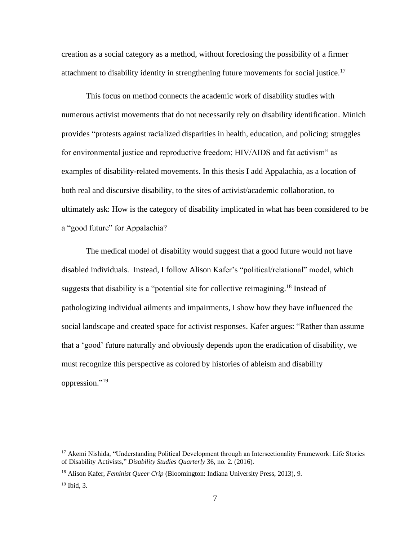creation as a social category as a method, without foreclosing the possibility of a firmer attachment to disability identity in strengthening future movements for social justice.<sup>17</sup>

This focus on method connects the academic work of disability studies with numerous activist movements that do not necessarily rely on disability identification. Minich provides "protests against racialized disparities in health, education, and policing; struggles for environmental justice and reproductive freedom; HIV/AIDS and fat activism" as examples of disability-related movements. In this thesis I add Appalachia, as a location of both real and discursive disability, to the sites of activist/academic collaboration, to ultimately ask: How is the category of disability implicated in what has been considered to be a "good future" for Appalachia?

The medical model of disability would suggest that a good future would not have disabled individuals. Instead, I follow Alison Kafer's "political/relational" model, which suggests that disability is a "potential site for collective reimagining.<sup>18</sup> Instead of pathologizing individual ailments and impairments, I show how they have influenced the social landscape and created space for activist responses. Kafer argues: "Rather than assume that a 'good' future naturally and obviously depends upon the eradication of disability, we must recognize this perspective as colored by histories of ableism and disability oppression."<sup>19</sup>

<sup>&</sup>lt;sup>17</sup> Akemi Nishida, "Understanding Political Development through an Intersectionality Framework: Life Stories of Disability Activists," *Disability Studies Quarterly* 36, no. 2. (2016).

<sup>18</sup> Alison Kafer, *Feminist Queer Crip* (Bloomington: Indiana University Press, 2013), 9.

 $19$  Ibid, 3.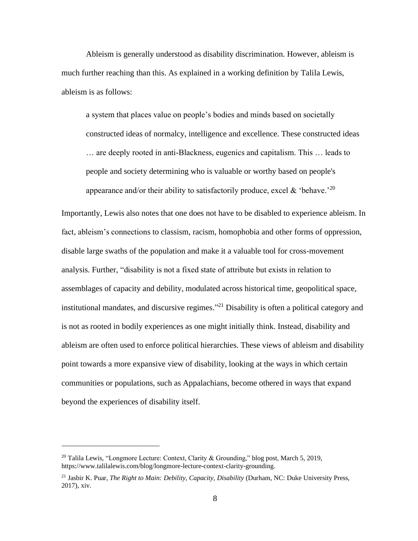Ableism is generally understood as disability discrimination. However, ableism is much further reaching than this. As explained in a working definition by Talila Lewis, ableism is as follows:

a system that places value on people's bodies and minds based on societally constructed ideas of normalcy, intelligence and excellence. These constructed ideas … are deeply rooted in anti-Blackness, eugenics and capitalism. This … leads to people and society determining who is valuable or worthy based on people's appearance and/or their ability to satisfactorily produce, excel & 'behave.'<sup>20</sup>

Importantly, Lewis also notes that one does not have to be disabled to experience ableism. In fact, ableism's connections to classism, racism, homophobia and other forms of oppression, disable large swaths of the population and make it a valuable tool for cross-movement analysis. Further, "disability is not a fixed state of attribute but exists in relation to assemblages of capacity and debility, modulated across historical time, geopolitical space, institutional mandates, and discursive regimes."<sup>21</sup> Disability is often a political category and is not as rooted in bodily experiences as one might initially think. Instead, disability and ableism are often used to enforce political hierarchies. These views of ableism and disability point towards a more expansive view of disability, looking at the ways in which certain communities or populations, such as Appalachians, become othered in ways that expand beyond the experiences of disability itself.

<sup>&</sup>lt;sup>20</sup> Talila Lewis, "Longmore Lecture: Context, Clarity & Grounding," blog post, March 5, 2019, [https://www.talilalewis.com/blog/longmore-lecture-context-clarity-grounding.](https://www.talilalewis.com/blog/longmore-lecture-context-clarity-grounding)

<sup>&</sup>lt;sup>21</sup> Jasbir K. Puar, *The Right to Main: Debility, Capacity, Disability (Durham, NC: Duke University Press,* 2017), xiv.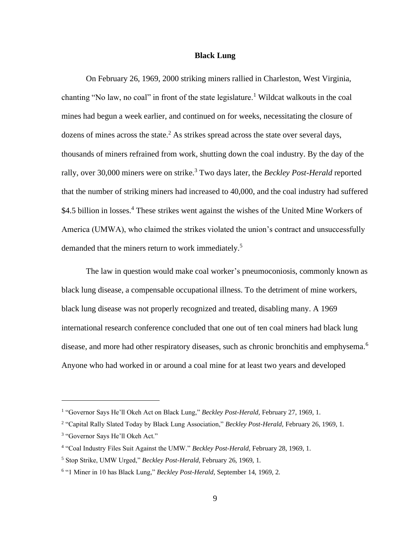#### **Black Lung**

<span id="page-16-0"></span>On February 26, 1969, 2000 striking miners rallied in Charleston, West Virginia, chanting "No law, no coal" in front of the state legislature.<sup>1</sup> Wildcat walkouts in the coal mines had begun a week earlier, and continued on for weeks, necessitating the closure of dozens of mines across the state.<sup>2</sup> As strikes spread across the state over several days, thousands of miners refrained from work, shutting down the coal industry. By the day of the rally, over 30,000 miners were on strike.<sup>3</sup> Two days later, the *Beckley Post-Herald* reported that the number of striking miners had increased to 40,000, and the coal industry had suffered \$4.5 billion in losses.<sup>4</sup> These strikes went against the wishes of the United Mine Workers of America (UMWA), who claimed the strikes violated the union's contract and unsuccessfully demanded that the miners return to work immediately.<sup>5</sup>

The law in question would make coal worker's pneumoconiosis, commonly known as black lung disease, a compensable occupational illness. To the detriment of mine workers, black lung disease was not properly recognized and treated, disabling many. A 1969 international research conference concluded that one out of ten coal miners had black lung disease, and more had other respiratory diseases, such as chronic bronchitis and emphysema.<sup>6</sup> Anyone who had worked in or around a coal mine for at least two years and developed

<sup>&</sup>lt;sup>1</sup> "Governor Says He'll Okeh Act on Black Lung," *Beckley Post-Herald*, February 27, 1969, 1.

<sup>2</sup> "Capital Rally Slated Today by Black Lung Association," *Beckley Post-Herald,* February 26, 1969, 1.

<sup>&</sup>lt;sup>3</sup> "Governor Says He'll Okeh Act."

<sup>4</sup> "Coal Industry Files Suit Against the UMW." *Beckley Post-Herald,* February 28, 1969, 1.

<sup>5</sup> Stop Strike, UMW Urged," *Beckley Post-Herald,* February 26, 1969, 1.

<sup>6</sup> "1 Miner in 10 has Black Lung," *Beckley Post-Herald,* September 14, 1969, 2.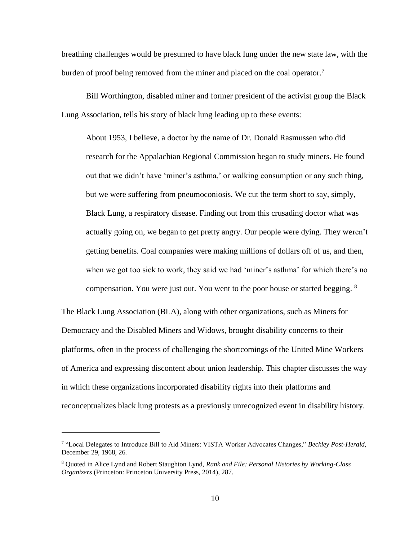breathing challenges would be presumed to have black lung under the new state law, with the burden of proof being removed from the miner and placed on the coal operator.<sup>7</sup>

Bill Worthington, disabled miner and former president of the activist group the Black Lung Association, tells his story of black lung leading up to these events:

About 1953, I believe, a doctor by the name of Dr. Donald Rasmussen who did research for the Appalachian Regional Commission began to study miners. He found out that we didn't have 'miner's asthma,' or walking consumption or any such thing, but we were suffering from pneumoconiosis. We cut the term short to say, simply, Black Lung, a respiratory disease. Finding out from this crusading doctor what was actually going on, we began to get pretty angry. Our people were dying. They weren't getting benefits. Coal companies were making millions of dollars off of us, and then, when we got too sick to work, they said we had 'miner's asthma' for which there's no compensation. You were just out. You went to the poor house or started begging. <sup>8</sup>

The Black Lung Association (BLA), along with other organizations, such as Miners for Democracy and the Disabled Miners and Widows, brought disability concerns to their platforms, often in the process of challenging the shortcomings of the United Mine Workers of America and expressing discontent about union leadership. This chapter discusses the way in which these organizations incorporated disability rights into their platforms and reconceptualizes black lung protests as a previously unrecognized event in disability history.

<sup>7</sup> "Local Delegates to Introduce Bill to Aid Miners: VISTA Worker Advocates Changes," *Beckley Post-Herald,*  December 29, 1968, 26.

<sup>8</sup> Quoted in Alice Lynd and Robert Staughton Lynd, *Rank and File: Personal Histories by Working-Class Organizers* (Princeton: Princeton University Press, 2014), 287.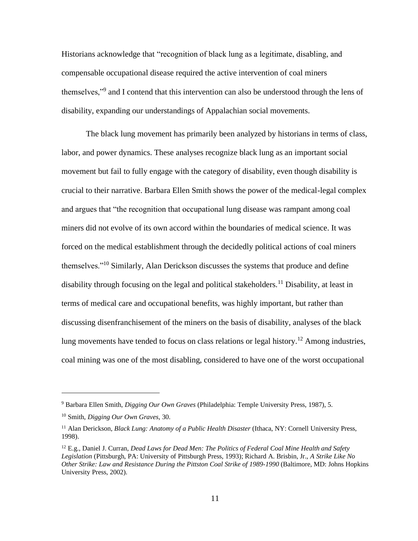Historians acknowledge that "recognition of black lung as a legitimate, disabling, and compensable occupational disease required the active intervention of coal miners themselves,"<sup>9</sup> and I contend that this intervention can also be understood through the lens of disability, expanding our understandings of Appalachian social movements.

The black lung movement has primarily been analyzed by historians in terms of class, labor, and power dynamics. These analyses recognize black lung as an important social movement but fail to fully engage with the category of disability, even though disability is crucial to their narrative. Barbara Ellen Smith shows the power of the medical-legal complex and argues that "the recognition that occupational lung disease was rampant among coal miners did not evolve of its own accord within the boundaries of medical science. It was forced on the medical establishment through the decidedly political actions of coal miners themselves."<sup>10</sup> Similarly, Alan Derickson discusses the systems that produce and define disability through focusing on the legal and political stakeholders.<sup>11</sup> Disability, at least in terms of medical care and occupational benefits, was highly important, but rather than discussing disenfranchisement of the miners on the basis of disability, analyses of the black lung movements have tended to focus on class relations or legal history.<sup>12</sup> Among industries, coal mining was one of the most disabling, considered to have one of the worst occupational

<sup>9</sup> Barbara Ellen Smith, *Digging Our Own Graves* (Philadelphia: Temple University Press, 1987), 5.

<sup>10</sup> Smith, *Digging Our Own Graves,* 30.

<sup>11</sup> Alan Derickson, *Black Lung: Anatomy of a Public Health Disaster* (Ithaca, NY: Cornell University Press, 1998).

<sup>12</sup> E.g., Daniel J. Curran, *Dead Laws for Dead Men: The Politics of Federal Coal Mine Health and Safety Legislation* (Pittsburgh, PA: University of Pittsburgh Press, 1993); Richard A. Brisbin, Jr., *A Strike Like No Other Strike: Law and Resistance During the Pittston Coal Strike of 1989-1990* (Baltimore, MD: Johns Hopkins University Press, 2002).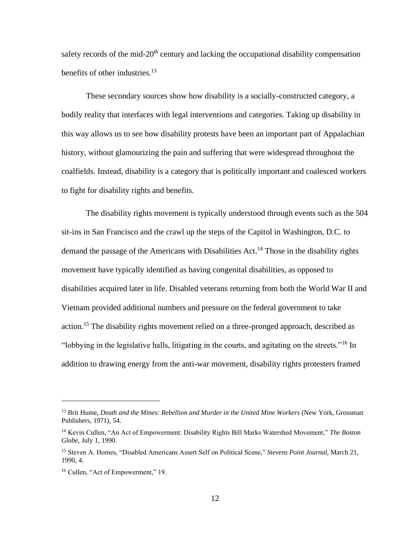safety records of the mid- $20<sup>th</sup>$  century and lacking the occupational disability compensation benefits of other industries.<sup>13</sup>

These secondary sources show how disability is a socially-constructed category, a bodily reality that interfaces with legal interventions and categories. Taking up disability in this way allows us to see how disability protests have been an important part of Appalachian history, without glamourizing the pain and suffering that were widespread throughout the coalfields. Instead, disability is a category that is politically important and coalesced workers to fight for disability rights and benefits.

The disability rights movement is typically understood through events such as the 504 sit-ins in San Francisco and the crawl up the steps of the Capitol in Washington, D.C. to demand the passage of the Americans with Disabilities Act.<sup>14</sup> Those in the disability rights movement have typically identified as having congenital disabilities, as opposed to disabilities acquired later in life. Disabled veterans returning from both the World War II and Vietnam provided additional numbers and pressure on the federal government to take action.<sup>15</sup> The disability rights movement relied on a three-pronged approach, described as "lobbying in the legislative halls, litigating in the courts, and agitating on the streets."<sup>16</sup> In addition to drawing energy from the anti-war movement, disability rights protesters framed

<sup>&</sup>lt;sup>13</sup> Brit Hume, *Death and the Mines: Rebellion and Murder in the United Mine Workers* (New York, Grossman Publishers, 1971), 54.

<sup>14</sup> Kevin Cullen, "An Act of Empowerment: Disability Rights Bill Marks Watershed Movement," *The Boston Globe,* July 1, 1990.

<sup>15</sup> Steven A. Homes, "Disabled Americans Assert Self on Political Scene," *Stevens Point Journal,* March 21, 1990, 4.

<sup>16</sup> Cullen, "Act of Empowerment," 19.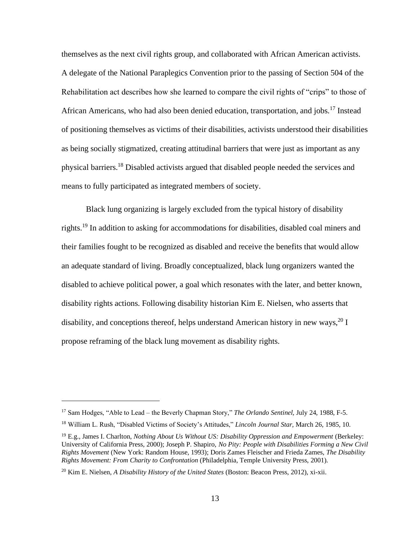themselves as the next civil rights group, and collaborated with African American activists. A delegate of the National Paraplegics Convention prior to the passing of Section 504 of the Rehabilitation act describes how she learned to compare the civil rights of "crips" to those of African Americans, who had also been denied education, transportation, and jobs.<sup>17</sup> Instead of positioning themselves as victims of their disabilities, activists understood their disabilities as being socially stigmatized, creating attitudinal barriers that were just as important as any physical barriers.<sup>18</sup> Disabled activists argued that disabled people needed the services and means to fully participated as integrated members of society.

Black lung organizing is largely excluded from the typical history of disability rights.<sup>19</sup> In addition to asking for accommodations for disabilities, disabled coal miners and their families fought to be recognized as disabled and receive the benefits that would allow an adequate standard of living. Broadly conceptualized, black lung organizers wanted the disabled to achieve political power, a goal which resonates with the later, and better known, disability rights actions. Following disability historian Kim E. Nielsen, who asserts that disability, and conceptions thereof, helps understand American history in new ways,  $^{20}$  I propose reframing of the black lung movement as disability rights.

<sup>17</sup> Sam Hodges, "Able to Lead – the Beverly Chapman Story," *The Orlando Sentinel,* July 24, 1988, F-5.

<sup>18</sup> William L. Rush, "Disabled Victims of Society's Attitudes," *Lincoln Journal Star,* March 26, 1985, 10.

<sup>&</sup>lt;sup>19</sup> E.g., James I. Charlton, *Nothing About Us Without US: Disability Oppression and Empowerment* (Berkeley: University of California Press, 2000); Joseph P. Shapiro, *No Pity: People with Disabilities Forming a New Civil Rights Movement* (New York: Random House, 1993); Doris Zames Fleischer and Frieda Zames, *The Disability Rights Movement: From Charity to Confrontation* (Philadelphia, Temple University Press, 2001).

<sup>20</sup> Kim E. Nielsen, *A Disability History of the United States* (Boston: Beacon Press, 2012), xi-xii.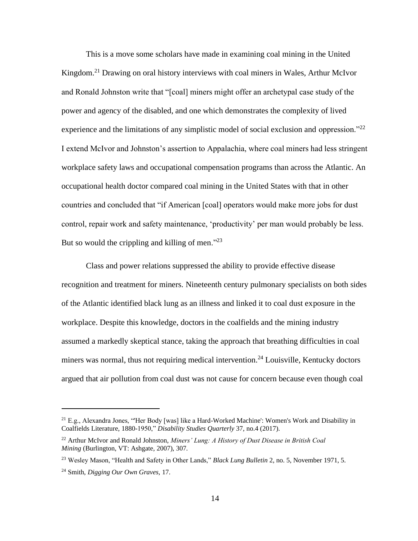This is a move some scholars have made in examining coal mining in the United Kingdom.<sup>21</sup> Drawing on oral history interviews with coal miners in Wales, Arthur McIvor and Ronald Johnston write that "[coal] miners might offer an archetypal case study of the power and agency of the disabled, and one which demonstrates the complexity of lived experience and the limitations of any simplistic model of social exclusion and oppression."<sup>22</sup> I extend McIvor and Johnston's assertion to Appalachia, where coal miners had less stringent workplace safety laws and occupational compensation programs than across the Atlantic. An occupational health doctor compared coal mining in the United States with that in other countries and concluded that "if American [coal] operators would make more jobs for dust control, repair work and safety maintenance, 'productivity' per man would probably be less. But so would the crippling and killing of men. $^{223}$ 

Class and power relations suppressed the ability to provide effective disease recognition and treatment for miners. Nineteenth century pulmonary specialists on both sides of the Atlantic identified black lung as an illness and linked it to coal dust exposure in the workplace. Despite this knowledge, doctors in the coalfields and the mining industry assumed a markedly skeptical stance, taking the approach that breathing difficulties in coal miners was normal, thus not requiring medical intervention.<sup>24</sup> Louisville, Kentucky doctors argued that air pollution from coal dust was not cause for concern because even though coal

 $21$  E.g., Alexandra Jones, "Her Body [was] like a Hard-Worked Machine': Women's Work and Disability in Coalfields Literature, 1880-1950," *Disability Studies Quarterly* 37, no.4 (2017).

<sup>22</sup> Arthur McIvor and Ronald Johnston, *Miners' Lung: A History of Dust Disease in British Coal Mining* (Burlington, VT: Ashgate, 2007), 307.

<sup>23</sup> Wesley Mason, "Health and Safety in Other Lands," *Black Lung Bulletin* 2, no. 5, November 1971, 5.

<sup>24</sup> Smith, *Digging Our Own Graves,* 17.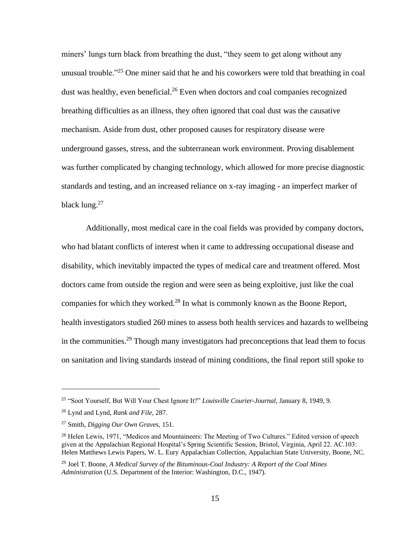miners' lungs turn black from breathing the dust, "they seem to get along without any unusual trouble."<sup>25</sup> One miner said that he and his coworkers were told that breathing in coal dust was healthy, even beneficial.<sup>26</sup> Even when doctors and coal companies recognized breathing difficulties as an illness, they often ignored that coal dust was the causative mechanism. Aside from dust, other proposed causes for respiratory disease were underground gasses, stress, and the subterranean work environment. Proving disablement was further complicated by changing technology, which allowed for more precise diagnostic standards and testing, and an increased reliance on x-ray imaging - an imperfect marker of black lung. $27$ 

Additionally, most medical care in the coal fields was provided by company doctors, who had blatant conflicts of interest when it came to addressing occupational disease and disability, which inevitably impacted the types of medical care and treatment offered. Most doctors came from outside the region and were seen as being exploitive, just like the coal companies for which they worked.<sup>28</sup> In what is commonly known as the Boone Report, health investigators studied 260 mines to assess both health services and hazards to wellbeing in the communities.<sup>29</sup> Though many investigators had preconceptions that lead them to focus on sanitation and living standards instead of mining conditions, the final report still spoke to

<sup>25</sup> "Soot Yourself, But Will Your Chest Ignore It?" *Louisville Courier-Journal,* January 8, 1949, 9.

<sup>26</sup> Lynd and Lynd, *Rank and File,* 287.

<sup>27</sup> Smith, *Digging Our Own Graves,* 151.

<sup>&</sup>lt;sup>28</sup> Helen Lewis, 1971, "Medicos and Mountaineers: The Meeting of Two Cultures." Edited version of speech given at the Appalachian Regional Hospital's Spring Scientific Session, Bristol, Virginia, April 22. AC.103: Helen Matthews Lewis Papers, W. L. Eury Appalachian Collection, Appalachian State University, Boone, NC.

<sup>29</sup> Joel T. Boone, *A Medical Survey of the Bituminous-Coal Industry: A Report of the Coal Mines Administration* (U.S. Department of the Interior: Washington, D.C., 1947).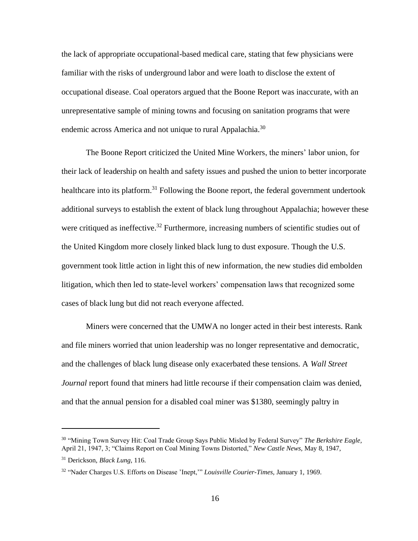the lack of appropriate occupational-based medical care, stating that few physicians were familiar with the risks of underground labor and were loath to disclose the extent of occupational disease. Coal operators argued that the Boone Report was inaccurate, with an unrepresentative sample of mining towns and focusing on sanitation programs that were endemic across America and not unique to rural Appalachia.<sup>30</sup>

The Boone Report criticized the United Mine Workers, the miners' labor union, for their lack of leadership on health and safety issues and pushed the union to better incorporate healthcare into its platform.<sup>31</sup> Following the Boone report, the federal government undertook additional surveys to establish the extent of black lung throughout Appalachia; however these were critiqued as ineffective.<sup>32</sup> Furthermore, increasing numbers of scientific studies out of the United Kingdom more closely linked black lung to dust exposure. Though the U.S. government took little action in light this of new information, the new studies did embolden litigation, which then led to state-level workers' compensation laws that recognized some cases of black lung but did not reach everyone affected.

Miners were concerned that the UMWA no longer acted in their best interests. Rank and file miners worried that union leadership was no longer representative and democratic, and the challenges of black lung disease only exacerbated these tensions. A *Wall Street Journal* report found that miners had little recourse if their compensation claim was denied, and that the annual pension for a disabled coal miner was \$1380, seemingly paltry in

<sup>30</sup> "Mining Town Survey Hit: Coal Trade Group Says Public Misled by Federal Survey" *The Berkshire Eagle,*  April 21, 1947, 3; "Claims Report on Coal Mining Towns Distorted," *New Castle News,* May 8, 1947,

<sup>31</sup> Derickson, *Black Lung,* 116.

<sup>32</sup> "Nader Charges U.S. Efforts on Disease 'Inept,'" *Louisville Courier-Times,* January 1, 1969.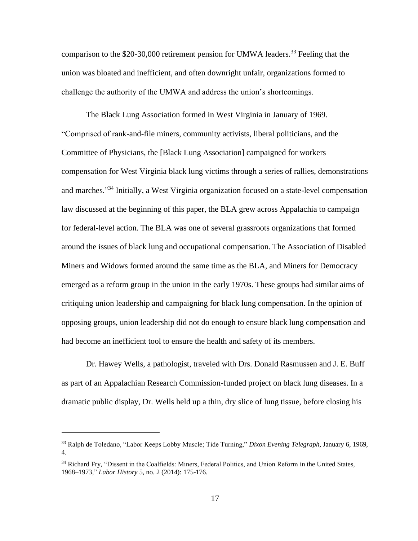comparison to the  $$20-30,000$  retirement pension for UMWA leaders.<sup>33</sup> Feeling that the union was bloated and inefficient, and often downright unfair, organizations formed to challenge the authority of the UMWA and address the union's shortcomings.

The Black Lung Association formed in West Virginia in January of 1969. "Comprised of rank-and-file miners, community activists, liberal politicians, and the Committee of Physicians, the [Black Lung Association] campaigned for workers compensation for West Virginia black lung victims through a series of rallies, demonstrations and marches."<sup>34</sup> Initially, a West Virginia organization focused on a state-level compensation law discussed at the beginning of this paper, the BLA grew across Appalachia to campaign for federal-level action. The BLA was one of several grassroots organizations that formed around the issues of black lung and occupational compensation. The Association of Disabled Miners and Widows formed around the same time as the BLA, and Miners for Democracy emerged as a reform group in the union in the early 1970s. These groups had similar aims of critiquing union leadership and campaigning for black lung compensation. In the opinion of opposing groups, union leadership did not do enough to ensure black lung compensation and had become an inefficient tool to ensure the health and safety of its members.

Dr. Hawey Wells, a pathologist, traveled with Drs. Donald Rasmussen and J. E. Buff as part of an Appalachian Research Commission-funded project on black lung diseases. In a dramatic public display, Dr. Wells held up a thin, dry slice of lung tissue, before closing his

<sup>33</sup> Ralph de Toledano, "Labor Keeps Lobby Muscle; Tide Turning," *Dixon Evening Telegraph,* January 6, 1969, 4.

<sup>&</sup>lt;sup>34</sup> Richard Fry, "Dissent in the Coalfields: Miners, Federal Politics, and Union Reform in the United States, 1968–1973," *Labor History* 5, no. 2 (2014): 175-176.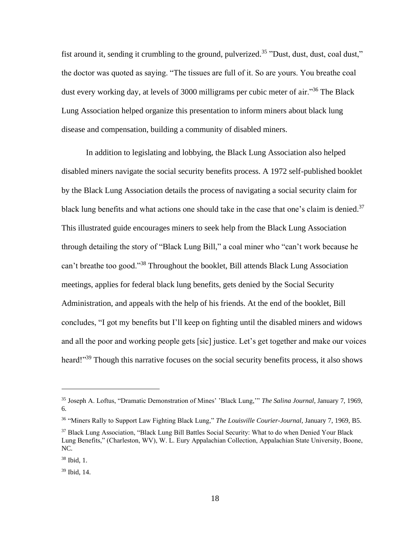fist around it, sending it crumbling to the ground, pulverized.<sup>35</sup> "Dust, dust, dust, coal dust," the doctor was quoted as saying. "The tissues are full of it. So are yours. You breathe coal dust every working day, at levels of 3000 milligrams per cubic meter of air.<sup>356</sup> The Black Lung Association helped organize this presentation to inform miners about black lung disease and compensation, building a community of disabled miners.

In addition to legislating and lobbying, the Black Lung Association also helped disabled miners navigate the social security benefits process. A 1972 self-published booklet by the Black Lung Association details the process of navigating a social security claim for black lung benefits and what actions one should take in the case that one's claim is denied.<sup>37</sup> This illustrated guide encourages miners to seek help from the Black Lung Association through detailing the story of "Black Lung Bill," a coal miner who "can't work because he can't breathe too good."<sup>38</sup> Throughout the booklet, Bill attends Black Lung Association meetings, applies for federal black lung benefits, gets denied by the Social Security Administration, and appeals with the help of his friends. At the end of the booklet, Bill concludes, "I got my benefits but I'll keep on fighting until the disabled miners and widows and all the poor and working people gets [sic] justice. Let's get together and make our voices heard!"<sup>39</sup> Though this narrative focuses on the social security benefits process, it also shows

<sup>35</sup> Joseph A. Loftus, "Dramatic Demonstration of Mines' 'Black Lung,'" *The Salina Journal,* January 7, 1969, 6.

<sup>36</sup> "Miners Rally to Support Law Fighting Black Lung," *The Louisville Courier-Journal*, January 7, 1969, B5.

<sup>37</sup> Black Lung Association, "Black Lung Bill Battles Social Security: What to do when Denied Your Black Lung Benefits," (Charleston, WV), W. L. Eury Appalachian Collection, Appalachian State University, Boone, NC.

 $38$  Ibid, 1.

<sup>39</sup> Ibid, 14.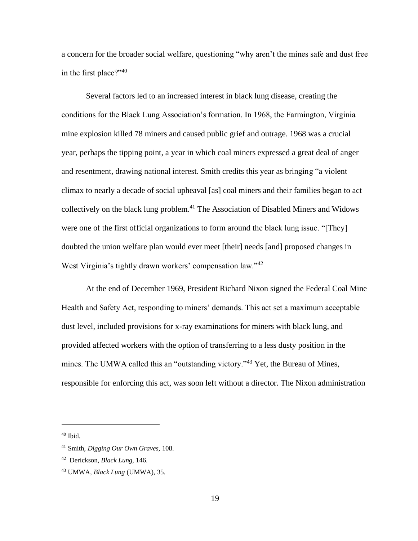a concern for the broader social welfare, questioning "why aren't the mines safe and dust free in the first place?"<sup>40</sup>

Several factors led to an increased interest in black lung disease, creating the conditions for the Black Lung Association's formation. In 1968, the Farmington, Virginia mine explosion killed 78 miners and caused public grief and outrage. 1968 was a crucial year, perhaps the tipping point, a year in which coal miners expressed a great deal of anger and resentment, drawing national interest. Smith credits this year as bringing "a violent climax to nearly a decade of social upheaval [as] coal miners and their families began to act collectively on the black lung problem.<sup>41</sup> The Association of Disabled Miners and Widows were one of the first official organizations to form around the black lung issue. "[They] doubted the union welfare plan would ever meet [their] needs [and] proposed changes in West Virginia's tightly drawn workers' compensation law."<sup>42</sup>

At the end of December 1969, President Richard Nixon signed the Federal Coal Mine Health and Safety Act, responding to miners' demands. This act set a maximum acceptable dust level, included provisions for x-ray examinations for miners with black lung, and provided affected workers with the option of transferring to a less dusty position in the mines. The UMWA called this an "outstanding victory."<sup>43</sup> Yet, the Bureau of Mines, responsible for enforcing this act, was soon left without a director. The Nixon administration

 $40$  Ibid.

<sup>41</sup> Smith, *Digging Our Own Graves,* 108.

<sup>42</sup> Derickson, *Black Lung,* 146.

<sup>43</sup> UMWA, *Black Lung* (UMWA), 35.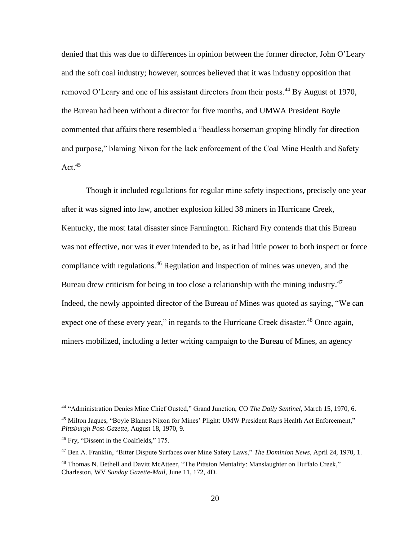denied that this was due to differences in opinion between the former director, John O'Leary and the soft coal industry; however, sources believed that it was industry opposition that removed O'Leary and one of his assistant directors from their posts.<sup>44</sup> By August of 1970, the Bureau had been without a director for five months, and UMWA President Boyle commented that affairs there resembled a "headless horseman groping blindly for direction and purpose," blaming Nixon for the lack enforcement of the Coal Mine Health and Safety Act. $45$ 

Though it included regulations for regular mine safety inspections, precisely one year after it was signed into law, another explosion killed 38 miners in Hurricane Creek, Kentucky, the most fatal disaster since Farmington. Richard Fry contends that this Bureau was not effective, nor was it ever intended to be, as it had little power to both inspect or force compliance with regulations.<sup>46</sup> Regulation and inspection of mines was uneven, and the Bureau drew criticism for being in too close a relationship with the mining industry.<sup>47</sup> Indeed, the newly appointed director of the Bureau of Mines was quoted as saying, "We can expect one of these every year," in regards to the Hurricane Creek disaster.<sup>48</sup> Once again, miners mobilized, including a letter writing campaign to the Bureau of Mines, an agency

<sup>44</sup> "Administration Denies Mine Chief Ousted," Grand Junction, CO *The Daily Sentinel,* March 15, 1970, 6.

<sup>45</sup> Milton Jaques, "Boyle Blames Nixon for Mines' Plight: UMW President Raps Health Act Enforcement," *Pittsburgh Post-Gazette,* August 18, 1970, 9.

<sup>&</sup>lt;sup>46</sup> Fry, "Dissent in the Coalfields," 175.

<sup>47</sup> Ben A. Franklin, "Bitter Dispute Surfaces over Mine Safety Laws," *The Dominion News,* April 24, 1970, 1.

<sup>&</sup>lt;sup>48</sup> Thomas N. Bethell and Davitt McAtteer, "The Pittston Mentality: Manslaughter on Buffalo Creek," Charleston, WV *Sunday Gazette-Mail,* June 11, 172, 4D.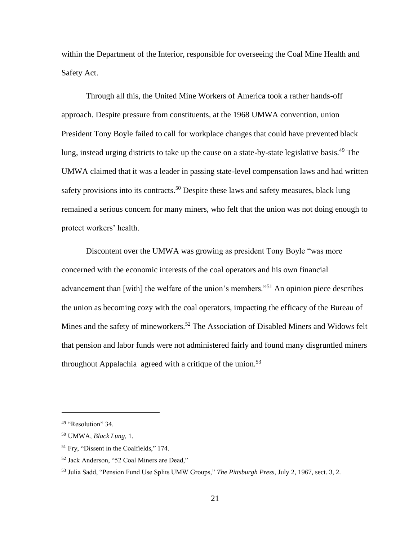within the Department of the Interior, responsible for overseeing the Coal Mine Health and Safety Act.

Through all this, the United Mine Workers of America took a rather hands-off approach. Despite pressure from constituents, at the 1968 UMWA convention, union President Tony Boyle failed to call for workplace changes that could have prevented black lung, instead urging districts to take up the cause on a state-by-state legislative basis.<sup>49</sup> The UMWA claimed that it was a leader in passing state-level compensation laws and had written safety provisions into its contracts.<sup>50</sup> Despite these laws and safety measures, black lung remained a serious concern for many miners, who felt that the union was not doing enough to protect workers' health.

Discontent over the UMWA was growing as president Tony Boyle "was more concerned with the economic interests of the coal operators and his own financial advancement than [with] the welfare of the union's members."<sup>51</sup> An opinion piece describes the union as becoming cozy with the coal operators, impacting the efficacy of the Bureau of Mines and the safety of mineworkers.<sup>52</sup> The Association of Disabled Miners and Widows felt that pension and labor funds were not administered fairly and found many disgruntled miners throughout Appalachia agreed with a critique of the union.<sup>53</sup>

<sup>&</sup>lt;sup>49</sup> "Resolution" 34.

<sup>50</sup> UMWA, *Black Lung,* 1.

<sup>&</sup>lt;sup>51</sup> Fry, "Dissent in the Coalfields," 174.

<sup>52</sup> Jack Anderson, "52 Coal Miners are Dead,"

<sup>53</sup> Julia Sadd, "Pension Fund Use Splits UMW Groups," *The Pittsburgh Press,* July 2, 1967, sect. 3, 2.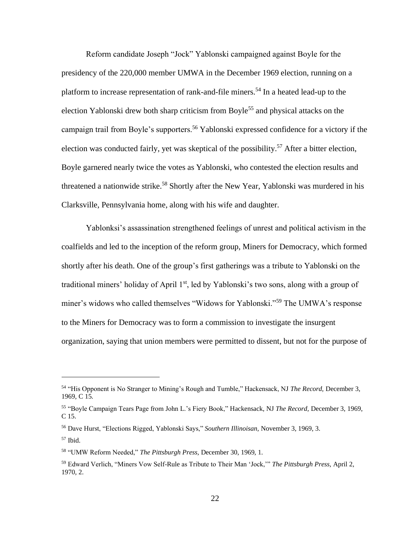Reform candidate Joseph "Jock" Yablonski campaigned against Boyle for the presidency of the 220,000 member UMWA in the December 1969 election, running on a platform to increase representation of rank-and-file miners.<sup>54</sup> In a heated lead-up to the election Yablonski drew both sharp criticism from Boyle<sup>55</sup> and physical attacks on the campaign trail from Boyle's supporters.<sup>56</sup> Yablonski expressed confidence for a victory if the election was conducted fairly, yet was skeptical of the possibility.<sup>57</sup> After a bitter election, Boyle garnered nearly twice the votes as Yablonski, who contested the election results and threatened a nationwide strike.<sup>58</sup> Shortly after the New Year, Yablonski was murdered in his Clarksville, Pennsylvania home, along with his wife and daughter.

Yablonksi's assassination strengthened feelings of unrest and political activism in the coalfields and led to the inception of the reform group, Miners for Democracy, which formed shortly after his death. One of the group's first gatherings was a tribute to Yablonski on the traditional miners' holiday of April 1<sup>st</sup>, led by Yablonski's two sons, along with a group of miner's widows who called themselves "Widows for Yablonski."<sup>59</sup> The UMWA's response to the Miners for Democracy was to form a commission to investigate the insurgent organization, saying that union members were permitted to dissent, but not for the purpose of

<sup>57</sup> Ibid.

<sup>54</sup> "His Opponent is No Stranger to Mining's Rough and Tumble," Hackensack, NJ *The Record,* December 3, 1969, C 15.

<sup>55</sup> "Boyle Campaign Tears Page from John L.'s Fiery Book," Hackensack, NJ *The Record,* December 3, 1969, C 15.

<sup>56</sup> Dave Hurst, "Elections Rigged, Yablonski Says," *Southern Illinoisan,* November 3, 1969, 3.

<sup>58</sup> "UMW Reform Needed," *The Pittsburgh Press,* December 30, 1969, 1.

<sup>59</sup> Edward Verlich, "Miners Vow Self-Rule as Tribute to Their Man 'Jock,'" *The Pittsburgh Press,* April 2, 1970, 2.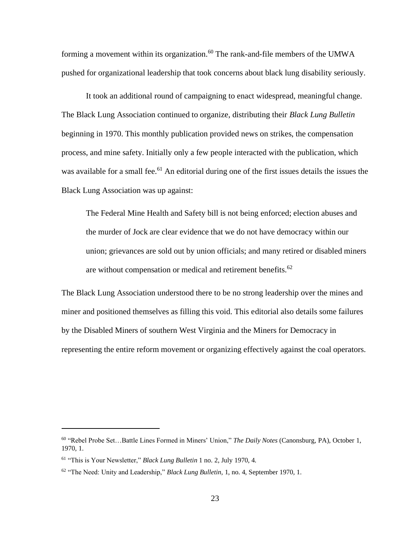forming a movement within its organization.<sup>60</sup> The rank-and-file members of the UMWA pushed for organizational leadership that took concerns about black lung disability seriously.

It took an additional round of campaigning to enact widespread, meaningful change. The Black Lung Association continued to organize, distributing their *Black Lung Bulletin*  beginning in 1970. This monthly publication provided news on strikes, the compensation process, and mine safety. Initially only a few people interacted with the publication, which was available for a small fee.<sup>61</sup> An editorial during one of the first issues details the issues the Black Lung Association was up against:

The Federal Mine Health and Safety bill is not being enforced; election abuses and the murder of Jock are clear evidence that we do not have democracy within our union; grievances are sold out by union officials; and many retired or disabled miners are without compensation or medical and retirement benefits.<sup>62</sup>

The Black Lung Association understood there to be no strong leadership over the mines and miner and positioned themselves as filling this void. This editorial also details some failures by the Disabled Miners of southern West Virginia and the Miners for Democracy in representing the entire reform movement or organizing effectively against the coal operators.

<sup>60</sup> "Rebel Probe Set…Battle Lines Formed in Miners' Union," *The Daily Notes* (Canonsburg, PA)*,* October 1, 1970, 1.

<sup>61</sup> "This is Your Newsletter," *Black Lung Bulletin* 1 no. 2, July 1970, 4.

<sup>62</sup> "The Need: Unity and Leadership," *Black Lung Bulletin,* 1, no. 4, September 1970, 1.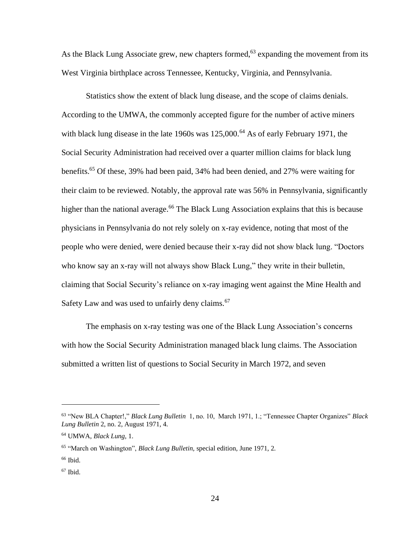As the Black Lung Associate grew, new chapters formed, $63$  expanding the movement from its West Virginia birthplace across Tennessee, Kentucky, Virginia, and Pennsylvania.

Statistics show the extent of black lung disease, and the scope of claims denials. According to the UMWA, the commonly accepted figure for the number of active miners with black lung disease in the late 1960s was 125,000.<sup>64</sup> As of early February 1971, the Social Security Administration had received over a quarter million claims for black lung benefits.<sup>65</sup> Of these, 39% had been paid, 34% had been denied, and 27% were waiting for their claim to be reviewed. Notably, the approval rate was 56% in Pennsylvania, significantly higher than the national average.<sup>66</sup> The Black Lung Association explains that this is because physicians in Pennsylvania do not rely solely on x-ray evidence, noting that most of the people who were denied, were denied because their x-ray did not show black lung. "Doctors who know say an x-ray will not always show Black Lung," they write in their bulletin, claiming that Social Security's reliance on x-ray imaging went against the Mine Health and Safety Law and was used to unfairly deny claims.<sup>67</sup>

The emphasis on x-ray testing was one of the Black Lung Association's concerns with how the Social Security Administration managed black lung claims. The Association submitted a written list of questions to Social Security in March 1972, and seven

<sup>63</sup> "New BLA Chapter!," *Black Lung Bulletin* 1, no. 10, March 1971, 1.; "Tennessee Chapter Organizes" *Black Lung Bulletin* 2, no. 2, August 1971, 4.

<sup>64</sup> UMWA, *Black Lung*, 1.

<sup>65</sup> "March on Washington", *Black Lung Bulletin,* special edition, June 1971, 2.

 $66$  Ibid.

 $67$  Ibid.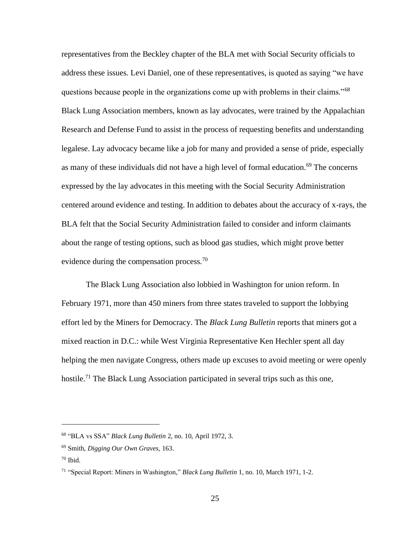representatives from the Beckley chapter of the BLA met with Social Security officials to address these issues. Levi Daniel, one of these representatives, is quoted as saying "we have questions because people in the organizations come up with problems in their claims."<sup>68</sup> Black Lung Association members, known as lay advocates, were trained by the Appalachian Research and Defense Fund to assist in the process of requesting benefits and understanding legalese. Lay advocacy became like a job for many and provided a sense of pride, especially as many of these individuals did not have a high level of formal education.<sup>69</sup> The concerns expressed by the lay advocates in this meeting with the Social Security Administration centered around evidence and testing. In addition to debates about the accuracy of x-rays, the BLA felt that the Social Security Administration failed to consider and inform claimants about the range of testing options, such as blood gas studies, which might prove better evidence during the compensation process.<sup>70</sup>

The Black Lung Association also lobbied in Washington for union reform. In February 1971, more than 450 miners from three states traveled to support the lobbying effort led by the Miners for Democracy. The *Black Lung Bulletin* reports that miners got a mixed reaction in D.C.: while West Virginia Representative Ken Hechler spent all day helping the men navigate Congress, others made up excuses to avoid meeting or were openly hostile.<sup>71</sup> The Black Lung Association participated in several trips such as this one,

<sup>68</sup> "BLA vs SSA" *Black Lung Bulletin* 2, no. 10, April 1972, 3.

<sup>69</sup> Smith, *Digging Our Own Graves,* 163.

 $70$  Ibid.

<sup>71</sup> "Special Report: Miners in Washington," *Black Lung Bulletin* 1, no. 10, March 1971, 1-2.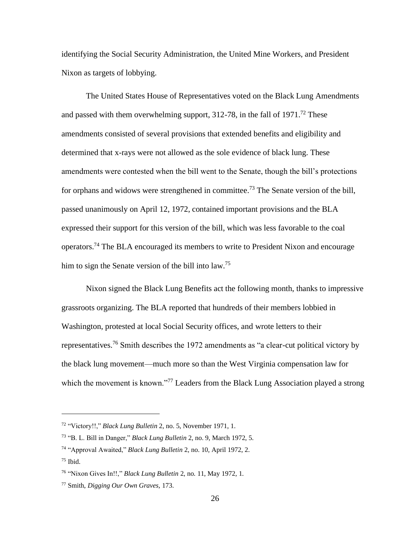identifying the Social Security Administration, the United Mine Workers, and President Nixon as targets of lobbying.

The United States House of Representatives voted on the Black Lung Amendments and passed with them overwhelming support,  $312-78$ , in the fall of  $1971$ <sup> $,72$ </sup> These amendments consisted of several provisions that extended benefits and eligibility and determined that x-rays were not allowed as the sole evidence of black lung. These amendments were contested when the bill went to the Senate, though the bill's protections for orphans and widows were strengthened in committee.<sup>73</sup> The Senate version of the bill, passed unanimously on April 12, 1972, contained important provisions and the BLA expressed their support for this version of the bill, which was less favorable to the coal operators.<sup>74</sup> The BLA encouraged its members to write to President Nixon and encourage him to sign the Senate version of the bill into  $law.<sup>75</sup>$ 

Nixon signed the Black Lung Benefits act the following month, thanks to impressive grassroots organizing. The BLA reported that hundreds of their members lobbied in Washington, protested at local Social Security offices, and wrote letters to their representatives.<sup>76</sup> Smith describes the 1972 amendments as "a clear-cut political victory by the black lung movement—much more so than the West Virginia compensation law for which the movement is known."<sup>77</sup> Leaders from the Black Lung Association played a strong

<sup>72</sup> "Victory!!," *Black Lung Bulletin* 2, no. 5, November 1971, 1.

<sup>73</sup> "B. L. Bill in Danger," *Black Lung Bulletin* 2, no. 9, March 1972, 5.

<sup>74</sup> "Approval Awaited," *Black Lung Bulletin* 2, no. 10, April 1972, 2.

 $75$  Ibid.

<sup>76</sup> "Nixon Gives In!!," *Black Lung Bulletin* 2, no. 11, May 1972, 1.

<sup>77</sup> Smith, *Digging Our Own Graves,* 173.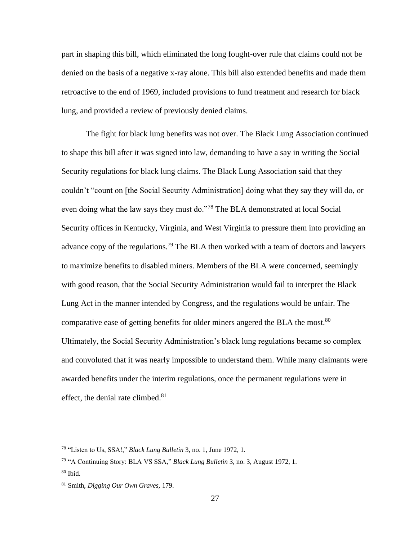part in shaping this bill, which eliminated the long fought-over rule that claims could not be denied on the basis of a negative x-ray alone. This bill also extended benefits and made them retroactive to the end of 1969, included provisions to fund treatment and research for black lung, and provided a review of previously denied claims.

The fight for black lung benefits was not over. The Black Lung Association continued to shape this bill after it was signed into law, demanding to have a say in writing the Social Security regulations for black lung claims. The Black Lung Association said that they couldn't "count on [the Social Security Administration] doing what they say they will do, or even doing what the law says they must do."<sup>78</sup> The BLA demonstrated at local Social Security offices in Kentucky, Virginia, and West Virginia to pressure them into providing an advance copy of the regulations.<sup>79</sup> The BLA then worked with a team of doctors and lawyers to maximize benefits to disabled miners. Members of the BLA were concerned, seemingly with good reason, that the Social Security Administration would fail to interpret the Black Lung Act in the manner intended by Congress, and the regulations would be unfair. The comparative ease of getting benefits for older miners angered the BLA the most.<sup>80</sup> Ultimately, the Social Security Administration's black lung regulations became so complex and convoluted that it was nearly impossible to understand them. While many claimants were awarded benefits under the interim regulations, once the permanent regulations were in effect, the denial rate climbed.<sup>81</sup>

<sup>78</sup> "Listen to Us, SSA!," *Black Lung Bulletin* 3, no. 1, June 1972, 1.

<sup>79</sup> "A Continuing Story: BLA VS SSA," *Black Lung Bulletin* 3, no. 3, August 1972, 1.

<sup>80</sup> Ibid.

<sup>81</sup> Smith, *Digging Our Own Graves,* 179.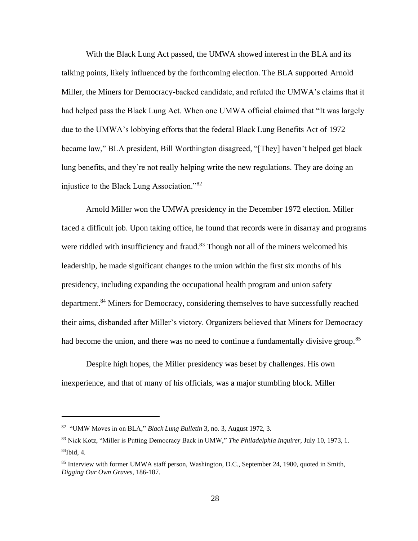With the Black Lung Act passed, the UMWA showed interest in the BLA and its talking points, likely influenced by the forthcoming election. The BLA supported Arnold Miller, the Miners for Democracy-backed candidate, and refuted the UMWA's claims that it had helped pass the Black Lung Act. When one UMWA official claimed that "It was largely due to the UMWA's lobbying efforts that the federal Black Lung Benefits Act of 1972 became law," BLA president, Bill Worthington disagreed, "[They] haven't helped get black lung benefits, and they're not really helping write the new regulations. They are doing an injustice to the Black Lung Association."<sup>82</sup>

Arnold Miller won the UMWA presidency in the December 1972 election. Miller faced a difficult job. Upon taking office, he found that records were in disarray and programs were riddled with insufficiency and fraud.<sup>83</sup> Though not all of the miners welcomed his leadership, he made significant changes to the union within the first six months of his presidency, including expanding the occupational health program and union safety department.<sup>84</sup> Miners for Democracy, considering themselves to have successfully reached their aims, disbanded after Miller's victory. Organizers believed that Miners for Democracy had become the union, and there was no need to continue a fundamentally divisive group.<sup>85</sup>

Despite high hopes, the Miller presidency was beset by challenges. His own inexperience, and that of many of his officials, was a major stumbling block. Miller

<sup>82</sup> "UMW Moves in on BLA," *Black Lung Bulletin* 3, no. 3, August 1972, 3.

<sup>83</sup> Nick Kotz, "Miller is Putting Democracy Back in UMW," *The Philadelphia Inquirer,* July 10, 1973, 1.  $84$ Ibid, 4.

<sup>85</sup> Interview with former UMWA staff person, Washington, D.C., September 24, 1980, quoted in Smith, *Digging Our Own Graves,* 186-187.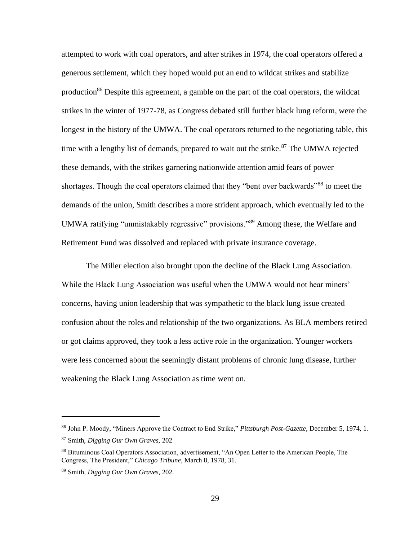attempted to work with coal operators, and after strikes in 1974, the coal operators offered a generous settlement, which they hoped would put an end to wildcat strikes and stabilize production<sup>86</sup> Despite this agreement, a gamble on the part of the coal operators, the wildcat strikes in the winter of 1977-78, as Congress debated still further black lung reform, were the longest in the history of the UMWA. The coal operators returned to the negotiating table, this time with a lengthy list of demands, prepared to wait out the strike. $87$  The UMWA rejected these demands, with the strikes garnering nationwide attention amid fears of power shortages. Though the coal operators claimed that they "bent over backwards"<sup>88</sup> to meet the demands of the union, Smith describes a more strident approach, which eventually led to the UMWA ratifying "unmistakably regressive" provisions."<sup>89</sup> Among these, the Welfare and Retirement Fund was dissolved and replaced with private insurance coverage.

The Miller election also brought upon the decline of the Black Lung Association. While the Black Lung Association was useful when the UMWA would not hear miners' concerns, having union leadership that was sympathetic to the black lung issue created confusion about the roles and relationship of the two organizations. As BLA members retired or got claims approved, they took a less active role in the organization. Younger workers were less concerned about the seemingly distant problems of chronic lung disease, further weakening the Black Lung Association as time went on.

<sup>86</sup> John P. Moody, "Miners Approve the Contract to End Strike," *Pittsburgh Post-Gazette,* December 5, 1974, 1. <sup>87</sup> Smith, *Digging Our Own Graves,* 202

<sup>88</sup> Bituminous Coal Operators Association, advertisement, "An Open Letter to the American People, The Congress, The President," *Chicago Tribune,* March 8, 1978, 31.

<sup>89</sup> Smith, *Digging Our Own Graves,* 202.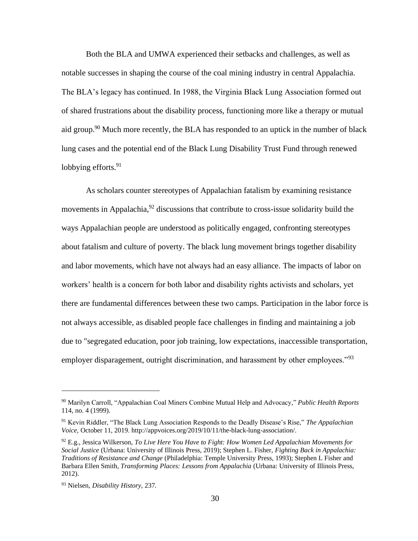Both the BLA and UMWA experienced their setbacks and challenges, as well as notable successes in shaping the course of the coal mining industry in central Appalachia. The BLA's legacy has continued. In 1988, the Virginia Black Lung Association formed out of shared frustrations about the disability process, functioning more like a therapy or mutual aid group.<sup>90</sup> Much more recently, the BLA has responded to an uptick in the number of black lung cases and the potential end of the Black Lung Disability Trust Fund through renewed lobbying efforts. $91$ 

As scholars counter stereotypes of Appalachian fatalism by examining resistance movements in Appalachia, $^{92}$  discussions that contribute to cross-issue solidarity build the ways Appalachian people are understood as politically engaged, confronting stereotypes about fatalism and culture of poverty. The black lung movement brings together disability and labor movements, which have not always had an easy alliance. The impacts of labor on workers' health is a concern for both labor and disability rights activists and scholars, yet there are fundamental differences between these two camps. Participation in the labor force is not always accessible, as disabled people face challenges in finding and maintaining a job due to "segregated education, poor job training, low expectations, inaccessible transportation, employer disparagement, outright discrimination, and harassment by other employees."<sup>93</sup>

<sup>90</sup> Marilyn Carroll, "Appalachian Coal Miners Combine Mutual Help and Advocacy," *Public Health Reports* 114, no. 4 (1999).

<sup>91</sup> Kevin Riddler, "The Black Lung Association Responds to the Deadly Disease's Rise," *The Appalachian Voice,* October 11, 2019[. http://appvoices.org/2019/10/11/the-black-lung-association/.](http://appvoices.org/2019/10/11/the-black-lung-association/)

<sup>92</sup> E.g., Jessica Wilkerson, *To Live Here You Have to Fight: How Women Led Appalachian Movements for Social Justice* (Urbana: University of Illinois Press, 2019); Stephen L. Fisher, *Fighting Back in Appalachia: Traditions of Resistance and Change* (Philadelphia: Temple University Press, 1993); Stephen L Fisher and Barbara Ellen Smith, *Transforming Places: Lessons from Appalachia* (Urbana: University of Illinois Press, 2012).

<sup>93</sup> Nielsen, *Disability History,* 237.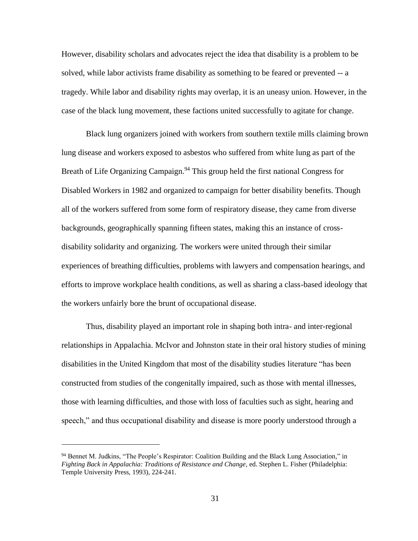However, disability scholars and advocates reject the idea that disability is a problem to be solved, while labor activists frame disability as something to be feared or prevented -- a tragedy. While labor and disability rights may overlap, it is an uneasy union. However, in the case of the black lung movement, these factions united successfully to agitate for change.

Black lung organizers joined with workers from southern textile mills claiming brown lung disease and workers exposed to asbestos who suffered from white lung as part of the Breath of Life Organizing Campaign.<sup>94</sup> This group held the first national Congress for Disabled Workers in 1982 and organized to campaign for better disability benefits. Though all of the workers suffered from some form of respiratory disease, they came from diverse backgrounds, geographically spanning fifteen states, making this an instance of crossdisability solidarity and organizing. The workers were united through their similar experiences of breathing difficulties, problems with lawyers and compensation hearings, and efforts to improve workplace health conditions, as well as sharing a class-based ideology that the workers unfairly bore the brunt of occupational disease.

Thus, disability played an important role in shaping both intra- and inter-regional relationships in Appalachia. McIvor and Johnston state in their oral history studies of mining disabilities in the United Kingdom that most of the disability studies literature "has been constructed from studies of the congenitally impaired, such as those with mental illnesses, those with learning difficulties, and those with loss of faculties such as sight, hearing and speech," and thus occupational disability and disease is more poorly understood through a

<sup>94</sup> Bennet M. Judkins, "The People's Respirator: Coalition Building and the Black Lung Association," in *Fighting Back in Appalachia: Traditions of Resistance and Change*, ed. Stephen L. Fisher (Philadelphia: Temple University Press, 1993), 224-241.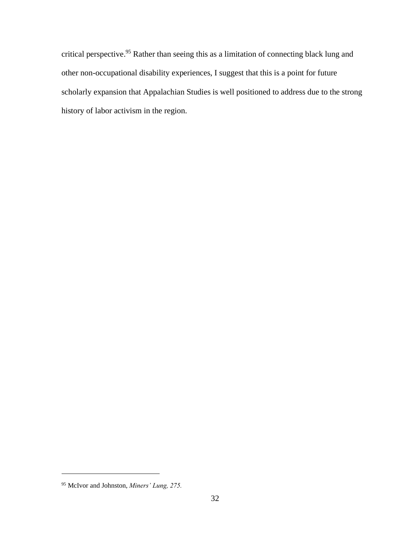critical perspective. <sup>95</sup> Rather than seeing this as a limitation of connecting black lung and other non-occupational disability experiences, I suggest that this is a point for future scholarly expansion that Appalachian Studies is well positioned to address due to the strong history of labor activism in the region.

<sup>95</sup> McIvor and Johnston, *Miners' Lung, 275.*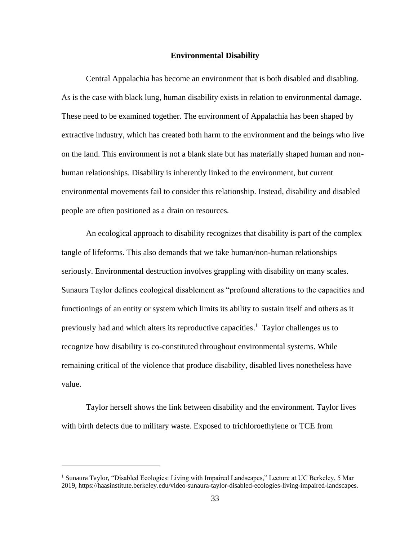## **Environmental Disability**

Central Appalachia has become an environment that is both disabled and disabling. As is the case with black lung, human disability exists in relation to environmental damage. These need to be examined together. The environment of Appalachia has been shaped by extractive industry, which has created both harm to the environment and the beings who live on the land. This environment is not a blank slate but has materially shaped human and nonhuman relationships. Disability is inherently linked to the environment, but current environmental movements fail to consider this relationship. Instead, disability and disabled people are often positioned as a drain on resources.

An ecological approach to disability recognizes that disability is part of the complex tangle of lifeforms. This also demands that we take human/non-human relationships seriously. Environmental destruction involves grappling with disability on many scales. Sunaura Taylor defines ecological disablement as "profound alterations to the capacities and functionings of an entity or system which limits its ability to sustain itself and others as it previously had and which alters its reproductive capacities.<sup>1</sup> Taylor challenges us to recognize how disability is co-constituted throughout environmental systems. While remaining critical of the violence that produce disability, disabled lives nonetheless have value.

Taylor herself shows the link between disability and the environment. Taylor lives with birth defects due to military waste. Exposed to trichloroethylene or TCE from

<sup>1</sup> Sunaura Taylor, "Disabled Ecologies: Living with Impaired Landscapes," Lecture at UC Berkeley, 5 Mar 2019, [https://haasinstitute.berkeley.edu/video-sunaura-taylor-disabled-ecologies-living-impaired-landscapes.](https://haasinstitute.berkeley.edu/video-sunaura-taylor-disabled-ecologies-living-impaired-landscapes)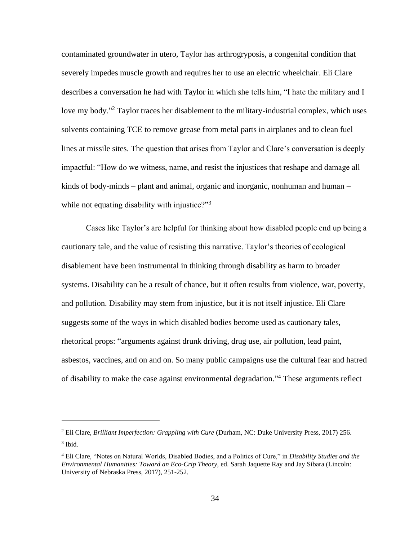contaminated groundwater in utero, Taylor has arthrogryposis, a congenital condition that severely impedes muscle growth and requires her to use an electric wheelchair. Eli Clare describes a conversation he had with Taylor in which she tells him, "I hate the military and I love my body."<sup>2</sup> Taylor traces her disablement to the military-industrial complex, which uses solvents containing TCE to remove grease from metal parts in airplanes and to clean fuel lines at missile sites. The question that arises from Taylor and Clare's conversation is deeply impactful: "How do we witness, name, and resist the injustices that reshape and damage all kinds of body-minds – plant and animal, organic and inorganic, nonhuman and human – while not equating disability with injustice?"<sup>3</sup>

Cases like Taylor's are helpful for thinking about how disabled people end up being a cautionary tale, and the value of resisting this narrative. Taylor's theories of ecological disablement have been instrumental in thinking through disability as harm to broader systems. Disability can be a result of chance, but it often results from violence, war, poverty, and pollution. Disability may stem from injustice, but it is not itself injustice. Eli Clare suggests some of the ways in which disabled bodies become used as cautionary tales, rhetorical props: "arguments against drunk driving, drug use, air pollution, lead paint, asbestos, vaccines, and on and on. So many public campaigns use the cultural fear and hatred of disability to make the case against environmental degradation."<sup>4</sup> These arguments reflect

<sup>2</sup> Eli Clare*, Brilliant Imperfection: Grappling with Cure* (Durham, NC: Duke University Press, 2017) 256. 3 Ibid.

<sup>4</sup> Eli Clare, "Notes on Natural Worlds, Disabled Bodies, and a Politics of Cure," in *Disability Studies and the Environmental Humanities: Toward an Eco-Crip Theory,* ed. Sarah Jaquette Ray and Jay Sibara (Lincoln: University of Nebraska Press, 2017), 251-252.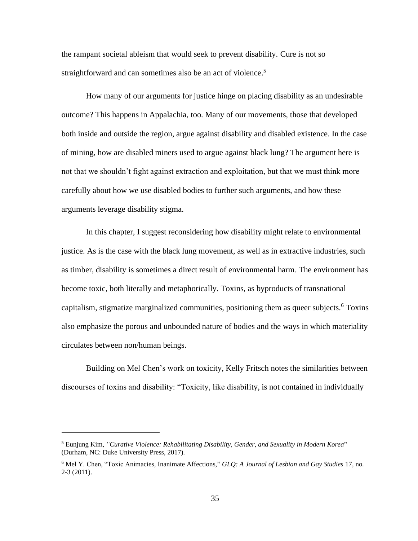the rampant societal ableism that would seek to prevent disability. Cure is not so straightforward and can sometimes also be an act of violence.<sup>5</sup>

How many of our arguments for justice hinge on placing disability as an undesirable outcome? This happens in Appalachia, too. Many of our movements, those that developed both inside and outside the region, argue against disability and disabled existence. In the case of mining, how are disabled miners used to argue against black lung? The argument here is not that we shouldn't fight against extraction and exploitation, but that we must think more carefully about how we use disabled bodies to further such arguments, and how these arguments leverage disability stigma.

In this chapter, I suggest reconsidering how disability might relate to environmental justice. As is the case with the black lung movement, as well as in extractive industries, such as timber, disability is sometimes a direct result of environmental harm. The environment has become toxic, both literally and metaphorically. Toxins, as byproducts of transnational capitalism, stigmatize marginalized communities, positioning them as queer subjects.<sup>6</sup> Toxins also emphasize the porous and unbounded nature of bodies and the ways in which materiality circulates between non/human beings.

Building on Mel Chen's work on toxicity, Kelly Fritsch notes the similarities between discourses of toxins and disability: "Toxicity, like disability, is not contained in individually

<sup>5</sup> Eunjung Kim, *"Curative Violence: Rehabilitating Disability, Gender, and Sexuality in Modern Korea*" (Durham, NC: Duke University Press, 2017).

<sup>6</sup> Mel Y. Chen, "Toxic Animacies, Inanimate Affections," *GLQ: A Journal of Lesbian and Gay Studies* 17, no. 2-3 (2011).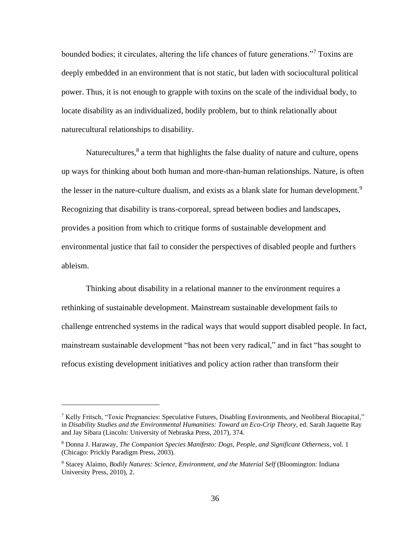bounded bodies; it circulates, altering the life chances of future generations."<sup>7</sup> Toxins are deeply embedded in an environment that is not static, but laden with sociocultural political power. Thus, it is not enough to grapple with toxins on the scale of the individual body, to locate disability as an individualized, bodily problem, but to think relationally about naturecultural relationships to disability.

Naturecultures, $8$  a term that highlights the false duality of nature and culture, opens up ways for thinking about both human and more-than-human relationships. Nature, is often the lesser in the nature-culture dualism, and exists as a blank slate for human development.<sup>9</sup> Recognizing that disability is trans-corporeal, spread between bodies and landscapes, provides a position from which to critique forms of sustainable development and environmental justice that fail to consider the perspectives of disabled people and furthers ableism.

Thinking about disability in a relational manner to the environment requires a rethinking of sustainable development. Mainstream sustainable development fails to challenge entrenched systems in the radical ways that would support disabled people. In fact, mainstream sustainable development "has not been very radical," and in fact "has sought to refocus existing development initiatives and policy action rather than transform their

<sup>&</sup>lt;sup>7</sup> Kelly Fritsch, "Toxic Pregnancies: Speculative Futures, Disabling Environments, and Neoliberal Biocapital," in *Disability Studies and the Environmental Humanities: Toward an Eco-Crip Theory,* ed. Sarah Jaquette Ray and Jay Sibara (Lincoln: University of Nebraska Press, 2017), 374.

<sup>8</sup> Donna J. Haraway, *The Companion Species Manifesto: Dogs, People, and Significant Otherness,* vol. 1 (Chicago: Prickly Paradigm Press, 2003).

<sup>9</sup> Stacey Alaimo, *Bodily Natures: Science, Environment, and the Material Self* (Bloomington: Indiana University Press, 2010), 2.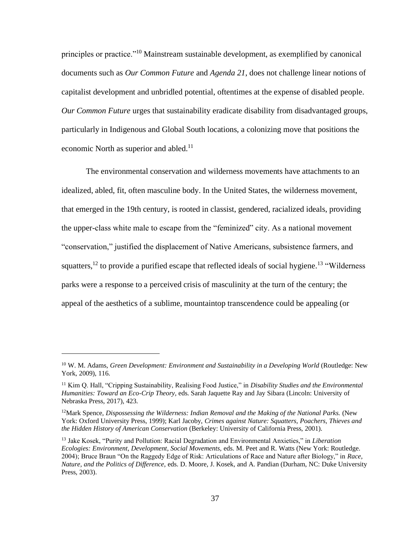principles or practice."<sup>10</sup> Mainstream sustainable development, as exemplified by canonical documents such as *Our Common Future* and *Agenda 21*, does not challenge linear notions of capitalist development and unbridled potential, oftentimes at the expense of disabled people. *Our Common Future* urges that sustainability eradicate disability from disadvantaged groups, particularly in Indigenous and Global South locations, a colonizing move that positions the economic North as superior and abled.<sup>11</sup>

The environmental conservation and wilderness movements have attachments to an idealized, abled, fit, often masculine body. In the United States, the wilderness movement, that emerged in the 19th century, is rooted in classist, gendered, racialized ideals, providing the upper-class white male to escape from the "feminized" city. As a national movement "conservation," justified the displacement of Native Americans, subsistence farmers, and squatters,<sup>12</sup> to provide a purified escape that reflected ideals of social hygiene.<sup>13</sup> "Wilderness" parks were a response to a perceived crisis of masculinity at the turn of the century; the appeal of the aesthetics of a sublime, mountaintop transcendence could be appealing (or

<sup>10</sup> W. M. Adams, *Green Development: Environment and Sustainability in a Developing World* (Routledge: New York, 2009), 116.

<sup>11</sup> Kim Q. Hall, "Cripping Sustainability, Realising Food Justice," in *Disability Studies and the Environmental Humanities: Toward an Eco-Crip Theory,* eds. Sarah Jaquette Ray and Jay Sibara (Lincoln: University of Nebraska Press, 2017), 423.

<sup>12</sup>Mark Spence, *Dispossessing the Wilderness: Indian Removal and the Making of the National Parks.* (New York: Oxford University Press, 1999); Karl Jacoby, *Crimes against Nature: Squatters, Poachers, Thieves and the Hidden History of American Conservation* (Berkeley: University of California Press, 2001).

<sup>13</sup> Jake Kosek, "Purity and Pollution: Racial Degradation and Environmental Anxieties," in *Liberation Ecologies: Environment, Development, Social Movements,* eds. M. Peet and R. Watts (New York: Routledge. 2004); Bruce Braun "On the Raggedy Edge of Risk: Articulations of Race and Nature after Biology," in *Race, Nature, and the Politics of Difference*, eds. D. Moore, J. Kosek, and A. Pandian (Durham, NC: Duke University Press, 2003).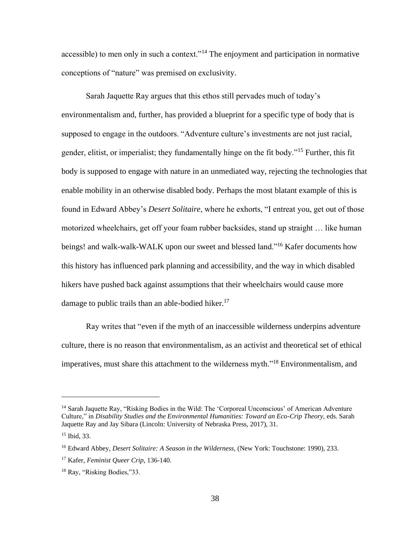accessible) to men only in such a context."<sup>14</sup> The enjoyment and participation in normative conceptions of "nature" was premised on exclusivity.

Sarah Jaquette Ray argues that this ethos still pervades much of today's environmentalism and, further, has provided a blueprint for a specific type of body that is supposed to engage in the outdoors. "Adventure culture's investments are not just racial, gender, elitist, or imperialist; they fundamentally hinge on the fit body."<sup>15</sup> Further, this fit body is supposed to engage with nature in an unmediated way, rejecting the technologies that enable mobility in an otherwise disabled body. Perhaps the most blatant example of this is found in Edward Abbey's *Desert Solitaire*, where he exhorts, "I entreat you, get out of those motorized wheelchairs, get off your foam rubber backsides, stand up straight … like human beings! and walk-walk-WALK upon our sweet and blessed land."<sup>16</sup> Kafer documents how this history has influenced park planning and accessibility, and the way in which disabled hikers have pushed back against assumptions that their wheelchairs would cause more damage to public trails than an able-bodied hiker.<sup>17</sup>

Ray writes that "even if the myth of an inaccessible wilderness underpins adventure culture, there is no reason that environmentalism, as an activist and theoretical set of ethical imperatives, must share this attachment to the wilderness myth."<sup>18</sup> Environmentalism, and

<sup>&</sup>lt;sup>14</sup> Sarah Jaquette Ray, "Risking Bodies in the Wild: The 'Corporeal Unconscious' of American Adventure Culture," in *Disability Studies and the Environmental Humanities: Toward an Eco-Crip Theory,* eds. Sarah Jaquette Ray and Jay Sibara (Lincoln: University of Nebraska Press, 2017), 31.

<sup>15</sup> Ibid, 33.

<sup>16</sup> Edward Abbey, *Desert Solitaire: A Season in the Wilderness,* (New York: Touchstone: 1990), 233.

<sup>17</sup> Kafer, *Feminist Queer Crip,* 136-140.

<sup>18</sup> Ray, "Risking Bodies,"33.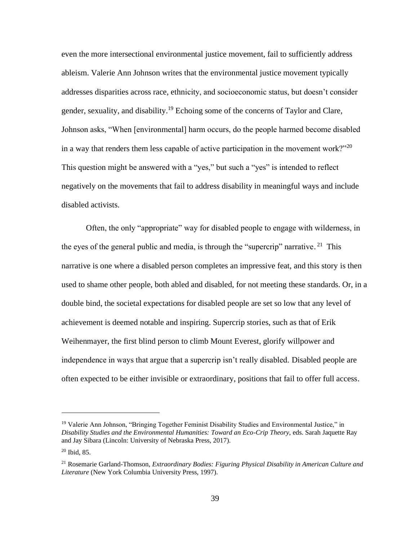even the more intersectional environmental justice movement, fail to sufficiently address ableism. Valerie Ann Johnson writes that the environmental justice movement typically addresses disparities across race, ethnicity, and socioeconomic status, but doesn't consider gender, sexuality, and disability.<sup>19</sup> Echoing some of the concerns of Taylor and Clare, Johnson asks, "When [environmental] harm occurs, do the people harmed become disabled in a way that renders them less capable of active participation in the movement work?"<sup>20</sup> This question might be answered with a "yes," but such a "yes" is intended to reflect negatively on the movements that fail to address disability in meaningful ways and include disabled activists.

Often, the only "appropriate" way for disabled people to engage with wilderness, in the eyes of the general public and media, is through the "supercrip" narrative.  $21$  This narrative is one where a disabled person completes an impressive feat, and this story is then used to shame other people, both abled and disabled, for not meeting these standards. Or, in a double bind, the societal expectations for disabled people are set so low that any level of achievement is deemed notable and inspiring. Supercrip stories, such as that of Erik Weihenmayer, the first blind person to climb Mount Everest, glorify willpower and independence in ways that argue that a supercrip isn't really disabled. Disabled people are often expected to be either invisible or extraordinary, positions that fail to offer full access.

<sup>&</sup>lt;sup>19</sup> Valerie Ann Johnson, "Bringing Together Feminist Disability Studies and Environmental Justice," in *Disability Studies and the Environmental Humanities: Toward an Eco-Crip Theory,* eds. Sarah Jaquette Ray and Jay Sibara (Lincoln: University of Nebraska Press, 2017).

 $20$  Ibid, 85.

<sup>21</sup> Rosemarie Garland-Thomson*, Extraordinary Bodies: Figuring Physical Disability in American Culture and Literature* (New York Columbia University Press, 1997).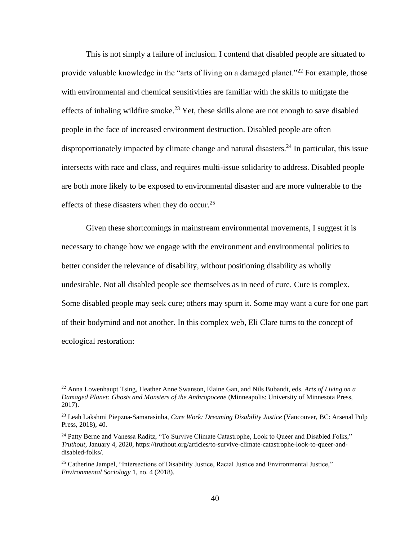This is not simply a failure of inclusion. I contend that disabled people are situated to provide valuable knowledge in the "arts of living on a damaged planet."<sup>22</sup> For example, those with environmental and chemical sensitivities are familiar with the skills to mitigate the effects of inhaling wildfire smoke.<sup>23</sup> Yet, these skills alone are not enough to save disabled people in the face of increased environment destruction. Disabled people are often disproportionately impacted by climate change and natural disasters.<sup>24</sup> In particular, this issue intersects with race and class, and requires multi-issue solidarity to address. Disabled people are both more likely to be exposed to environmental disaster and are more vulnerable to the effects of these disasters when they do occur.<sup>25</sup>

Given these shortcomings in mainstream environmental movements, I suggest it is necessary to change how we engage with the environment and environmental politics to better consider the relevance of disability, without positioning disability as wholly undesirable. Not all disabled people see themselves as in need of cure. Cure is complex. Some disabled people may seek cure; others may spurn it. Some may want a cure for one part of their bodymind and not another. In this complex web, Eli Clare turns to the concept of ecological restoration:

<sup>22</sup> Anna Lowenhaupt Tsing, Heather Anne Swanson, Elaine Gan, and Nils Bubandt, eds. *Arts of Living on a Damaged Planet: Ghosts and Monsters of the Anthropocene* (Minneapolis: University of Minnesota Press, 2017).

<sup>23</sup> Leah Lakshmi Piepzna-Samarasinha, *Care Work: Dreaming Disability Justice* (Vancouver, BC: Arsenal Pulp Press, 2018), 40.

<sup>&</sup>lt;sup>24</sup> Patty Berne and Vanessa Raditz, "To Survive Climate Catastrophe, Look to Queer and Disabled Folks," *Truthout,* January 4, 2020[, https://truthout.org/articles/to-survive-climate-catastrophe-look-to-queer-and](https://truthout.org/articles/to-survive-climate-catastrophe-look-to-queer-and-disabled-folks/)[disabled-folks/.](https://truthout.org/articles/to-survive-climate-catastrophe-look-to-queer-and-disabled-folks/)

<sup>&</sup>lt;sup>25</sup> Catherine Jampel, "Intersections of Disability Justice, Racial Justice and Environmental Justice," *Environmental Sociology* 1, no. 4 (2018).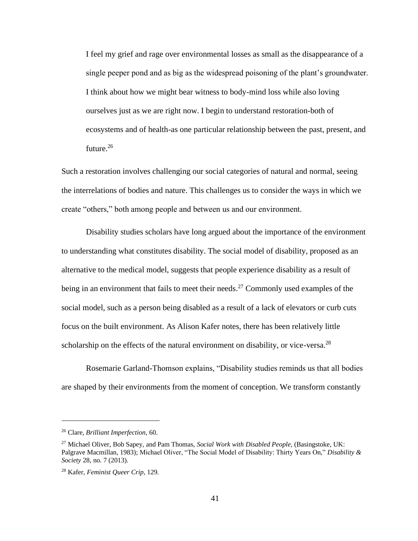I feel my grief and rage over environmental losses as small as the disappearance of a single peeper pond and as big as the widespread poisoning of the plant's groundwater. I think about how we might bear witness to body-mind loss while also loving ourselves just as we are right now. I begin to understand restoration-both of ecosystems and of health-as one particular relationship between the past, present, and future.<sup>26</sup>

Such a restoration involves challenging our social categories of natural and normal, seeing the interrelations of bodies and nature. This challenges us to consider the ways in which we create "others," both among people and between us and our environment.

Disability studies scholars have long argued about the importance of the environment to understanding what constitutes disability. The social model of disability, proposed as an alternative to the medical model, suggests that people experience disability as a result of being in an environment that fails to meet their needs.<sup>27</sup> Commonly used examples of the social model, such as a person being disabled as a result of a lack of elevators or curb cuts focus on the built environment. As Alison Kafer notes, there has been relatively little scholarship on the effects of the natural environment on disability, or vice-versa.<sup>28</sup>

Rosemarie Garland-Thomson explains, "Disability studies reminds us that all bodies are shaped by their environments from the moment of conception. We transform constantly

<sup>26</sup> Clare, *Brilliant Imperfection,* 60.

<sup>27</sup> Michael Oliver, Bob Sapey, and Pam Thomas, *Social Work with Disabled People,* (Basingstoke, UK: Palgrave Macmillan, 1983); Michael Oliver, "The Social Model of Disability: Thirty Years On," *Disability & Society* 28, no. 7 (2013).

<sup>28</sup> Kafer, *Feminist Queer Crip,* 129.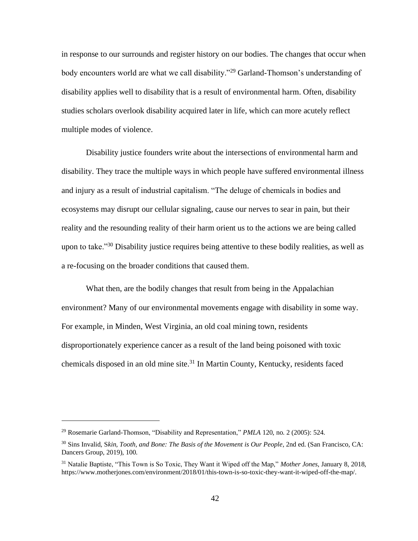in response to our surrounds and register history on our bodies. The changes that occur when body encounters world are what we call disability."<sup>29</sup> Garland-Thomson's understanding of disability applies well to disability that is a result of environmental harm. Often, disability studies scholars overlook disability acquired later in life, which can more acutely reflect multiple modes of violence.

Disability justice founders write about the intersections of environmental harm and disability. They trace the multiple ways in which people have suffered environmental illness and injury as a result of industrial capitalism. "The deluge of chemicals in bodies and ecosystems may disrupt our cellular signaling, cause our nerves to sear in pain, but their reality and the resounding reality of their harm orient us to the actions we are being called upon to take.<sup>33</sup> Disability justice requires being attentive to these bodily realities, as well as a re-focusing on the broader conditions that caused them.

What then, are the bodily changes that result from being in the Appalachian environment? Many of our environmental movements engage with disability in some way. For example, in Minden, West Virginia, an old coal mining town, residents disproportionately experience cancer as a result of the land being poisoned with toxic chemicals disposed in an old mine site.<sup>31</sup> In Martin County, Kentucky, residents faced

<sup>29</sup> Rosemarie Garland-Thomson, "Disability and Representation," *PMLA* 120, no. 2 (2005): 524.

<sup>30</sup> Sins Invalid, S*kin, Tooth, and Bone: The Basis of the Movement is Our People*, 2nd ed. (San Francisco, CA: Dancers Group, 2019), 100.

<sup>31</sup> Natalie Baptiste, "This Town is So Toxic, They Want it Wiped off the Map," *Mother Jones*, January 8, 2018, [https://www.motherjones.com/environment/2018/01/this-town-is-so-toxic-they-want-it-wiped-off-the-map/.](https://www.motherjones.com/environment/2018/01/this-town-is-so-toxic-they-want-it-wiped-off-the-map/)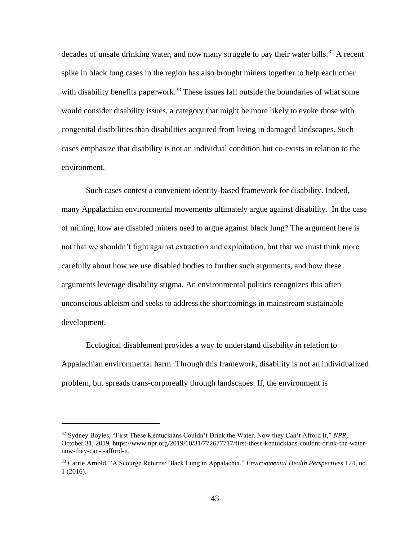decades of unsafe drinking water, and now many struggle to pay their water bills.<sup>32</sup> A recent spike in black lung cases in the region has also brought miners together to help each other with disability benefits paperwork.<sup>33</sup> These issues fall outside the boundaries of what some would consider disability issues, a category that might be more likely to evoke those with congenital disabilities than disabilities acquired from living in damaged landscapes. Such cases emphasize that disability is not an individual condition but co-exists in relation to the environment.

Such cases contest a convenient identity-based framework for disability. Indeed, many Appalachian environmental movements ultimately argue against disability. In the case of mining, how are disabled miners used to argue against black lung? The argument here is not that we shouldn't fight against extraction and exploitation, but that we must think more carefully about how we use disabled bodies to further such arguments, and how these arguments leverage disability stigma. An environmental politics recognizes this often unconscious ableism and seeks to address the shortcomings in mainstream sustainable development.

Ecological disablement provides a way to understand disability in relation to Appalachian environmental harm. Through this framework, disability is not an individualized problem, but spreads trans-corporeally through landscapes. If, the environment is

<sup>32</sup> Sydney Boyles, "First These Kentuckians Couldn't Drink the Water. Now they Can't Afford It," *NPR*, October 31, 2019[, https://www.npr.org/2019/10/31/772677717/first-these-kentuckians-couldnt-drink-the-water](https://www.npr.org/2019/10/31/772677717/first-these-kentuckians-couldnt-drink-the-water-now-they-can-t-afford-it)[now-they-can-t-afford-it.](https://www.npr.org/2019/10/31/772677717/first-these-kentuckians-couldnt-drink-the-water-now-they-can-t-afford-it)

<sup>33</sup> Carrie Arnold, "A Scourge Returns: Black Lung in Appalachia," *Environmental Health Perspectives* 124, no. 1 (2016).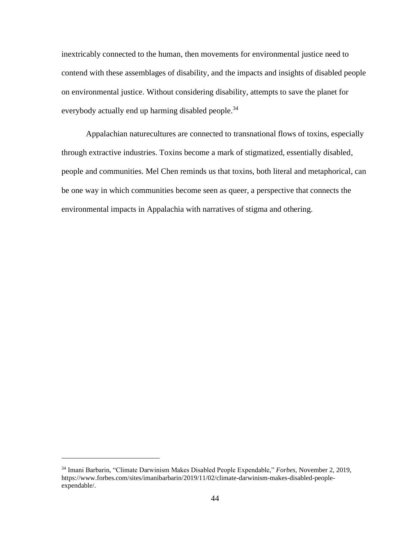inextricably connected to the human, then movements for environmental justice need to contend with these assemblages of disability, and the impacts and insights of disabled people on environmental justice. Without considering disability, attempts to save the planet for everybody actually end up harming disabled people.<sup>34</sup>

Appalachian naturecultures are connected to transnational flows of toxins, especially through extractive industries. Toxins become a mark of stigmatized, essentially disabled, people and communities. Mel Chen reminds us that toxins, both literal and metaphorical, can be one way in which communities become seen as queer, a perspective that connects the environmental impacts in Appalachia with narratives of stigma and othering.

<sup>34</sup> Imani Barbarin, "Climate Darwinism Makes Disabled People Expendable," *Forbes,* November 2, 2019, [https://www.forbes.com/sites/imanibarbarin/2019/11/02/climate-darwinism-makes-disabled-people](https://www.forbes.com/sites/imanibarbarin/2019/11/02/climate-darwinism-makes-disabled-people-expendable/)[expendable/.](https://www.forbes.com/sites/imanibarbarin/2019/11/02/climate-darwinism-makes-disabled-people-expendable/)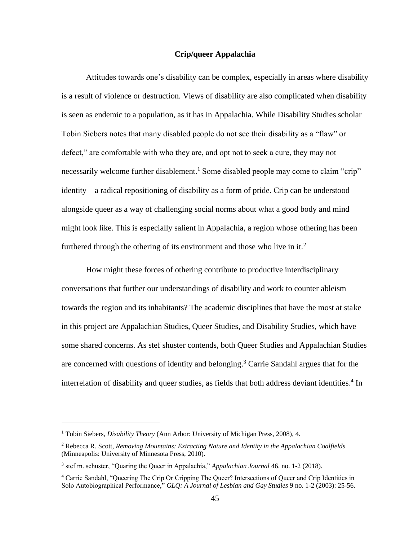## **Crip/queer Appalachia**

Attitudes towards one's disability can be complex, especially in areas where disability is a result of violence or destruction. Views of disability are also complicated when disability is seen as endemic to a population, as it has in Appalachia. While Disability Studies scholar Tobin Siebers notes that many disabled people do not see their disability as a "flaw" or defect," are comfortable with who they are, and opt not to seek a cure, they may not necessarily welcome further disablement.<sup>1</sup> Some disabled people may come to claim "crip" identity – a radical repositioning of disability as a form of pride. Crip can be understood alongside queer as a way of challenging social norms about what a good body and mind might look like. This is especially salient in Appalachia, a region whose othering has been furthered through the othering of its environment and those who live in it.<sup>2</sup>

How might these forces of othering contribute to productive interdisciplinary conversations that further our understandings of disability and work to counter ableism towards the region and its inhabitants? The academic disciplines that have the most at stake in this project are Appalachian Studies, Queer Studies, and Disability Studies, which have some shared concerns. As stef shuster contends, both Queer Studies and Appalachian Studies are concerned with questions of identity and belonging. <sup>3</sup> Carrie Sandahl argues that for the interrelation of disability and queer studies, as fields that both address deviant identities. 4 In

<sup>&</sup>lt;sup>1</sup> Tobin Siebers, *Disability Theory* (Ann Arbor: University of Michigan Press, 2008), 4.

<sup>2</sup> Rebecca R. Scott, *Removing Mountains: Extracting Nature and Identity in the Appalachian Coalfields* (Minneapolis: University of Minnesota Press, 2010).

<sup>3</sup> stef m. schuster, "Quaring the Queer in Appalachia," *Appalachian Journal* 46, no. 1-2 (2018).

<sup>4</sup> Carrie Sandahl, "Queering The Crip Or Cripping The Queer? Intersections of Queer and Crip Identities in Solo Autobiographical Performance," *GLQ: A Journal of Lesbian and Gay Studies* 9 no. 1-2 (2003): 25-56.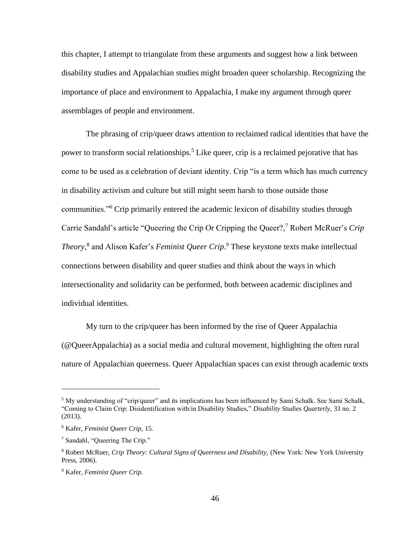this chapter, I attempt to triangulate from these arguments and suggest how a link between disability studies and Appalachian studies might broaden queer scholarship. Recognizing the importance of place and environment to Appalachia, I make my argument through queer assemblages of people and environment.

The phrasing of crip/queer draws attention to reclaimed radical identities that have the power to transform social relationships.<sup>5</sup> Like queer, crip is a reclaimed pejorative that has come to be used as a celebration of deviant identity. Crip "is a term which has much currency in disability activism and culture but still might seem harsh to those outside those communities."<sup>6</sup> Crip primarily entered the academic lexicon of disability studies through Carrie Sandahl's article "Queering the Crip Or Cripping the Queer?,<sup>7</sup> Robert McRuer's *Crip Theory,*<sup>8</sup> and Alison Kafer's *Feminist Queer Crip*. <sup>9</sup> These keystone texts make intellectual connections between disability and queer studies and think about the ways in which intersectionality and solidarity can be performed, both between academic disciplines and individual identities.

My turn to the crip/queer has been informed by the rise of Queer Appalachia (@QueerAppalachia) as a social media and cultural movement, highlighting the often rural nature of Appalachian queerness. Queer Appalachian spaces can exist through academic texts

 $5$  My understanding of "crip/queer" and its implications has been influenced by Sami Schalk. See Sami Schalk, "Coming to Claim Crip: Disidentification with/in Disability Studies," *Disability Studies Quarterly,* 33 no. 2 (2013).

<sup>6</sup> Kafer, *Feminist Queer Crip,* 15.

<sup>7</sup> Sandahl, "Queering The Crip."

<sup>8</sup> Robert McRuer, *Crip Theory: Cultural Signs of Queerness and Disability,* (New York: New York University Press, 2006).

<sup>9</sup> Kafer, *Feminist Queer Crip.*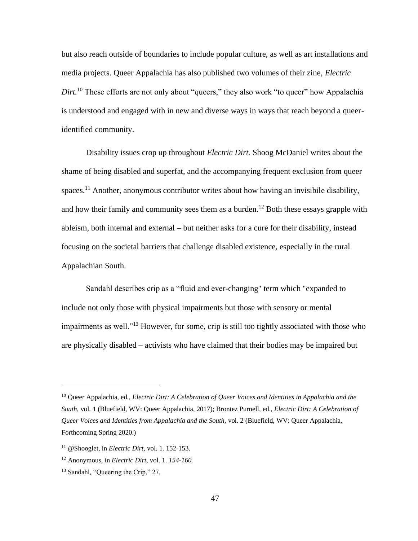but also reach outside of boundaries to include popular culture, as well as art installations and media projects. Queer Appalachia has also published two volumes of their zine, *Electric Dirt.*<sup>10</sup> These efforts are not only about "queers," they also work "to queer" how Appalachia is understood and engaged with in new and diverse ways in ways that reach beyond a queeridentified community.

Disability issues crop up throughout *Electric Dirt.* Shoog McDaniel writes about the shame of being disabled and superfat, and the accompanying frequent exclusion from queer spaces.<sup>11</sup> Another, anonymous contributor writes about how having an invisibile disability, and how their family and community sees them as a burden.<sup>12</sup> Both these essays grapple with ableism, both internal and external – but neither asks for a cure for their disability, instead focusing on the societal barriers that challenge disabled existence, especially in the rural Appalachian South.

Sandahl describes crip as a "fluid and ever-changing" term which "expanded to include not only those with physical impairments but those with sensory or mental impairments as well."<sup>13</sup> However, for some, crip is still too tightly associated with those who are physically disabled – activists who have claimed that their bodies may be impaired but

<sup>10</sup> Queer Appalachia, ed., *Electric Dirt: A Celebration of Queer Voices and Identities in Appalachia and the South,* vol. 1 (Bluefield, WV: Queer Appalachia, 2017); Brontez Purnell, ed., *Electric Dirt: A Celebration of Queer Voices and Identities from Appalachia and the South,* vol. 2 (Bluefield, WV: Queer Appalachia, Forthcoming Spring 2020.)

<sup>11</sup> @Shooglet, in *Electric Dirt,* vol. 1. 152-153.

<sup>12</sup> Anonymous, in *Electric Dirt,* vol. 1. *154-160.*

<sup>&</sup>lt;sup>13</sup> Sandahl, "Queering the Crip," 27.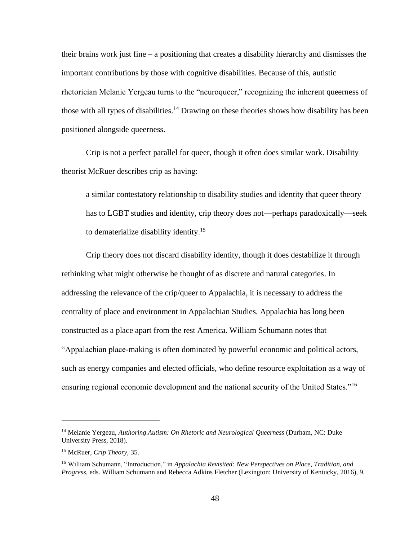their brains work just fine – a positioning that creates a disability hierarchy and dismisses the important contributions by those with cognitive disabilities. Because of this, autistic rhetorician Melanie Yergeau turns to the "neuroqueer," recognizing the inherent queerness of those with all types of disabilities.<sup>14</sup> Drawing on these theories shows how disability has been positioned alongside queerness.

Crip is not a perfect parallel for queer, though it often does similar work. Disability theorist McRuer describes crip as having:

a similar contestatory relationship to disability studies and identity that queer theory has to LGBT studies and identity, crip theory does not—perhaps paradoxically—seek to dematerialize disability identity.<sup>15</sup>

Crip theory does not discard disability identity, though it does destabilize it through rethinking what might otherwise be thought of as discrete and natural categories. In addressing the relevance of the crip/queer to Appalachia, it is necessary to address the centrality of place and environment in Appalachian Studies. Appalachia has long been constructed as a place apart from the rest America. William Schumann notes that "Appalachian place-making is often dominated by powerful economic and political actors, such as energy companies and elected officials, who define resource exploitation as a way of ensuring regional economic development and the national security of the United States."<sup>16</sup>

<sup>14</sup> Melanie Yergeau, *Authoring Autism: On Rhetoric and Neurological Queerness* (Durham, NC: Duke University Press, 2018).

<sup>15</sup> McRuer, *Crip Theory,* 35.

<sup>16</sup> William Schumann, "Introduction," in *Appalachia Revisited: New Perspectives on Place, Tradition, and Progress,* eds. William Schumann and Rebecca Adkins Fletcher (Lexington: University of Kentucky, 2016), 9.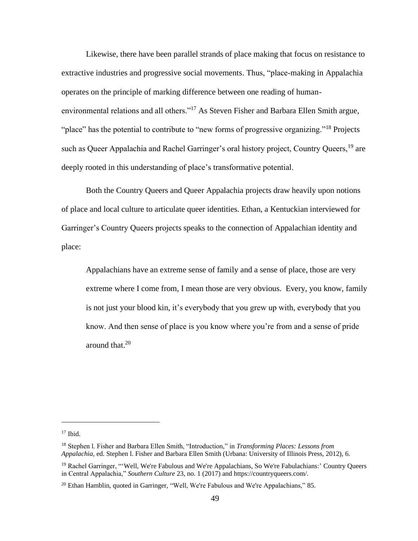Likewise, there have been parallel strands of place making that focus on resistance to extractive industries and progressive social movements. Thus, "place-making in Appalachia operates on the principle of marking difference between one reading of humanenvironmental relations and all others."<sup>17</sup> As Steven Fisher and Barbara Ellen Smith argue, "place" has the potential to contribute to "new forms of progressive organizing."<sup>18</sup> Projects such as Queer Appalachia and Rachel Garringer's oral history project, Country Queers, <sup>19</sup> are deeply rooted in this understanding of place's transformative potential.

Both the Country Queers and Queer Appalachia projects draw heavily upon notions of place and local culture to articulate queer identities. Ethan, a Kentuckian interviewed for Garringer's Country Queers projects speaks to the connection of Appalachian identity and place:

Appalachians have an extreme sense of family and a sense of place, those are very extreme where I come from, I mean those are very obvious. Every, you know, family is not just your blood kin, it's everybody that you grew up with, everybody that you know. And then sense of place is you know where you're from and a sense of pride around that.<sup>20</sup>

 $17$  Ibid.

<sup>18</sup> Stephen l. Fisher and Barbara Ellen Smith, "Introduction," in *Transforming Places: Lessons from Appalachia*, ed. Stephen l. Fisher and Barbara Ellen Smith (Urbana: University of Illinois Press, 2012), 6.

<sup>&</sup>lt;sup>19</sup> Rachel Garringer, "'Well, We're Fabulous and We're Appalachians, So We're Fabulachians:' Country Queers in Central Appalachia," *Southern Culture* 23, no. 1 (2017) and [https://countryqueers.com/.](https://countryqueers.com/)

<sup>&</sup>lt;sup>20</sup> Ethan Hamblin, quoted in Garringer, "Well, We're Fabulous and We're Appalachians," 85.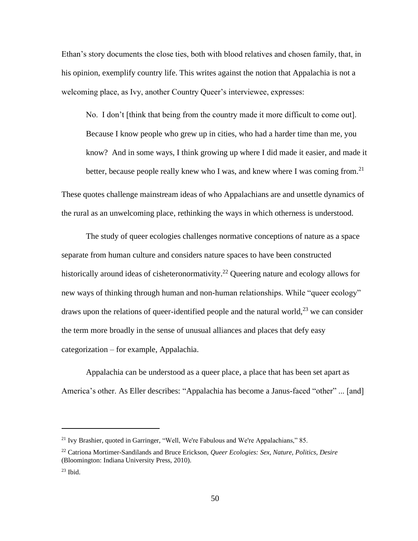Ethan's story documents the close ties, both with blood relatives and chosen family, that, in his opinion, exemplify country life. This writes against the notion that Appalachia is not a welcoming place, as Ivy, another Country Queer's interviewee, expresses:

No. I don't [think that being from the country made it more difficult to come out]. Because I know people who grew up in cities, who had a harder time than me, you know? And in some ways, I think growing up where I did made it easier, and made it better, because people really knew who I was, and knew where I was coming from.<sup>21</sup>

These quotes challenge mainstream ideas of who Appalachians are and unsettle dynamics of the rural as an unwelcoming place, rethinking the ways in which otherness is understood.

The study of queer ecologies challenges normative conceptions of nature as a space separate from human culture and considers nature spaces to have been constructed historically around ideas of cisheteronormativity.<sup>22</sup> Queering nature and ecology allows for new ways of thinking through human and non-human relationships. While "queer ecology" draws upon the relations of queer-identified people and the natural world,<sup>23</sup> we can consider the term more broadly in the sense of unusual alliances and places that defy easy categorization – for example, Appalachia.

Appalachia can be understood as a queer place, a place that has been set apart as America's other. As Eller describes: "Appalachia has become a Janus-faced "other" ... [and]

<sup>&</sup>lt;sup>21</sup> Ivy Brashier, quoted in Garringer, "Well, We're Fabulous and We're Appalachians," 85.

<sup>22</sup> Catriona Mortimer-Sandilands and Bruce Erickson, *Queer Ecologies: Sex, Nature, Politics, Desire*  (Bloomington: Indiana University Press, 2010).

 $23$  Ibid.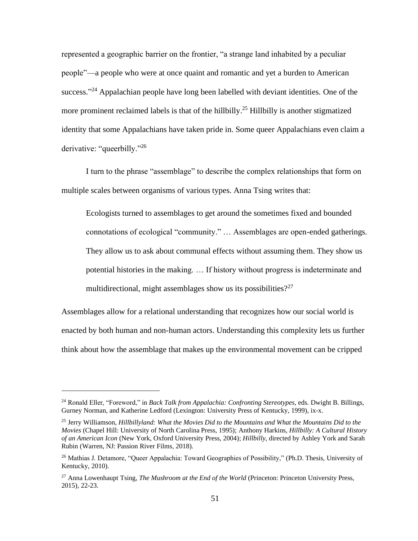represented a geographic barrier on the frontier, "a strange land inhabited by a peculiar people"—a people who were at once quaint and romantic and yet a burden to American success."<sup>24</sup> Appalachian people have long been labelled with deviant identities. One of the more prominent reclaimed labels is that of the hillbilly.<sup>25</sup> Hillbilly is another stigmatized identity that some Appalachians have taken pride in. Some queer Appalachians even claim a derivative: "queerbilly."<sup>26</sup>

I turn to the phrase "assemblage" to describe the complex relationships that form on multiple scales between organisms of various types. Anna Tsing writes that:

Ecologists turned to assemblages to get around the sometimes fixed and bounded connotations of ecological "community." … Assemblages are open-ended gatherings. They allow us to ask about communal effects without assuming them. They show us potential histories in the making. … If history without progress is indeterminate and multidirectional, might assemblages show us its possibilities? $27$ 

Assemblages allow for a relational understanding that recognizes how our social world is enacted by both human and non-human actors. Understanding this complexity lets us further think about how the assemblage that makes up the environmental movement can be cripped

<sup>24</sup> Ronald Eller, "Foreword," in *Back Talk from Appalachia: Confronting Stereotypes*, eds. Dwight B. Billings, Gurney Norman, and Katherine Ledford (Lexington: University Press of Kentucky, 1999), ix-x.

<sup>25</sup> Jerry Williamson*, Hillbillyland: What the Movies Did to the Mountains and What the Mountains Did to the Movies* (Chapel Hill: University of North Carolina Press, 1995); Anthony Harkins, *Hillbilly: A Cultural History of an American Icon* (New York, Oxford University Press, 2004); *Hillbilly,* directed by Ashley York and Sarah Rubin (Warren, NJ: Passion River Films, 2018).

<sup>&</sup>lt;sup>26</sup> Mathias J. Detamore, "Queer Appalachia: Toward Geographies of Possibility," (Ph.D. Thesis, University of Kentucky, 2010).

<sup>&</sup>lt;sup>27</sup> Anna Lowenhaupt Tsing, *The Mushroom at the End of the World* (Princeton: Princeton University Press, 2015), 22-23.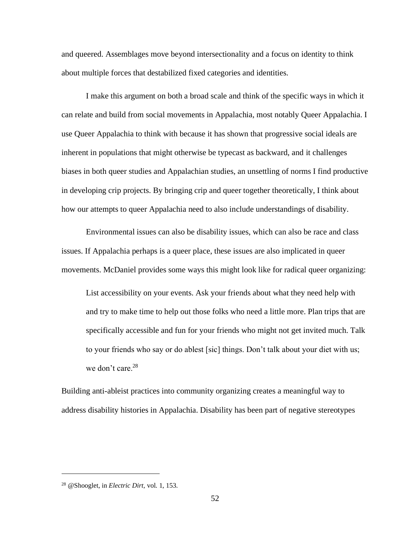and queered. Assemblages move beyond intersectionality and a focus on identity to think about multiple forces that destabilized fixed categories and identities.

I make this argument on both a broad scale and think of the specific ways in which it can relate and build from social movements in Appalachia, most notably Queer Appalachia. I use Queer Appalachia to think with because it has shown that progressive social ideals are inherent in populations that might otherwise be typecast as backward, and it challenges biases in both queer studies and Appalachian studies, an unsettling of norms I find productive in developing crip projects. By bringing crip and queer together theoretically, I think about how our attempts to queer Appalachia need to also include understandings of disability.

Environmental issues can also be disability issues, which can also be race and class issues. If Appalachia perhaps is a queer place, these issues are also implicated in queer movements. McDaniel provides some ways this might look like for radical queer organizing:

List accessibility on your events. Ask your friends about what they need help with and try to make time to help out those folks who need a little more. Plan trips that are specifically accessible and fun for your friends who might not get invited much. Talk to your friends who say or do ablest [sic] things. Don't talk about your diet with us; we don't care.<sup>28</sup>

Building anti-ableist practices into community organizing creates a meaningful way to address disability histories in Appalachia. Disability has been part of negative stereotypes

<sup>28</sup> @Shooglet, in *Electric Dirt,* vol. 1, 153.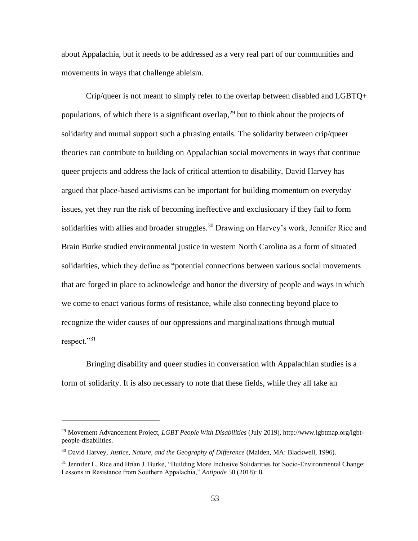about Appalachia, but it needs to be addressed as a very real part of our communities and movements in ways that challenge ableism.

Crip/queer is not meant to simply refer to the overlap between disabled and LGBTQ+ populations, of which there is a significant overlap,  $2<sup>9</sup>$  but to think about the projects of solidarity and mutual support such a phrasing entails. The solidarity between crip/queer theories can contribute to building on Appalachian social movements in ways that continue queer projects and address the lack of critical attention to disability. David Harvey has argued that place-based activisms can be important for building momentum on everyday issues, yet they run the risk of becoming ineffective and exclusionary if they fail to form solidarities with allies and broader struggles.<sup>30</sup> Drawing on Harvey's work, Jennifer Rice and Brain Burke studied environmental justice in western North Carolina as a form of situated solidarities, which they define as "potential connections between various social movements that are forged in place to acknowledge and honor the diversity of people and ways in which we come to enact various forms of resistance, while also connecting beyond place to recognize the wider causes of our oppressions and marginalizations through mutual respect."<sup>31</sup>

Bringing disability and queer studies in conversation with Appalachian studies is a form of solidarity. It is also necessary to note that these fields, while they all take an

<sup>29</sup> Movement Advancement Project, *LGBT People With Disabilities* (July 2019)[, http://www.lgbtmap.org/lgbt](http://www.lgbtmap.org/lgbt-people-disabilities)[people-disabilities.](http://www.lgbtmap.org/lgbt-people-disabilities)

<sup>30</sup> David Harvey*, Justice, Nature, and the Geography of Difference* (Malden, MA: Blackwell, 1996).

<sup>&</sup>lt;sup>31</sup> Jennifer L. Rice and Brian J. Burke, "Building More Inclusive Solidarities for Socio-Environmental Change: Lessons in Resistance from Southern Appalachia," *Antipode* 50 (2018): 8.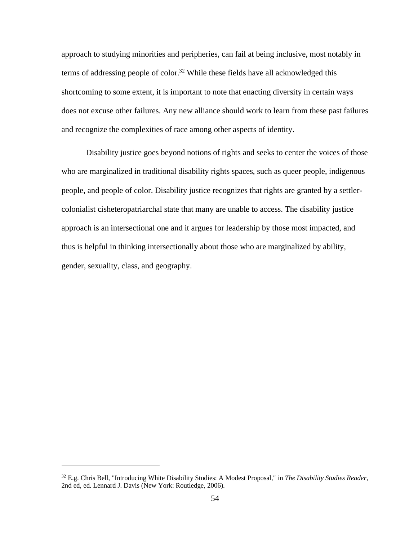approach to studying minorities and peripheries, can fail at being inclusive, most notably in terms of addressing people of color.<sup>32</sup> While these fields have all acknowledged this shortcoming to some extent, it is important to note that enacting diversity in certain ways does not excuse other failures. Any new alliance should work to learn from these past failures and recognize the complexities of race among other aspects of identity.

Disability justice goes beyond notions of rights and seeks to center the voices of those who are marginalized in traditional disability rights spaces, such as queer people, indigenous people, and people of color. Disability justice recognizes that rights are granted by a settlercolonialist cisheteropatriarchal state that many are unable to access. The disability justice approach is an intersectional one and it argues for leadership by those most impacted, and thus is helpful in thinking intersectionally about those who are marginalized by ability, gender, sexuality, class, and geography.

<sup>32</sup> E.g. Chris Bell, "Introducing White Disability Studies: A Modest Proposal," in *The Disability Studies Reader,* 2nd ed, ed. Lennard J. Davis (New York: Routledge, 2006).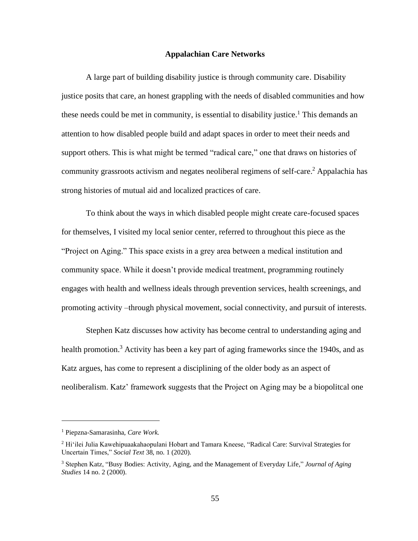## **Appalachian Care Networks**

A large part of building disability justice is through community care. Disability justice posits that care, an honest grappling with the needs of disabled communities and how these needs could be met in community, is essential to disability justice.<sup>1</sup> This demands an attention to how disabled people build and adapt spaces in order to meet their needs and support others. This is what might be termed "radical care," one that draws on histories of community grassroots activism and negates neoliberal regimens of self-care.<sup>2</sup> Appalachia has strong histories of mutual aid and localized practices of care.

To think about the ways in which disabled people might create care-focused spaces for themselves, I visited my local senior center, referred to throughout this piece as the "Project on Aging." This space exists in a grey area between a medical institution and community space. While it doesn't provide medical treatment, programming routinely engages with health and wellness ideals through prevention services, health screenings, and promoting activity –through physical movement, social connectivity, and pursuit of interests.

Stephen Katz discusses how activity has become central to understanding aging and health promotion.<sup>3</sup> Activity has been a key part of aging frameworks since the 1940s, and as Katz argues, has come to represent a disciplining of the older body as an aspect of neoliberalism. Katz' framework suggests that the Project on Aging may be a biopolitcal one

<sup>1</sup> Piepzna-Samarasinha, *Care Work.*

<sup>&</sup>lt;sup>2</sup> Hi'ilei Julia Kawehipuaakahaopulani Hobart and Tamara Kneese, "Radical Care: Survival Strategies for Uncertain Times," *Social Text* 38, no. 1 (2020).

<sup>3</sup> Stephen Katz, "Busy Bodies: Activity, Aging, and the Management of Everyday Life," *Journal of Aging Studies* 14 no. 2 (2000).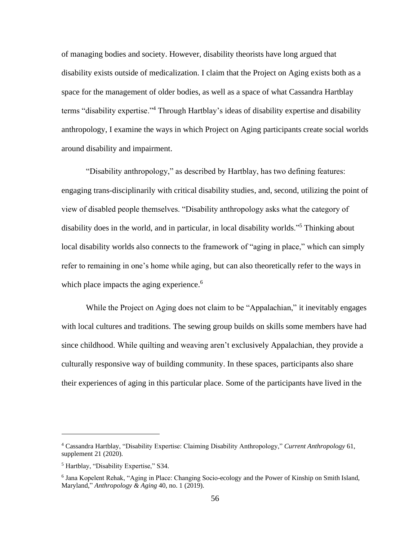of managing bodies and society. However, disability theorists have long argued that disability exists outside of medicalization. I claim that the Project on Aging exists both as a space for the management of older bodies, as well as a space of what Cassandra Hartblay terms "disability expertise."<sup>4</sup> Through Hartblay's ideas of disability expertise and disability anthropology, I examine the ways in which Project on Aging participants create social worlds around disability and impairment.

"Disability anthropology," as described by Hartblay, has two defining features: engaging trans-disciplinarily with critical disability studies, and, second, utilizing the point of view of disabled people themselves. "Disability anthropology asks what the category of disability does in the world, and in particular, in local disability worlds."<sup>5</sup> Thinking about local disability worlds also connects to the framework of "aging in place," which can simply refer to remaining in one's home while aging, but can also theoretically refer to the ways in which place impacts the aging experience.<sup>6</sup>

While the Project on Aging does not claim to be "Appalachian," it inevitably engages with local cultures and traditions. The sewing group builds on skills some members have had since childhood. While quilting and weaving aren't exclusively Appalachian, they provide a culturally responsive way of building community. In these spaces, participants also share their experiences of aging in this particular place. Some of the participants have lived in the

<sup>4</sup> Cassandra Hartblay, "Disability Expertise: Claiming Disability Anthropology," *Current Anthropology* 61, supplement 21 (2020).

<sup>5</sup> Hartblay, "Disability Expertise," S34.

<sup>&</sup>lt;sup>6</sup> Jana Kopelent Rehak, "Aging in Place: Changing Socio-ecology and the Power of Kinship on Smith Island, Maryland," *Anthropology & Aging* 40, no. 1 (2019).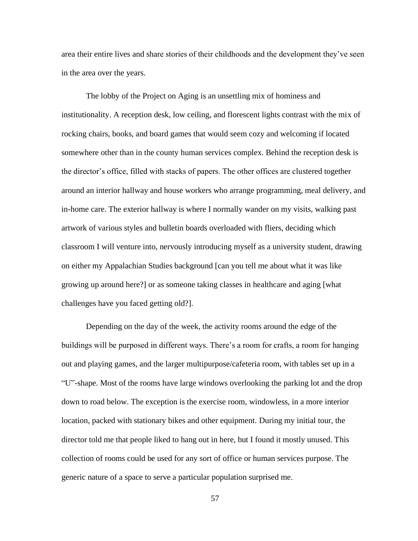area their entire lives and share stories of their childhoods and the development they've seen in the area over the years.

The lobby of the Project on Aging is an unsettling mix of hominess and institutionality. A reception desk, low ceiling, and florescent lights contrast with the mix of rocking chairs, books, and board games that would seem cozy and welcoming if located somewhere other than in the county human services complex. Behind the reception desk is the director's office, filled with stacks of papers. The other offices are clustered together around an interior hallway and house workers who arrange programming, meal delivery, and in-home care. The exterior hallway is where I normally wander on my visits, walking past artwork of various styles and bulletin boards overloaded with fliers, deciding which classroom I will venture into, nervously introducing myself as a university student, drawing on either my Appalachian Studies background [can you tell me about what it was like growing up around here?] or as someone taking classes in healthcare and aging [what challenges have you faced getting old?].

Depending on the day of the week, the activity rooms around the edge of the buildings will be purposed in different ways. There's a room for crafts, a room for hanging out and playing games, and the larger multipurpose/cafeteria room, with tables set up in a "U"-shape. Most of the rooms have large windows overlooking the parking lot and the drop down to road below. The exception is the exercise room, windowless, in a more interior location, packed with stationary bikes and other equipment. During my initial tour, the director told me that people liked to hang out in here, but I found it mostly unused. This collection of rooms could be used for any sort of office or human services purpose. The generic nature of a space to serve a particular population surprised me.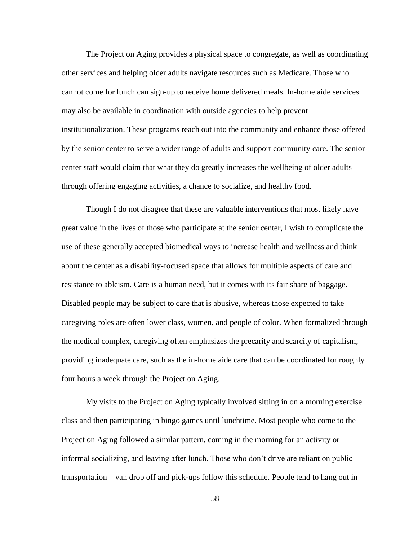The Project on Aging provides a physical space to congregate, as well as coordinating other services and helping older adults navigate resources such as Medicare. Those who cannot come for lunch can sign-up to receive home delivered meals. In-home aide services may also be available in coordination with outside agencies to help prevent institutionalization. These programs reach out into the community and enhance those offered by the senior center to serve a wider range of adults and support community care. The senior center staff would claim that what they do greatly increases the wellbeing of older adults through offering engaging activities, a chance to socialize, and healthy food.

Though I do not disagree that these are valuable interventions that most likely have great value in the lives of those who participate at the senior center, I wish to complicate the use of these generally accepted biomedical ways to increase health and wellness and think about the center as a disability-focused space that allows for multiple aspects of care and resistance to ableism. Care is a human need, but it comes with its fair share of baggage. Disabled people may be subject to care that is abusive, whereas those expected to take caregiving roles are often lower class, women, and people of color. When formalized through the medical complex, caregiving often emphasizes the precarity and scarcity of capitalism, providing inadequate care, such as the in-home aide care that can be coordinated for roughly four hours a week through the Project on Aging.

My visits to the Project on Aging typically involved sitting in on a morning exercise class and then participating in bingo games until lunchtime. Most people who come to the Project on Aging followed a similar pattern, coming in the morning for an activity or informal socializing, and leaving after lunch. Those who don't drive are reliant on public transportation – van drop off and pick-ups follow this schedule. People tend to hang out in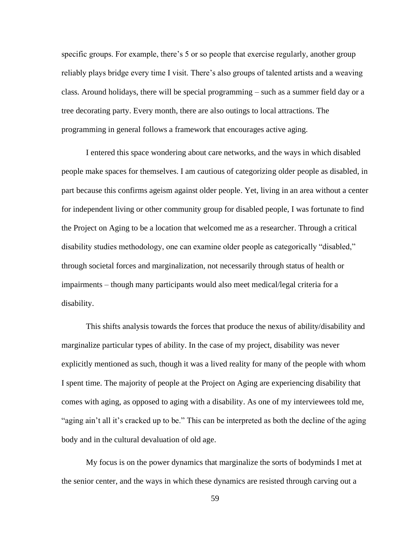specific groups. For example, there's 5 or so people that exercise regularly, another group reliably plays bridge every time I visit. There's also groups of talented artists and a weaving class. Around holidays, there will be special programming – such as a summer field day or a tree decorating party. Every month, there are also outings to local attractions. The programming in general follows a framework that encourages active aging.

I entered this space wondering about care networks, and the ways in which disabled people make spaces for themselves. I am cautious of categorizing older people as disabled, in part because this confirms ageism against older people. Yet, living in an area without a center for independent living or other community group for disabled people, I was fortunate to find the Project on Aging to be a location that welcomed me as a researcher. Through a critical disability studies methodology, one can examine older people as categorically "disabled," through societal forces and marginalization, not necessarily through status of health or impairments – though many participants would also meet medical/legal criteria for a disability.

This shifts analysis towards the forces that produce the nexus of ability/disability and marginalize particular types of ability. In the case of my project, disability was never explicitly mentioned as such, though it was a lived reality for many of the people with whom I spent time. The majority of people at the Project on Aging are experiencing disability that comes with aging, as opposed to aging with a disability. As one of my interviewees told me, "aging ain't all it's cracked up to be." This can be interpreted as both the decline of the aging body and in the cultural devaluation of old age.

My focus is on the power dynamics that marginalize the sorts of bodyminds I met at the senior center, and the ways in which these dynamics are resisted through carving out a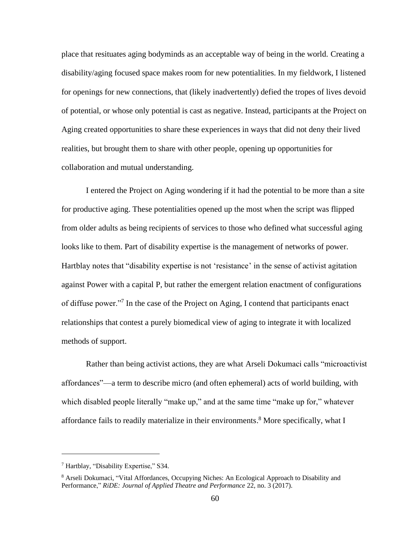place that resituates aging bodyminds as an acceptable way of being in the world. Creating a disability/aging focused space makes room for new potentialities. In my fieldwork, I listened for openings for new connections, that (likely inadvertently) defied the tropes of lives devoid of potential, or whose only potential is cast as negative. Instead, participants at the Project on Aging created opportunities to share these experiences in ways that did not deny their lived realities, but brought them to share with other people, opening up opportunities for collaboration and mutual understanding.

I entered the Project on Aging wondering if it had the potential to be more than a site for productive aging. These potentialities opened up the most when the script was flipped from older adults as being recipients of services to those who defined what successful aging looks like to them. Part of disability expertise is the management of networks of power. Hartblay notes that "disability expertise is not 'resistance' in the sense of activist agitation against Power with a capital P, but rather the emergent relation enactment of configurations of diffuse power."<sup>7</sup> In the case of the Project on Aging, I contend that participants enact relationships that contest a purely biomedical view of aging to integrate it with localized methods of support.

Rather than being activist actions, they are what Arseli Dokumaci calls "microactivist affordances"—a term to describe micro (and often ephemeral) acts of world building, with which disabled people literally "make up," and at the same time "make up for," whatever affordance fails to readily materialize in their environments.<sup>8</sup> More specifically, what I

<sup>7</sup> Hartblay, "Disability Expertise," S34.

<sup>&</sup>lt;sup>8</sup> Arseli Dokumaci, "Vital Affordances, Occupying Niches: An Ecological Approach to Disability and Performance," *RiDE: Journal of Applied Theatre and Performance* 22, no. 3 (2017).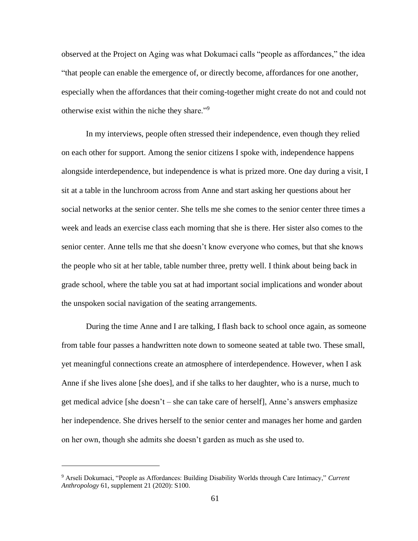observed at the Project on Aging was what Dokumaci calls "people as affordances," the idea "that people can enable the emergence of, or directly become, affordances for one another, especially when the affordances that their coming-together might create do not and could not otherwise exist within the niche they share."<sup>9</sup>

In my interviews, people often stressed their independence, even though they relied on each other for support. Among the senior citizens I spoke with, independence happens alongside interdependence, but independence is what is prized more. One day during a visit, I sit at a table in the lunchroom across from Anne and start asking her questions about her social networks at the senior center. She tells me she comes to the senior center three times a week and leads an exercise class each morning that she is there. Her sister also comes to the senior center. Anne tells me that she doesn't know everyone who comes, but that she knows the people who sit at her table, table number three, pretty well. I think about being back in grade school, where the table you sat at had important social implications and wonder about the unspoken social navigation of the seating arrangements.

During the time Anne and I are talking, I flash back to school once again, as someone from table four passes a handwritten note down to someone seated at table two. These small, yet meaningful connections create an atmosphere of interdependence. However, when I ask Anne if she lives alone [she does], and if she talks to her daughter, who is a nurse, much to get medical advice [she doesn't – she can take care of herself], Anne's answers emphasize her independence. She drives herself to the senior center and manages her home and garden on her own, though she admits she doesn't garden as much as she used to.

<sup>9</sup> Arseli Dokumaci, "People as Affordances: Building Disability Worlds through Care Intimacy," *Current Anthropology* 61, supplement 21 (2020): S100.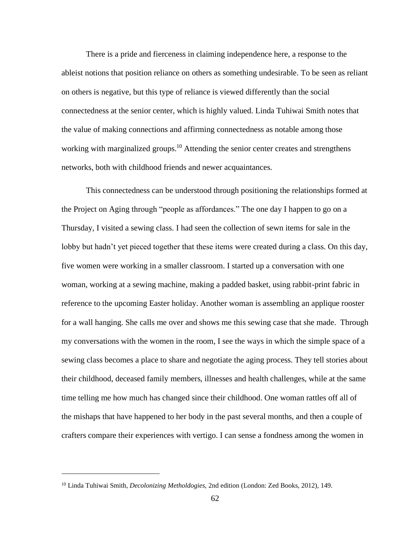There is a pride and fierceness in claiming independence here, a response to the ableist notions that position reliance on others as something undesirable. To be seen as reliant on others is negative, but this type of reliance is viewed differently than the social connectedness at the senior center, which is highly valued. Linda Tuhiwai Smith notes that the value of making connections and affirming connectedness as notable among those working with marginalized groups.<sup>10</sup> Attending the senior center creates and strengthens networks, both with childhood friends and newer acquaintances.

This connectedness can be understood through positioning the relationships formed at the Project on Aging through "people as affordances." The one day I happen to go on a Thursday, I visited a sewing class. I had seen the collection of sewn items for sale in the lobby but hadn't yet pieced together that these items were created during a class. On this day, five women were working in a smaller classroom. I started up a conversation with one woman, working at a sewing machine, making a padded basket, using rabbit-print fabric in reference to the upcoming Easter holiday. Another woman is assembling an applique rooster for a wall hanging. She calls me over and shows me this sewing case that she made. Through my conversations with the women in the room, I see the ways in which the simple space of a sewing class becomes a place to share and negotiate the aging process. They tell stories about their childhood, deceased family members, illnesses and health challenges, while at the same time telling me how much has changed since their childhood. One woman rattles off all of the mishaps that have happened to her body in the past several months, and then a couple of crafters compare their experiences with vertigo. I can sense a fondness among the women in

<sup>10</sup> Linda Tuhiwai Smith, *Decolonizing Metholdogies,* 2nd edition (London: Zed Books, 2012), 149.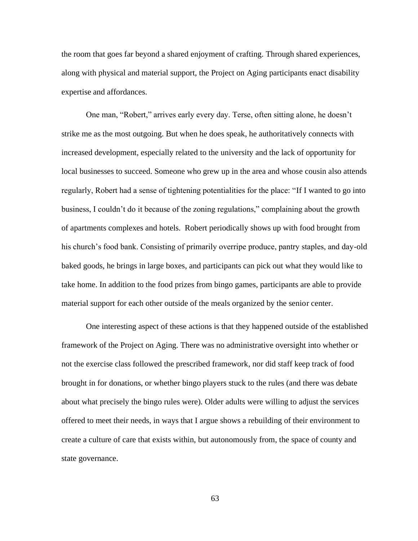the room that goes far beyond a shared enjoyment of crafting. Through shared experiences, along with physical and material support, the Project on Aging participants enact disability expertise and affordances.

One man, "Robert," arrives early every day. Terse, often sitting alone, he doesn't strike me as the most outgoing. But when he does speak, he authoritatively connects with increased development, especially related to the university and the lack of opportunity for local businesses to succeed. Someone who grew up in the area and whose cousin also attends regularly, Robert had a sense of tightening potentialities for the place: "If I wanted to go into business, I couldn't do it because of the zoning regulations," complaining about the growth of apartments complexes and hotels. Robert periodically shows up with food brought from his church's food bank. Consisting of primarily overripe produce, pantry staples, and day-old baked goods, he brings in large boxes, and participants can pick out what they would like to take home. In addition to the food prizes from bingo games, participants are able to provide material support for each other outside of the meals organized by the senior center.

One interesting aspect of these actions is that they happened outside of the established framework of the Project on Aging. There was no administrative oversight into whether or not the exercise class followed the prescribed framework, nor did staff keep track of food brought in for donations, or whether bingo players stuck to the rules (and there was debate about what precisely the bingo rules were). Older adults were willing to adjust the services offered to meet their needs, in ways that I argue shows a rebuilding of their environment to create a culture of care that exists within, but autonomously from, the space of county and state governance.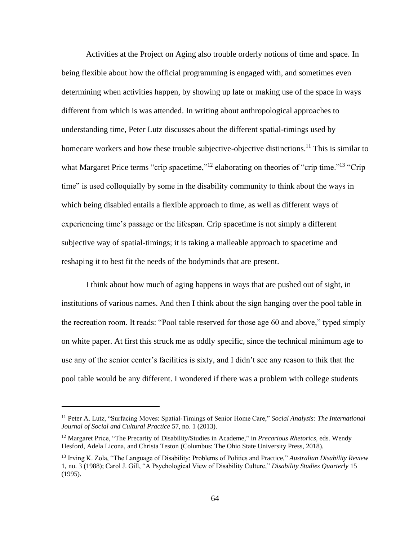Activities at the Project on Aging also trouble orderly notions of time and space. In being flexible about how the official programming is engaged with, and sometimes even determining when activities happen, by showing up late or making use of the space in ways different from which is was attended. In writing about anthropological approaches to understanding time, Peter Lutz discusses about the different spatial-timings used by homecare workers and how these trouble subjective-objective distinctions.<sup>11</sup> This is similar to what Margaret Price terms "crip spacetime,"<sup>12</sup> elaborating on theories of "crip time."<sup>13</sup> "Crip" time" is used colloquially by some in the disability community to think about the ways in which being disabled entails a flexible approach to time, as well as different ways of experiencing time's passage or the lifespan. Crip spacetime is not simply a different subjective way of spatial-timings; it is taking a malleable approach to spacetime and reshaping it to best fit the needs of the bodyminds that are present.

I think about how much of aging happens in ways that are pushed out of sight, in institutions of various names. And then I think about the sign hanging over the pool table in the recreation room. It reads: "Pool table reserved for those age 60 and above," typed simply on white paper. At first this struck me as oddly specific, since the technical minimum age to use any of the senior center's facilities is sixty, and I didn't see any reason to thik that the pool table would be any different. I wondered if there was a problem with college students

<sup>11</sup> Peter A. Lutz, "Surfacing Moves: Spatial-Timings of Senior Home Care," *Social Analysis: The International Journal of Social and Cultural Practice* 57, no. 1 (2013).

<sup>12</sup> Margaret Price, "The Precarity of Disability/Studies in Academe," in *Precarious Rhetorics,* eds. Wendy Hesford, Adela Licona, and Christa Teston (Columbus: The Ohio State University Press, 2018).

<sup>13</sup> Irving K. Zola, "The Language of Disability: Problems of Politics and Practice," *Australian Disability Review*  1, no. 3 (1988); Carol J. Gill, "A Psychological View of Disability Culture," *Disability Studies Quarterly* 15 (1995).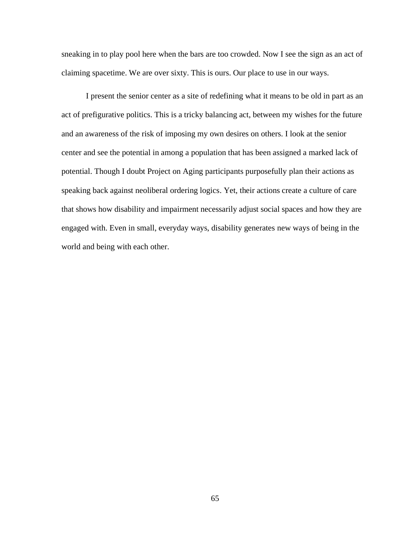sneaking in to play pool here when the bars are too crowded. Now I see the sign as an act of claiming spacetime. We are over sixty. This is ours. Our place to use in our ways.

I present the senior center as a site of redefining what it means to be old in part as an act of prefigurative politics. This is a tricky balancing act, between my wishes for the future and an awareness of the risk of imposing my own desires on others. I look at the senior center and see the potential in among a population that has been assigned a marked lack of potential. Though I doubt Project on Aging participants purposefully plan their actions as speaking back against neoliberal ordering logics. Yet, their actions create a culture of care that shows how disability and impairment necessarily adjust social spaces and how they are engaged with. Even in small, everyday ways, disability generates new ways of being in the world and being with each other.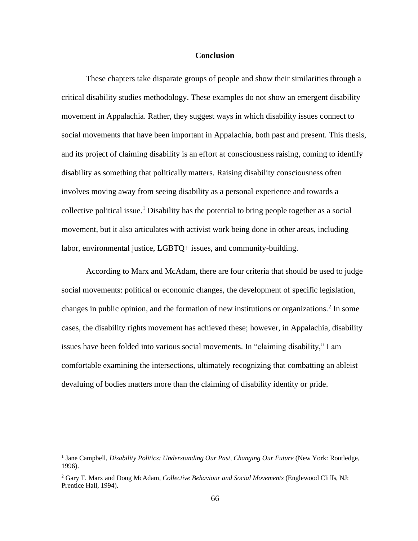## **Conclusion**

These chapters take disparate groups of people and show their similarities through a critical disability studies methodology. These examples do not show an emergent disability movement in Appalachia. Rather, they suggest ways in which disability issues connect to social movements that have been important in Appalachia, both past and present. This thesis, and its project of claiming disability is an effort at consciousness raising, coming to identify disability as something that politically matters. Raising disability consciousness often involves moving away from seeing disability as a personal experience and towards a collective political issue.<sup>1</sup> Disability has the potential to bring people together as a social movement, but it also articulates with activist work being done in other areas, including labor, environmental justice, LGBTQ+ issues, and community-building.

According to Marx and McAdam, there are four criteria that should be used to judge social movements: political or economic changes, the development of specific legislation, changes in public opinion, and the formation of new institutions or organizations.<sup>2</sup> In some cases, the disability rights movement has achieved these; however, in Appalachia, disability issues have been folded into various social movements. In "claiming disability," I am comfortable examining the intersections, ultimately recognizing that combatting an ableist devaluing of bodies matters more than the claiming of disability identity or pride.

<sup>&</sup>lt;sup>1</sup> Jane Campbell, *Disability Politics: Understanding Our Past, Changing Our Future* (New York: Routledge, 1996).

<sup>2</sup> Gary T. Marx and Doug McAdam, *Collective Behaviour and Social Movements* (Englewood Cliffs, NJ: Prentice Hall, 1994).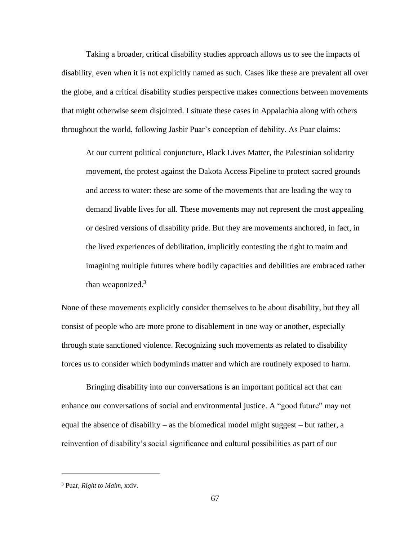Taking a broader, critical disability studies approach allows us to see the impacts of disability, even when it is not explicitly named as such. Cases like these are prevalent all over the globe, and a critical disability studies perspective makes connections between movements that might otherwise seem disjointed. I situate these cases in Appalachia along with others throughout the world, following Jasbir Puar's conception of debility. As Puar claims:

At our current political conjuncture, Black Lives Matter, the Palestinian solidarity movement, the protest against the Dakota Access Pipeline to protect sacred grounds and access to water: these are some of the movements that are leading the way to demand livable lives for all. These movements may not represent the most appealing or desired versions of disability pride. But they are movements anchored, in fact, in the lived experiences of debilitation, implicitly contesting the right to maim and imagining multiple futures where bodily capacities and debilities are embraced rather than weaponized. $3$ 

None of these movements explicitly consider themselves to be about disability, but they all consist of people who are more prone to disablement in one way or another, especially through state sanctioned violence. Recognizing such movements as related to disability forces us to consider which bodyminds matter and which are routinely exposed to harm.

Bringing disability into our conversations is an important political act that can enhance our conversations of social and environmental justice. A "good future" may not equal the absence of disability – as the biomedical model might suggest – but rather, a reinvention of disability's social significance and cultural possibilities as part of our

<sup>3</sup> Puar, *Right to Maim,* xxiv.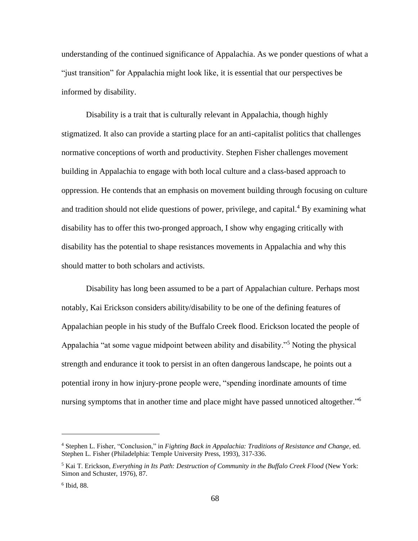understanding of the continued significance of Appalachia. As we ponder questions of what a "just transition" for Appalachia might look like, it is essential that our perspectives be informed by disability.

Disability is a trait that is culturally relevant in Appalachia, though highly stigmatized. It also can provide a starting place for an anti-capitalist politics that challenges normative conceptions of worth and productivity. Stephen Fisher challenges movement building in Appalachia to engage with both local culture and a class-based approach to oppression. He contends that an emphasis on movement building through focusing on culture and tradition should not elide questions of power, privilege, and capital.<sup>4</sup> By examining what disability has to offer this two-pronged approach, I show why engaging critically with disability has the potential to shape resistances movements in Appalachia and why this should matter to both scholars and activists.

Disability has long been assumed to be a part of Appalachian culture. Perhaps most notably, Kai Erickson considers ability/disability to be one of the defining features of Appalachian people in his study of the Buffalo Creek flood. Erickson located the people of Appalachia "at some vague midpoint between ability and disability."<sup>5</sup> Noting the physical strength and endurance it took to persist in an often dangerous landscape, he points out a potential irony in how injury-prone people were, "spending inordinate amounts of time nursing symptoms that in another time and place might have passed unnoticed altogether."<sup>6</sup>

<sup>4</sup> Stephen L. Fisher, "Conclusion," in *Fighting Back in Appalachia: Traditions of Resistance and Change*, ed. Stephen L. Fisher (Philadelphia: Temple University Press, 1993), 317-336.

<sup>&</sup>lt;sup>5</sup> Kai T. Erickson, *Everything in Its Path: Destruction of Community in the Buffalo Creek Flood* (New York: Simon and Schuster, 1976), 87.

<sup>6</sup> Ibid, 88.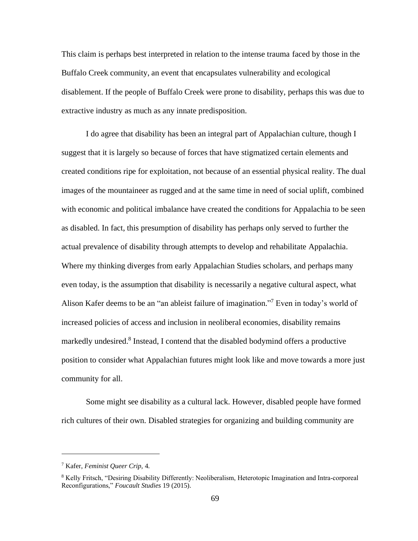This claim is perhaps best interpreted in relation to the intense trauma faced by those in the Buffalo Creek community, an event that encapsulates vulnerability and ecological disablement. If the people of Buffalo Creek were prone to disability, perhaps this was due to extractive industry as much as any innate predisposition.

I do agree that disability has been an integral part of Appalachian culture, though I suggest that it is largely so because of forces that have stigmatized certain elements and created conditions ripe for exploitation, not because of an essential physical reality. The dual images of the mountaineer as rugged and at the same time in need of social uplift, combined with economic and political imbalance have created the conditions for Appalachia to be seen as disabled. In fact, this presumption of disability has perhaps only served to further the actual prevalence of disability through attempts to develop and rehabilitate Appalachia. Where my thinking diverges from early Appalachian Studies scholars, and perhaps many even today, is the assumption that disability is necessarily a negative cultural aspect, what Alison Kafer deems to be an "an ableist failure of imagination."<sup>7</sup> Even in today's world of increased policies of access and inclusion in neoliberal economies, disability remains markedly undesired.<sup>8</sup> Instead, I contend that the disabled bodymind offers a productive position to consider what Appalachian futures might look like and move towards a more just community for all.

Some might see disability as a cultural lack. However, disabled people have formed rich cultures of their own. Disabled strategies for organizing and building community are

<sup>7</sup> Kafer, *Feminist Queer Crip,* 4.

<sup>8</sup> Kelly Fritsch, "Desiring Disability Differently: Neoliberalism, Heterotopic Imagination and Intra‐corporeal Reconfigurations," *Foucault Studies* 19 (2015).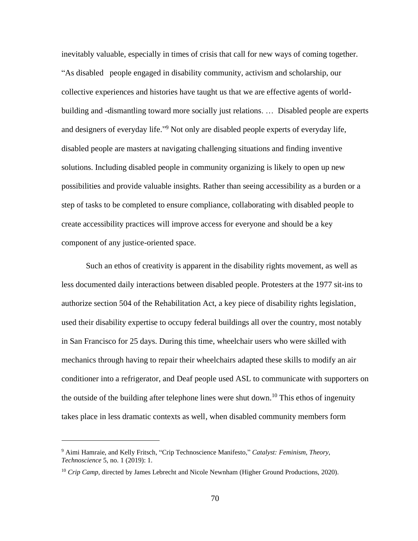inevitably valuable, especially in times of crisis that call for new ways of coming together. "As disabled people engaged in disability community, activism and scholarship, our collective experiences and histories have taught us that we are effective agents of worldbuilding and -dismantling toward more socially just relations. … Disabled people are experts and designers of everyday life."<sup>9</sup> Not only are disabled people experts of everyday life, disabled people are masters at navigating challenging situations and finding inventive solutions. Including disabled people in community organizing is likely to open up new possibilities and provide valuable insights. Rather than seeing accessibility as a burden or a step of tasks to be completed to ensure compliance, collaborating with disabled people to create accessibility practices will improve access for everyone and should be a key component of any justice-oriented space.

Such an ethos of creativity is apparent in the disability rights movement, as well as less documented daily interactions between disabled people. Protesters at the 1977 sit-ins to authorize section 504 of the Rehabilitation Act, a key piece of disability rights legislation, used their disability expertise to occupy federal buildings all over the country, most notably in San Francisco for 25 days. During this time, wheelchair users who were skilled with mechanics through having to repair their wheelchairs adapted these skills to modify an air conditioner into a refrigerator, and Deaf people used ASL to communicate with supporters on the outside of the building after telephone lines were shut down.<sup>10</sup> This ethos of ingenuity takes place in less dramatic contexts as well, when disabled community members form

<sup>9</sup> Aimi Hamraie, and Kelly Fritsch, "Crip Technoscience Manifesto," *Catalyst: Feminism, Theory, Technoscience* 5, no. 1 (2019): 1.

<sup>&</sup>lt;sup>10</sup> *Crip Camp*, directed by James Lebrecht and Nicole Newnham (Higher Ground Productions, 2020).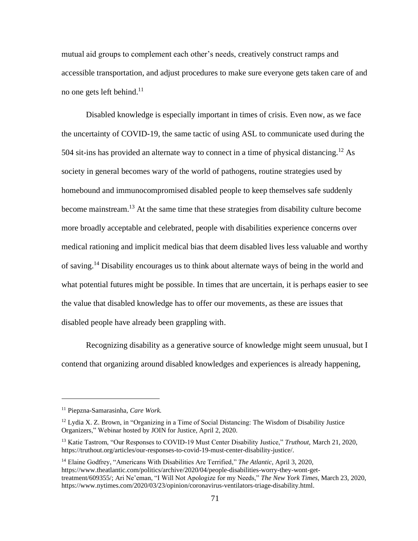mutual aid groups to complement each other's needs, creatively construct ramps and accessible transportation, and adjust procedures to make sure everyone gets taken care of and no one gets left behind.<sup>11</sup>

Disabled knowledge is especially important in times of crisis. Even now, as we face the uncertainty of COVID-19, the same tactic of using ASL to communicate used during the 504 sit-ins has provided an alternate way to connect in a time of physical distancing.<sup>12</sup> As society in general becomes wary of the world of pathogens, routine strategies used by homebound and immunocompromised disabled people to keep themselves safe suddenly become mainstream.<sup>13</sup> At the same time that these strategies from disability culture become more broadly acceptable and celebrated, people with disabilities experience concerns over medical rationing and implicit medical bias that deem disabled lives less valuable and worthy of saving.<sup>14</sup> Disability encourages us to think about alternate ways of being in the world and what potential futures might be possible. In times that are uncertain, it is perhaps easier to see the value that disabled knowledge has to offer our movements, as these are issues that disabled people have already been grappling with.

Recognizing disability as a generative source of knowledge might seem unusual, but I contend that organizing around disabled knowledges and experiences is already happening,

<sup>11</sup> Piepzna-Samarasinha, *Care Work.*

 $12$  Lydia X. Z. Brown, in "Organizing in a Time of Social Distancing: The Wisdom of Disability Justice Organizers," Webinar hosted by JOIN for Justice, April 2, 2020.

<sup>13</sup> Katie Tastrom, "Our Responses to COVID-19 Must Center Disability Justice," *Truthout*, March 21, 2020, [https://truthout.org/articles/our-responses-to-covid-19-must-center-disability-justice/.](https://truthout.org/articles/our-responses-to-covid-19-must-center-disability-justice/)

<sup>14</sup> Elaine Godfrey, "Americans With Disabilities Are Terrified," *The Atlantic,* April 3, 2020, [https://www.theatlantic.com/politics/archive/2020/04/people-disabilities-worry-they-wont-get](https://www.theatlantic.com/politics/archive/2020/04/people-disabilities-worry-they-wont-get-treatment/609355/)[treatment/609355/;](https://www.theatlantic.com/politics/archive/2020/04/people-disabilities-worry-they-wont-get-treatment/609355/) Ari Ne'eman, "I Will Not Apologize for my Needs," *The New York Times,* March 23, 2020, [https://www.nytimes.com/2020/03/23/opinion/coronavirus-ventilators-triage-disability.html.](https://www.nytimes.com/2020/03/23/opinion/coronavirus-ventilators-triage-disability.html)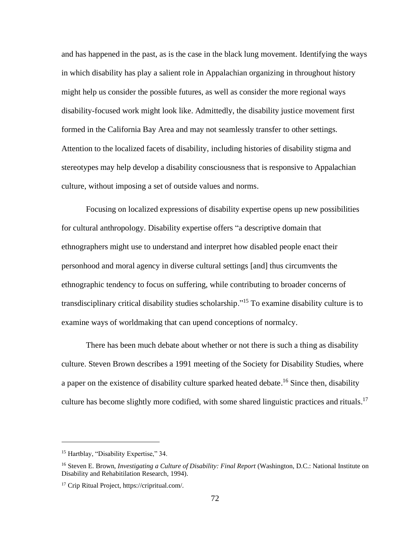and has happened in the past, as is the case in the black lung movement. Identifying the ways in which disability has play a salient role in Appalachian organizing in throughout history might help us consider the possible futures, as well as consider the more regional ways disability-focused work might look like. Admittedly, the disability justice movement first formed in the California Bay Area and may not seamlessly transfer to other settings. Attention to the localized facets of disability, including histories of disability stigma and stereotypes may help develop a disability consciousness that is responsive to Appalachian culture, without imposing a set of outside values and norms.

Focusing on localized expressions of disability expertise opens up new possibilities for cultural anthropology. Disability expertise offers "a descriptive domain that ethnographers might use to understand and interpret how disabled people enact their personhood and moral agency in diverse cultural settings [and] thus circumvents the ethnographic tendency to focus on suffering, while contributing to broader concerns of transdisciplinary critical disability studies scholarship."<sup>15</sup> To examine disability culture is to examine ways of worldmaking that can upend conceptions of normalcy.

There has been much debate about whether or not there is such a thing as disability culture. Steven Brown describes a 1991 meeting of the Society for Disability Studies, where a paper on the existence of disability culture sparked heated debate.<sup>16</sup> Since then, disability culture has become slightly more codified, with some shared linguistic practices and rituals.<sup>17</sup>

<sup>&</sup>lt;sup>15</sup> Hartblay, "Disability Expertise," 34.

<sup>&</sup>lt;sup>16</sup> Steven E. Brown, *Investigating a Culture of Disability: Final Report* (Washington, D.C.: National Institute on Disability and Rehabitilation Research, 1994).

<sup>17</sup> Crip Ritual Project[, https://cripritual.com/.](https://cripritual.com/)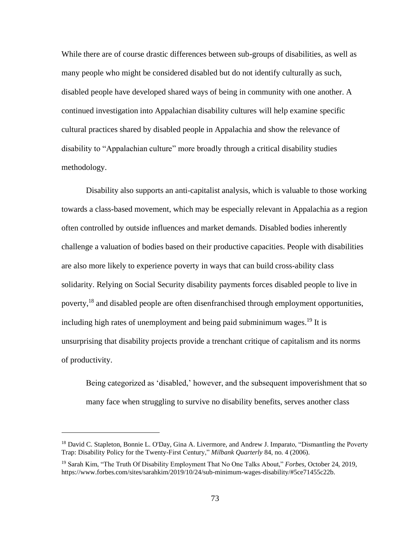While there are of course drastic differences between sub-groups of disabilities, as well as many people who might be considered disabled but do not identify culturally as such, disabled people have developed shared ways of being in community with one another. A continued investigation into Appalachian disability cultures will help examine specific cultural practices shared by disabled people in Appalachia and show the relevance of disability to "Appalachian culture" more broadly through a critical disability studies methodology.

Disability also supports an anti-capitalist analysis, which is valuable to those working towards a class-based movement, which may be especially relevant in Appalachia as a region often controlled by outside influences and market demands. Disabled bodies inherently challenge a valuation of bodies based on their productive capacities. People with disabilities are also more likely to experience poverty in ways that can build cross-ability class solidarity. Relying on Social Security disability payments forces disabled people to live in poverty,<sup>18</sup> and disabled people are often disenfranchised through employment opportunities, including high rates of unemployment and being paid subminimum wages. <sup>19</sup> It is unsurprising that disability projects provide a trenchant critique of capitalism and its norms of productivity.

Being categorized as 'disabled,' however, and the subsequent impoverishment that so many face when struggling to survive no disability benefits, serves another class

<sup>&</sup>lt;sup>18</sup> David C. Stapleton, Bonnie L. O'Day, Gina A. Livermore, and Andrew J. Imparato, "Dismantling the Poverty Trap: Disability Policy for the Twenty-First Century," *Milbank Quarterly* 84, no. 4 (2006).

<sup>19</sup> Sarah Kim, "The Truth Of Disability Employment That No One Talks About," *Forbes,* October 24, 2019, [https://www.forbes.com/sites/sarahkim/2019/10/24/sub-minimum-wages-disability/#5ce71455c22b.](https://www.forbes.com/sites/sarahkim/2019/10/24/sub-minimum-wages-disability/#5ce71455c22b)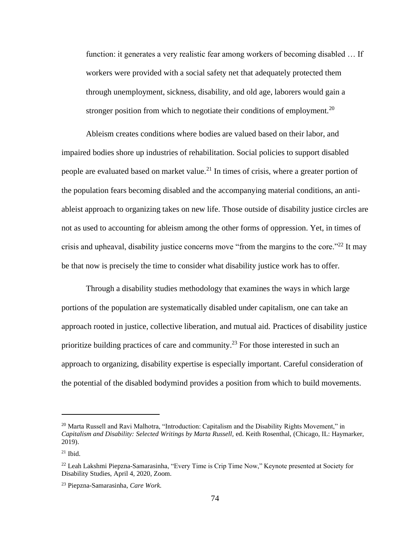function: it generates a very realistic fear among workers of becoming disabled … If workers were provided with a social safety net that adequately protected them through unemployment, sickness, disability, and old age, laborers would gain a stronger position from which to negotiate their conditions of employment.<sup>20</sup>

Ableism creates conditions where bodies are valued based on their labor, and impaired bodies shore up industries of rehabilitation. Social policies to support disabled people are evaluated based on market value.<sup>21</sup> In times of crisis, where a greater portion of the population fears becoming disabled and the accompanying material conditions, an antiableist approach to organizing takes on new life. Those outside of disability justice circles are not as used to accounting for ableism among the other forms of oppression. Yet, in times of crisis and upheaval, disability justice concerns move "from the margins to the core."<sup>22</sup> It may be that now is precisely the time to consider what disability justice work has to offer.

Through a disability studies methodology that examines the ways in which large portions of the population are systematically disabled under capitalism, one can take an approach rooted in justice, collective liberation, and mutual aid. Practices of disability justice prioritize building practices of care and community.<sup>23</sup> For those interested in such an approach to organizing, disability expertise is especially important. Careful consideration of the potential of the disabled bodymind provides a position from which to build movements.

 $^{20}$  Marta Russell and Ravi Malhotra, "Introduction: Capitalism and the Disability Rights Movement," in *Capitalism and Disability: Selected Writings by Marta Russell,* ed. Keith Rosenthal, (Chicago, IL: Haymarker, 2019).

 $21$  Ibid.

<sup>&</sup>lt;sup>22</sup> Leah Lakshmi Piepzna-Samarasinha, "Every Time is Crip Time Now," Keynote presented at Society for Disability Studies, April 4, 2020, Zoom.

<sup>23</sup> Piepzna-Samarasinha, *Care Work.*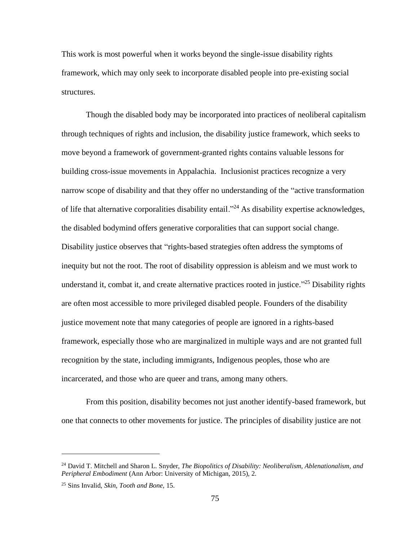This work is most powerful when it works beyond the single-issue disability rights framework, which may only seek to incorporate disabled people into pre-existing social structures.

Though the disabled body may be incorporated into practices of neoliberal capitalism through techniques of rights and inclusion, the disability justice framework, which seeks to move beyond a framework of government-granted rights contains valuable lessons for building cross-issue movements in Appalachia. Inclusionist practices recognize a very narrow scope of disability and that they offer no understanding of the "active transformation of life that alternative corporalities disability entail."<sup>24</sup> As disability expertise acknowledges, the disabled bodymind offers generative corporalities that can support social change. Disability justice observes that "rights-based strategies often address the symptoms of inequity but not the root. The root of disability oppression is ableism and we must work to understand it, combat it, and create alternative practices rooted in justice."<sup>25</sup> Disability rights are often most accessible to more privileged disabled people. Founders of the disability justice movement note that many categories of people are ignored in a rights-based framework, especially those who are marginalized in multiple ways and are not granted full recognition by the state, including immigrants, Indigenous peoples, those who are incarcerated, and those who are queer and trans, among many others.

From this position, disability becomes not just another identify-based framework, but one that connects to other movements for justice. The principles of disability justice are not

<sup>24</sup> David T. Mitchell and Sharon L. Snyder, *The Biopolitics of Disability: Neoliberalism, Ablenationalism, and Peripheral Embodiment* (Ann Arbor: University of Michigan, 2015), 2.

<sup>25</sup> Sins Invalid, *Skin, Tooth and Bone,* 15.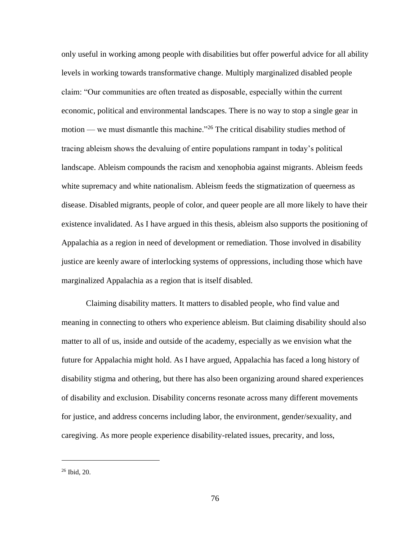only useful in working among people with disabilities but offer powerful advice for all ability levels in working towards transformative change. Multiply marginalized disabled people claim: "Our communities are often treated as disposable, especially within the current economic, political and environmental landscapes. There is no way to stop a single gear in motion — we must dismantle this machine."<sup>26</sup> The critical disability studies method of tracing ableism shows the devaluing of entire populations rampant in today's political landscape. Ableism compounds the racism and xenophobia against migrants. Ableism feeds white supremacy and white nationalism. Ableism feeds the stigmatization of queerness as disease. Disabled migrants, people of color, and queer people are all more likely to have their existence invalidated. As I have argued in this thesis, ableism also supports the positioning of Appalachia as a region in need of development or remediation. Those involved in disability justice are keenly aware of interlocking systems of oppressions, including those which have marginalized Appalachia as a region that is itself disabled.

Claiming disability matters. It matters to disabled people, who find value and meaning in connecting to others who experience ableism. But claiming disability should also matter to all of us, inside and outside of the academy, especially as we envision what the future for Appalachia might hold. As I have argued, Appalachia has faced a long history of disability stigma and othering, but there has also been organizing around shared experiences of disability and exclusion. Disability concerns resonate across many different movements for justice, and address concerns including labor, the environment, gender/sexuality, and caregiving. As more people experience disability-related issues, precarity, and loss,

<sup>26</sup> Ibid, 20.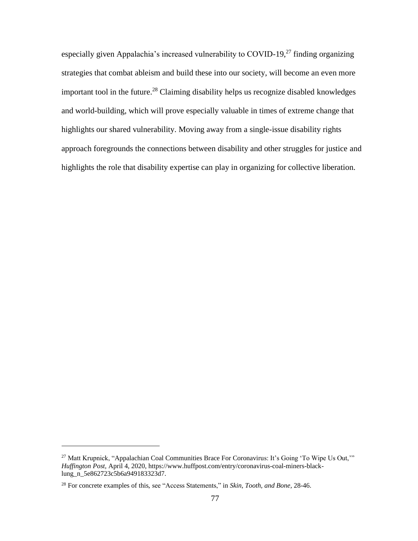especially given Appalachia's increased vulnerability to COVID-19, $^{27}$  finding organizing strategies that combat ableism and build these into our society, will become an even more important tool in the future.<sup>28</sup> Claiming disability helps us recognize disabled knowledges and world-building, which will prove especially valuable in times of extreme change that highlights our shared vulnerability. Moving away from a single-issue disability rights approach foregrounds the connections between disability and other struggles for justice and highlights the role that disability expertise can play in organizing for collective liberation.

<sup>&</sup>lt;sup>27</sup> Matt Krupnick, "Appalachian Coal Communities Brace For Coronavirus: It's Going 'To Wipe Us Out," *Huffington Post,* April 4, 2020, [https://www.huffpost.com/entry/coronavirus-coal-miners-black](https://www.huffpost.com/entry/coronavirus-coal-miners-black-lung_n_5e862723c5b6a949183323d7)[lung\\_n\\_5e862723c5b6a949183323d7.](https://www.huffpost.com/entry/coronavirus-coal-miners-black-lung_n_5e862723c5b6a949183323d7)

<sup>28</sup> For concrete examples of this, see "Access Statements," in *Skin, Tooth, and Bone,* 28-46.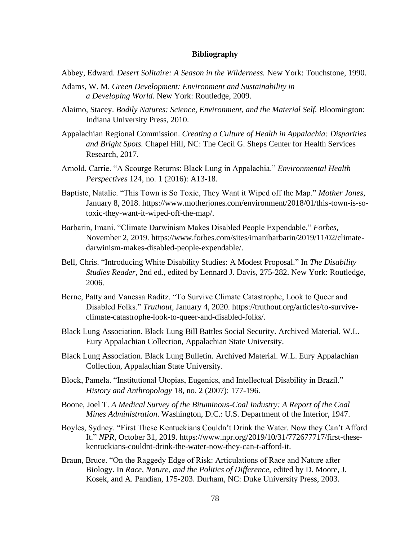## **Bibliography**

- Abbey, Edward. *Desert Solitaire: A Season in the Wilderness.* New York: Touchstone, 1990.
- Adams, W. M. *Green Development: Environment and Sustainability in a Developing World.* New York: Routledge, 2009.
- Alaimo, Stacey. *Bodily Natures: Science, Environment, and the Material Self.* Bloomington: Indiana University Press, 2010.
- Appalachian Regional Commission. *Creating a Culture of Health in Appalachia: Disparities and Bright Spots.* Chapel Hill, NC: The Cecil G. Sheps Center for Health Services Research, 2017.
- Arnold, Carrie. "A Scourge Returns: Black Lung in Appalachia." *Environmental Health Perspectives* 124, no. 1 (2016): A13-18.
- Baptiste, Natalie. "This Town is So Toxic, They Want it Wiped off the Map." *Mother Jones*, January 8, 2018. [https://www.motherjones.com/environment/2018/01/this-town-is-so](https://www.motherjones.com/environment/2018/01/this-town-is-so-toxic-they-want-it-wiped-off-the-map/)[toxic-they-want-it-wiped-off-the-map/.](https://www.motherjones.com/environment/2018/01/this-town-is-so-toxic-they-want-it-wiped-off-the-map/)
- Barbarin, Imani. "Climate Darwinism Makes Disabled People Expendable." *Forbes,*  November 2, 2019. [https://www.forbes.com/sites/imanibarbarin/2019/11/02/climate](https://www.forbes.com/sites/imanibarbarin/2019/11/02/climate-darwinism-makes-disabled-people-expendable/)[darwinism-makes-disabled-people-expendable/.](https://www.forbes.com/sites/imanibarbarin/2019/11/02/climate-darwinism-makes-disabled-people-expendable/)
- Bell, Chris. "Introducing White Disability Studies: A Modest Proposal." In *The Disability Studies Reader*, 2nd ed., edited by Lennard J. Davis, 275-282. New York: Routledge, 2006.
- Berne, Patty and Vanessa Raditz. "To Survive Climate Catastrophe, Look to Queer and Disabled Folks." *Truthout,* January 4, 2020. [https://truthout.org/articles/to-survive](https://truthout.org/articles/to-survive-climate-catastrophe-look-to-queer-and-disabled-folks/)[climate-catastrophe-look-to-queer-and-disabled-folks/.](https://truthout.org/articles/to-survive-climate-catastrophe-look-to-queer-and-disabled-folks/)
- Black Lung Association. Black Lung Bill Battles Social Security*.* Archived Material. W.L. Eury Appalachian Collection, Appalachian State University.
- Black Lung Association. Black Lung Bulletin*.* Archived Material. W.L. Eury Appalachian Collection, Appalachian State University.
- Block, Pamela. "Institutional Utopias, Eugenics, and Intellectual Disability in Brazil." *History and Anthropology* 18, no. 2 (2007): 177-196.
- Boone, Joel T. *A Medical Survey of the Bituminous-Coal Industry: A Report of the Coal Mines Administration*. Washington, D.C.: U.S. Department of the Interior, 1947.
- Boyles, Sydney. "First These Kentuckians Couldn't Drink the Water. Now they Can't Afford It." *NPR*, October 31, 2019. [https://www.npr.org/2019/10/31/772677717/first-these](https://www.npr.org/2019/10/31/772677717/first-these-kentuckians-couldnt-drink-the-water-now-they-can-t-afford-it)[kentuckians-couldnt-drink-the-water-now-they-can-t-afford-it.](https://www.npr.org/2019/10/31/772677717/first-these-kentuckians-couldnt-drink-the-water-now-they-can-t-afford-it)
- Braun, Bruce. "On the Raggedy Edge of Risk: Articulations of Race and Nature after Biology. In *Race, Nature, and the Politics of Difference,* edited by D. Moore, J. Kosek, and A. Pandian, 175-203. Durham, NC: Duke University Press, 2003.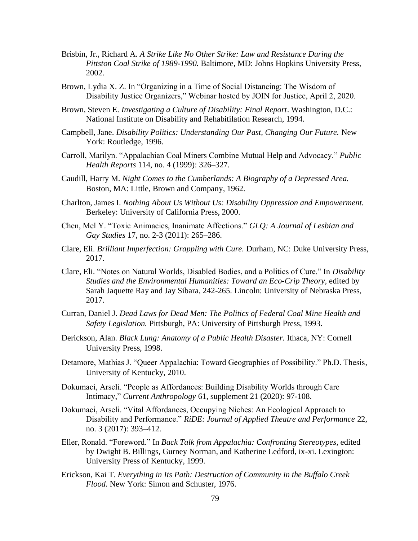- Brisbin, Jr., Richard A. *A Strike Like No Other Strike: Law and Resistance During the Pittston Coal Strike of 1989-1990.* Baltimore, MD: Johns Hopkins University Press, 2002.
- Brown, Lydia X. Z. In "Organizing in a Time of Social Distancing: The Wisdom of Disability Justice Organizers," Webinar hosted by JOIN for Justice, April 2, 2020.
- Brown, Steven E. *Investigating a Culture of Disability: Final Report*. Washington, D.C.: National Institute on Disability and Rehabitilation Research, 1994.
- Campbell, Jane. *Disability Politics: Understanding Our Past, Changing Our Future.* New York: Routledge, 1996.
- Carroll, Marilyn. "Appalachian Coal Miners Combine Mutual Help and Advocacy." *Public Health Reports* 114, no. 4 (1999): 326–327.
- Caudill, Harry M. *Night Comes to the Cumberlands: A Biography of a Depressed Area.*  Boston, MA: Little, Brown and Company, 1962.
- Charlton, James I. *Nothing About Us Without Us: Disability Oppression and Empowerment.*  Berkeley: University of California Press, 2000.
- Chen, Mel Y. "Toxic Animacies, Inanimate Affections." *GLQ: A Journal of Lesbian and Gay Studies* 17, no. 2-3 (2011): 265–286.
- Clare, Eli. *Brilliant Imperfection: Grappling with Cure.* Durham, NC: Duke University Press, 2017.
- Clare, Eli. "Notes on Natural Worlds, Disabled Bodies, and a Politics of Cure." In *Disability Studies and the Environmental Humanities: Toward an Eco-Crip Theory,* edited by Sarah Jaquette Ray and Jay Sibara, 242-265. Lincoln: University of Nebraska Press, 2017.
- Curran, Daniel J. *Dead Laws for Dead Men: The Politics of Federal Coal Mine Health and Safety Legislation.* Pittsburgh, PA: University of Pittsburgh Press, 1993.
- Derickson, Alan. *Black Lung: Anatomy of a Public Health Disaster.* Ithaca, NY: Cornell University Press, 1998.
- Detamore, Mathias J. "Queer Appalachia: Toward Geographies of Possibility." Ph.D. Thesis, University of Kentucky, 2010.
- Dokumaci, Arseli. "People as Affordances: Building Disability Worlds through Care Intimacy," *Current Anthropology* 61, supplement 21 (2020): 97-108.
- Dokumaci, Arseli. "Vital Affordances, Occupying Niches: An Ecological Approach to Disability and Performance." *RiDE: Journal of Applied Theatre and Performance* 22, no. 3 (2017): 393–412.
- Eller, Ronald. "Foreword." In *Back Talk from Appalachia: Confronting Stereotypes*, edited by Dwight B. Billings, Gurney Norman, and Katherine Ledford, ix-xi. Lexington: University Press of Kentucky, 1999.
- Erickson, Kai T. *Everything in Its Path: Destruction of Community in the Buffalo Creek Flood.* New York: Simon and Schuster, 1976.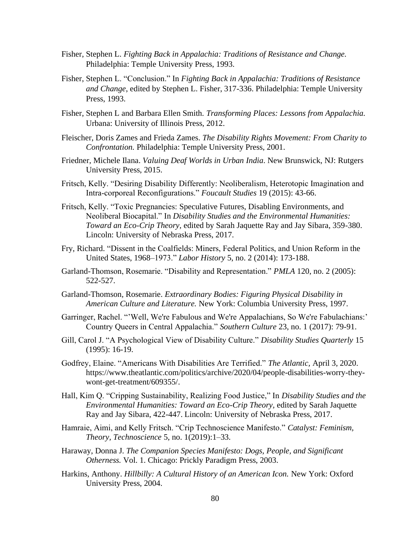- Fisher, Stephen L. *Fighting Back in Appalachia: Traditions of Resistance and Change.* Philadelphia: Temple University Press, 1993.
- Fisher, Stephen L. "Conclusion." In *Fighting Back in Appalachia: Traditions of Resistance and Change*, edited by Stephen L. Fisher, 317-336. Philadelphia: Temple University Press, 1993.
- Fisher, Stephen L and Barbara Ellen Smith. *Transforming Places: Lessons from Appalachia.* Urbana: University of Illinois Press, 2012.
- Fleischer, Doris Zames and Frieda Zames. *The Disability Rights Movement: From Charity to Confrontation.* Philadelphia: Temple University Press, 2001.
- Friedner, Michele Ilana. *Valuing Deaf Worlds in Urban India*. New Brunswick, NJ: Rutgers University Press, 2015.
- Fritsch, Kelly. "Desiring Disability Differently: Neoliberalism, Heterotopic Imagination and Intra‐corporeal Reconfigurations." *Foucault Studies* 19 (2015): 43-66.
- Fritsch, Kelly. "Toxic Pregnancies: Speculative Futures, Disabling Environments, and Neoliberal Biocapital." In *Disability Studies and the Environmental Humanities: Toward an Eco-Crip Theory,* edited by Sarah Jaquette Ray and Jay Sibara, 359-380. Lincoln: University of Nebraska Press, 2017.
- Fry, Richard. "Dissent in the Coalfields: Miners, Federal Politics, and Union Reform in the United States, 1968–1973." *Labor History* 5, no. 2 (2014): 173-188.
- Garland-Thomson, Rosemarie. "Disability and Representation." *PMLA* 120, no. 2 (2005): 522-527.
- Garland-Thomson*,* Rosemarie. *Extraordinary Bodies: Figuring Physical Disability in American Culture and Literature.* New York: Columbia University Press, 1997.
- Garringer, Rachel. "'Well, We're Fabulous and We're Appalachians, So We're Fabulachians:' Country Queers in Central Appalachia." *Southern Culture* 23, no. 1 (2017): 79-91.
- Gill, Carol J. "A Psychological View of Disability Culture." *Disability Studies Quarterly* 15 (1995): 16-19.
- Godfrey, Elaine. "Americans With Disabilities Are Terrified." *The Atlantic,* April 3, 2020. [https://www.theatlantic.com/politics/archive/2020/04/people-disabilities-worry-they](https://www.theatlantic.com/politics/archive/2020/04/people-disabilities-worry-they-wont-get-treatment/609355/)[wont-get-treatment/609355/.](https://www.theatlantic.com/politics/archive/2020/04/people-disabilities-worry-they-wont-get-treatment/609355/)
- Hall, Kim Q. "Cripping Sustainability, Realizing Food Justice," In *Disability Studies and the Environmental Humanities: Toward an Eco-Crip Theory,* edited by Sarah Jaquette Ray and Jay Sibara, 422-447. Lincoln: University of Nebraska Press, 2017.
- Hamraie, Aimi, and Kelly Fritsch. "Crip Technoscience Manifesto." *Catalyst: Feminism, Theory, Technoscience* 5, no. 1(2019):1–33.
- Haraway, Donna J. *The Companion Species Manifesto: Dogs, People, and Significant Otherness.* Vol. 1. Chicago: Prickly Paradigm Press, 2003.
- Harkins, Anthony. *Hillbilly: A Cultural History of an American Icon.* New York: Oxford University Press, 2004.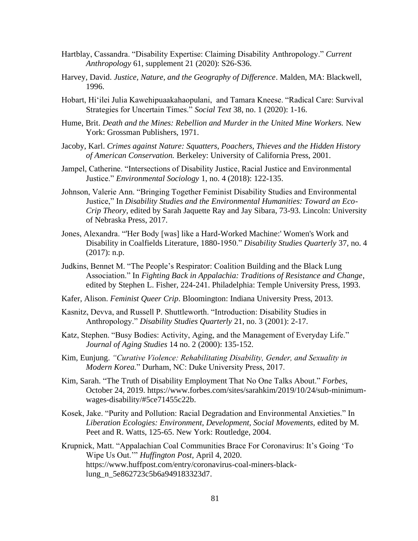- Hartblay, Cassandra. "Disability Expertise: Claiming Disability Anthropology." *Current Anthropology* 61, supplement 21 (2020): S26-S36.
- Harvey*,* David. *Justice, Nature, and the Geography of Difference*. Malden, MA: Blackwell, 1996.
- Hobart, Hi'ilei Julia Kawehipuaakahaopulani, and Tamara Kneese. "Radical Care: Survival Strategies for Uncertain Times." *Social Text* 38, no. 1 (2020): 1-16.
- Hume, Brit. *Death and the Mines: Rebellion and Murder in the United Mine Workers.* New York: Grossman Publishers, 1971.
- Jacoby, Karl. *Crimes against Nature: Squatters, Poachers, Thieves and the Hidden History of American Conservation.* Berkeley: University of California Press, 2001.
- Jampel, Catherine. "Intersections of Disability Justice, Racial Justice and Environmental Justice." *Environmental Sociology* 1, no. 4 (2018): 122-135.
- Johnson, Valerie Ann. "Bringing Together Feminist Disability Studies and Environmental Justice," In *Disability Studies and the Environmental Humanities: Toward an Eco-Crip Theory,* edited by Sarah Jaquette Ray and Jay Sibara, 73-93. Lincoln: University of Nebraska Press, 2017.
- Jones, Alexandra. "'Her Body [was] like a Hard-Worked Machine:' Women's Work and Disability in Coalfields Literature, 1880-1950." *Disability Studies Quarterly* 37, no. 4 (2017): n.p.
- Judkins, Bennet M. "The People's Respirator: Coalition Building and the Black Lung Association." In *Fighting Back in Appalachia: Traditions of Resistance and Change*, edited by Stephen L. Fisher, 224-241. Philadelphia: Temple University Press, 1993.
- Kafer, Alison. *Feminist Queer Crip*. Bloomington: Indiana University Press, 2013.
- Kasnitz, Devva, and Russell P. Shuttleworth. "Introduction: Disability Studies in Anthropology." *Disability Studies Quarterly* 21, no. 3 (2001): 2-17.
- Katz, Stephen. "Busy Bodies: Activity, Aging, and the Management of Everyday Life." *Journal of Aging Studies* 14 no. 2 (2000): 135-152.
- Kim, Eunjung. *"Curative Violence: Rehabilitating Disability, Gender, and Sexuality in Modern Korea.*" Durham, NC: Duke University Press, 2017.
- Kim, Sarah. "The Truth of Disability Employment That No One Talks About." *Forbes,*  October 24, 2019. [https://www.forbes.com/sites/sarahkim/2019/10/24/sub-minimum](https://www.forbes.com/sites/sarahkim/2019/10/24/sub-minimum-wages-disability/#5ce71455c22b)[wages-disability/#5ce71455c22b.](https://www.forbes.com/sites/sarahkim/2019/10/24/sub-minimum-wages-disability/#5ce71455c22b)
- Kosek, Jake. "Purity and Pollution: Racial Degradation and Environmental Anxieties." In *Liberation Ecologies: Environment, Development, Social Movements,* edited by M. Peet and R. Watts, 125-65. New York: Routledge, 2004.
- Krupnick, Matt. "Appalachian Coal Communities Brace For Coronavirus: It's Going 'To Wipe Us Out.'" *Huffington Post,* April 4, 2020. [https://www.huffpost.com/entry/coronavirus-coal-miners-black](https://www.huffpost.com/entry/coronavirus-coal-miners-black-lung_n_5e862723c5b6a949183323d7)[lung\\_n\\_5e862723c5b6a949183323d7.](https://www.huffpost.com/entry/coronavirus-coal-miners-black-lung_n_5e862723c5b6a949183323d7)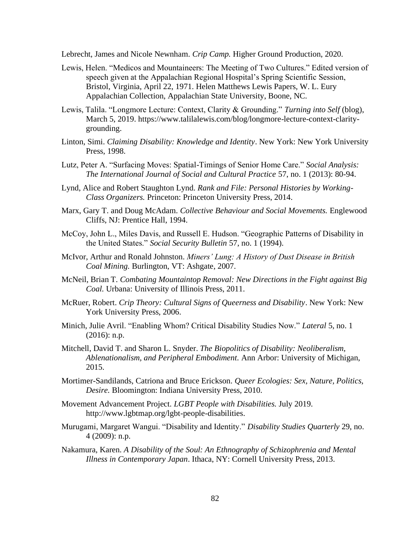Lebrecht, James and Nicole Newnham. *Crip Camp.* Higher Ground Production, 2020.

- Lewis, Helen. "Medicos and Mountaineers: The Meeting of Two Cultures." Edited version of speech given at the Appalachian Regional Hospital's Spring Scientific Session, Bristol, Virginia, April 22, 1971. Helen Matthews Lewis Papers, W. L. Eury Appalachian Collection, Appalachian State University, Boone, NC.
- Lewis, Talila. "Longmore Lecture: Context, Clarity & Grounding." *Turning into Self* (blog), March 5, 2019. [https://www.talilalewis.com/blog/longmore-lecture-context-clarity](https://www.talilalewis.com/blog/longmore-lecture-context-clarity-grounding)[grounding.](https://www.talilalewis.com/blog/longmore-lecture-context-clarity-grounding)
- Linton, Simi. *Claiming Disability: Knowledge and Identity*. New York: New York University Press, 1998.
- Lutz, Peter A. "Surfacing Moves: Spatial-Timings of Senior Home Care." *Social Analysis: The International Journal of Social and Cultural Practice* 57, no. 1 (2013): 80-94.
- Lynd, Alice and Robert Staughton Lynd. *Rank and File: Personal Histories by Working-Class Organizers.* Princeton: Princeton University Press, 2014.
- Marx, Gary T. and Doug McAdam. *Collective Behaviour and Social Movements.* Englewood Cliffs, NJ: Prentice Hall, 1994.
- McCoy, John L., Miles Davis, and Russell E. Hudson. "Geographic Patterns of Disability in the United States." *Social Security Bulletin* 57, no. 1 (1994).
- McIvor, Arthur and Ronald Johnston. *Miners' Lung: A History of Dust Disease in British Coal Mining.* Burlington, VT: Ashgate, 2007.
- McNeil, Brian T. *Combating Mountaintop Removal: New Directions in the Fight against Big Coal.* Urbana: University of Illinois Press, 2011.
- McRuer, Robert. *Crip Theory: Cultural Signs of Queerness and Disability*. New York: New York University Press, 2006.
- Minich, Julie Avril. "Enabling Whom? Critical Disability Studies Now." *Lateral* 5, no. 1 (2016): n.p.
- Mitchell, David T. and Sharon L. Snyder. *The Biopolitics of Disability: Neoliberalism, Ablenationalism, and Peripheral Embodiment.* Ann Arbor: University of Michigan, 2015.
- Mortimer-Sandilands, Catriona and Bruce Erickson. *Queer Ecologies: Sex, Nature, Politics, Desire.* Bloomington: Indiana University Press, 2010.
- Movement Advancement Project. *LGBT People with Disabilities.* July 2019. [http://www.lgbtmap.org/lgbt-people-disabilities.](http://www.lgbtmap.org/lgbt-people-disabilities)
- Murugami, Margaret Wangui. "Disability and Identity." *Disability Studies Quarterly* 29, no. 4 (2009): n.p.
- Nakamura, Karen. *A Disability of the Soul: An Ethnography of Schizophrenia and Mental Illness in Contemporary Japan*. Ithaca, NY: Cornell University Press, 2013.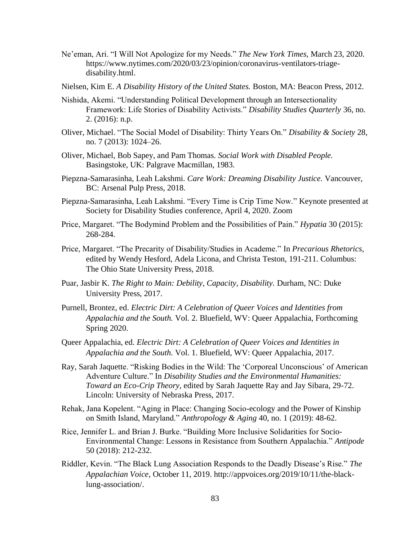- Ne'eman, Ari. "I Will Not Apologize for my Needs." *The New York Times,* March 23, 2020. [https://www.nytimes.com/2020/03/23/opinion/coronavirus-ventilators-triage](https://www.nytimes.com/2020/03/23/opinion/coronavirus-ventilators-triage-disability.html)[disability.html.](https://www.nytimes.com/2020/03/23/opinion/coronavirus-ventilators-triage-disability.html)
- Nielsen, Kim E. *A Disability History of the United States.* Boston, MA: Beacon Press, 2012.
- Nishida, Akemi. "Understanding Political Development through an Intersectionality Framework: Life Stories of Disability Activists." *Disability Studies Quarterly* 36, no. 2. (2016): n.p.
- Oliver, Michael. "The Social Model of Disability: Thirty Years On." *Disability & Society* 28, no. 7 (2013): 1024–26.
- Oliver, Michael, Bob Sapey, and Pam Thomas. *Social Work with Disabled People.*  Basingstoke, UK: Palgrave Macmillan, 1983.
- Piepzna-Samarasinha, Leah Lakshmi. *Care Work: Dreaming Disability Justice.* Vancouver, BC: Arsenal Pulp Press, 2018.
- Piepzna-Samarasinha, Leah Lakshmi. "Every Time is Crip Time Now." Keynote presented at Society for Disability Studies conference, April 4, 2020. Zoom
- Price, Margaret. "The Bodymind Problem and the Possibilities of Pain." *Hypatia* 30 (2015): 268-284.
- Price, Margaret. "The Precarity of Disability/Studies in Academe." In *Precarious Rhetorics,* edited by Wendy Hesford, Adela Licona, and Christa Teston, 191-211. Columbus: The Ohio State University Press, 2018.
- Puar, Jasbir K. *The Right to Main: Debility, Capacity, Disability.* Durham, NC: Duke University Press, 2017.
- Purnell, Brontez, ed. *Electric Dirt: A Celebration of Queer Voices and Identities from Appalachia and the South.* Vol. 2. Bluefield, WV: Queer Appalachia, Forthcoming Spring 2020.
- Queer Appalachia, ed. *Electric Dirt: A Celebration of Queer Voices and Identities in Appalachia and the South.* Vol. 1. Bluefield, WV: Queer Appalachia, 2017.
- Ray, Sarah Jaquette. "Risking Bodies in the Wild: The 'Corporeal Unconscious' of American Adventure Culture." In *Disability Studies and the Environmental Humanities: Toward an Eco-Crip Theory,* edited by Sarah Jaquette Ray and Jay Sibara, 29-72. Lincoln: University of Nebraska Press, 2017.
- Rehak, Jana Kopelent. "Aging in Place: Changing Socio-ecology and the Power of Kinship on Smith Island, Maryland." *Anthropology & Aging* 40, no. 1 (2019): 48-62.
- Rice, Jennifer L. and Brian J. Burke. "Building More Inclusive Solidarities for Socio-Environmental Change: Lessons in Resistance from Southern Appalachia." *Antipode*  50 (2018): 212-232.
- Riddler, Kevin. "The Black Lung Association Responds to the Deadly Disease's Rise." *The Appalachian Voice,* October 11, 2019. [http://appvoices.org/2019/10/11/the-black](http://appvoices.org/2019/10/11/the-black-lung-association/)[lung-association/.](http://appvoices.org/2019/10/11/the-black-lung-association/)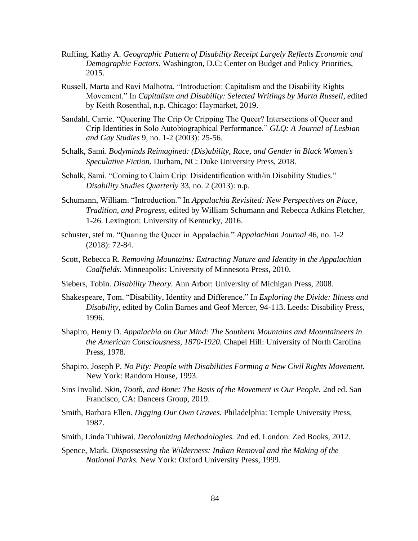- Ruffing, Kathy A. *Geographic Pattern of Disability Receipt Largely Reflects Economic and Demographic Factors.* Washington, D.C: Center on Budget and Policy Priorities, 2015.
- Russell, Marta and Ravi Malhotra. "Introduction: Capitalism and the Disability Rights Movement." In *Capitalism and Disability: Selected Writings by Marta Russell, e*dited by Keith Rosenthal, n.p. Chicago: Haymarket, 2019.
- Sandahl, Carrie. "Queering The Crip Or Cripping The Queer? Intersections of Queer and Crip Identities in Solo Autobiographical Performance." *GLQ: A Journal of Lesbian and Gay Studies* 9, no. 1-2 (2003): 25-56.
- Schalk, Sami. *Bodyminds Reimagined: (Dis)ability, Race, and Gender in Black Women's Speculative Fiction.* Durham, NC: Duke University Press, 2018.
- Schalk, Sami. "Coming to Claim Crip: Disidentification with/in Disability Studies." *Disability Studies Quarterly* 33, no. 2 (2013): n.p.
- Schumann, William. "Introduction." In *Appalachia Revisited: New Perspectives on Place, Tradition, and Progress,* edited by William Schumann and Rebecca Adkins Fletcher, 1-26. Lexington: University of Kentucky, 2016.
- schuster, stef m. "Quaring the Queer in Appalachia." *Appalachian Journal* 46, no. 1-2 (2018): 72-84.
- Scott, Rebecca R. *Removing Mountains: Extracting Nature and Identity in the Appalachian Coalfields.* Minneapolis: University of Minnesota Press, 2010.
- Siebers, Tobin. *Disability Theory.* Ann Arbor: University of Michigan Press, 2008.
- Shakespeare, Tom. "Disability, Identity and Difference." In *Exploring the Divide: Illness and Disability,* edited by Colin Barnes and Geof Mercer, 94-113. Leeds: Disability Press, 1996.
- Shapiro, Henry D. *Appalachia on Our Mind: The Southern Mountains and Mountaineers in the American Consciousness, 1870-1920.* Chapel Hill: University of North Carolina Press, 1978.
- Shapiro, Joseph P. *No Pity: People with Disabilities Forming a New Civil Rights Movement.*  New York: Random House, 1993.
- Sins Invalid. S*kin, Tooth, and Bone: The Basis of the Movement is Our People.* 2nd ed. San Francisco, CA: Dancers Group, 2019.
- Smith, Barbara Ellen. *Digging Our Own Graves.* Philadelphia: Temple University Press, 1987.
- Smith, Linda Tuhiwai. *Decolonizing Methodologies.* 2nd ed. London: Zed Books, 2012.
- Spence, Mark. *Dispossessing the Wilderness: Indian Removal and the Making of the National Parks.* New York: Oxford University Press, 1999.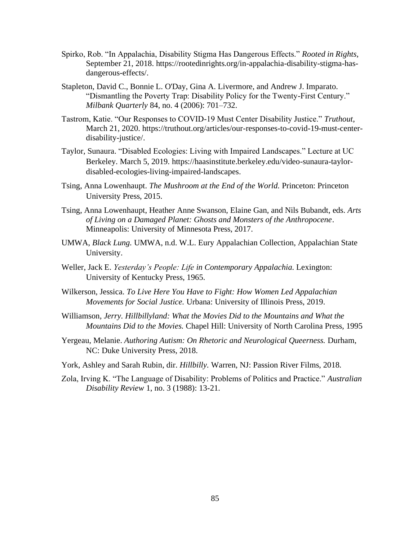- Spirko, Rob. "In Appalachia, Disability Stigma Has Dangerous Effects." *Rooted in Rights*, September 21, 2018. [https://rootedinrights.org/in-appalachia-disability-stigma-has](https://rootedinrights.org/in-appalachia-disability-stigma-has-dangerous-effects/)[dangerous-effects/.](https://rootedinrights.org/in-appalachia-disability-stigma-has-dangerous-effects/)
- Stapleton, David C., Bonnie L. O'Day, Gina A. Livermore, and Andrew J. Imparato. "Dismantling the Poverty Trap: Disability Policy for the Twenty-First Century." *Milbank Quarterly* 84, no. 4 (2006): 701–732.
- Tastrom, Katie. "Our Responses to COVID-19 Must Center Disability Justice." *Truthout*, March 21, 2020. [https://truthout.org/articles/our-responses-to-covid-19-must-center](https://truthout.org/articles/our-responses-to-covid-19-must-center-disability-justice/)[disability-justice/.](https://truthout.org/articles/our-responses-to-covid-19-must-center-disability-justice/)
- Taylor, Sunaura. "Disabled Ecologies: Living with Impaired Landscapes." Lecture at UC Berkeley. March 5, 2019. [https://haasinstitute.berkeley.edu/video-sunaura-taylor](https://haasinstitute.berkeley.edu/video-sunaura-taylor-disabled-ecologies-living-impaired-landscapes)[disabled-ecologies-living-impaired-landscapes.](https://haasinstitute.berkeley.edu/video-sunaura-taylor-disabled-ecologies-living-impaired-landscapes)
- Tsing, Anna Lowenhaupt. *The Mushroom at the End of the World.* Princeton: Princeton University Press, 2015.
- Tsing, Anna Lowenhaupt, Heather Anne Swanson, Elaine Gan, and Nils Bubandt, eds. *Arts of Living on a Damaged Planet: Ghosts and Monsters of the Anthropocene*. Minneapolis: University of Minnesota Press, 2017.
- UMWA, *Black Lung.* UMWA, n.d. W.L. Eury Appalachian Collection, Appalachian State University.
- Weller, Jack E. *Yesterday's People: Life in Contemporary Appalachia*. Lexington: University of Kentucky Press, 1965.
- Wilkerson, Jessica. *To Live Here You Have to Fight: How Women Led Appalachian Movements for Social Justice.* Urbana: University of Illinois Press, 2019.
- Williamson*, Jerry. Hillbillyland: What the Movies Did to the Mountains and What the Mountains Did to the Movies.* Chapel Hill: University of North Carolina Press, 1995
- Yergeau, Melanie. *Authoring Autism: On Rhetoric and Neurological Queerness.* Durham, NC: Duke University Press, 2018.
- York, Ashley and Sarah Rubin, dir. *Hillbilly.* Warren, NJ: Passion River Films, 2018.
- Zola, Irving K. "The Language of Disability: Problems of Politics and Practice." *Australian Disability Review* 1, no. 3 (1988): 13-21.